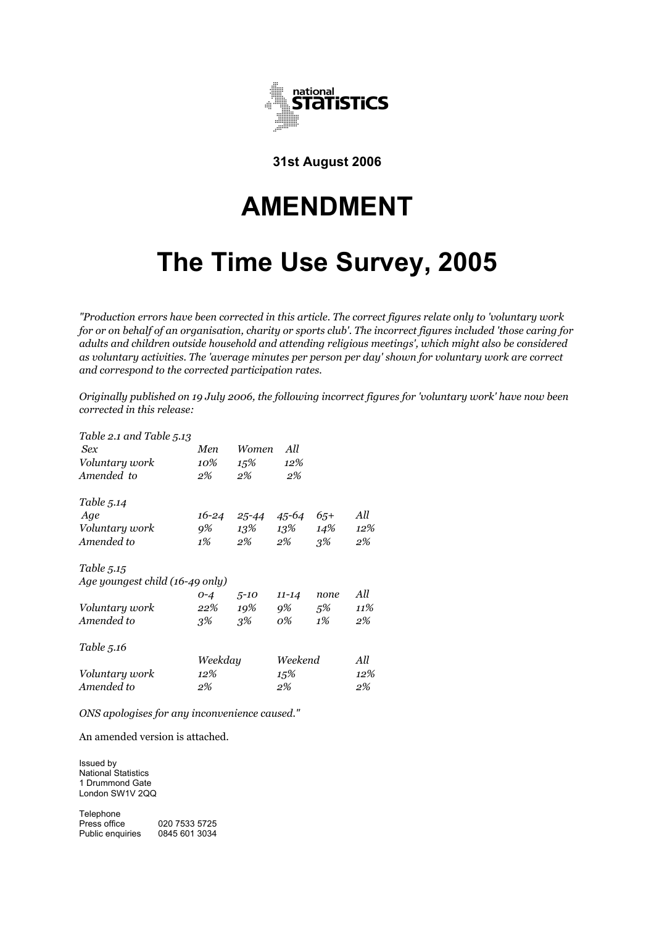

**31st August 2006** 

# **AMENDMENT**

# **The Time Use Survey, 2005**

*"Production errors have been corrected in this article. The correct figures relate only to 'voluntary work for or on behalf of an organisation, charity or sports club'. The incorrect figures included 'those caring for adults and children outside household and attending religious meetings', which might also be considered as voluntary activities. The 'average minutes per person per day' shown for voluntary work are correct and correspond to the corrected participation rates.* 

*Originally published on 19 July 2006, the following incorrect figures for 'voluntary work' have now been corrected in this release:* 

| Table 2.1 and Table 5.13        |         |           |           |        |     |
|---------------------------------|---------|-----------|-----------|--------|-----|
| <b>Sex</b>                      | Men     | Women     | All       |        |     |
| Voluntary work                  | 10%     | 15%       | 12%       |        |     |
| Amended to                      | 2%      | 2%        | 2%        |        |     |
| Table 5.14                      |         |           |           |        |     |
| Age                             | 16-24   | 25-44     | 45-64     | $6.5+$ | All |
| Voluntary work                  | 9%      |           | 13\% 13\% | 14%    | 12% |
| Amended to                      | 1%      | 2%        | 2%        | $3\%$  | 2%  |
| Table 5.15                      |         |           |           |        |     |
| Age youngest child (16-49 only) |         |           |           |        |     |
|                                 | $0 - 4$ | $.5 - 10$ | $11 - 14$ | none   | All |
| Voluntary work                  | 22%     | 19%       | 9%        | $5\%$  | 11% |
| Amended to                      | 3%      | .3%       | 0%        | 1%     | 2%  |
| Table 5.16                      |         |           |           |        |     |
|                                 | Weekday |           | Weekend   |        | All |
| Voluntary work                  | 12%     |           | 15%       |        | 12% |
| Amended to                      | 2%      |           | 2%        |        | 2%  |
|                                 |         |           |           |        |     |

*ONS apologises for any inconvenience caused."* 

An amended version is attached.

Issued by National Statistics 1 Drummond Gate London SW1V 2QQ

Telephone<br>Press office 020 7533 5725 Public enquiries 0845 601 3034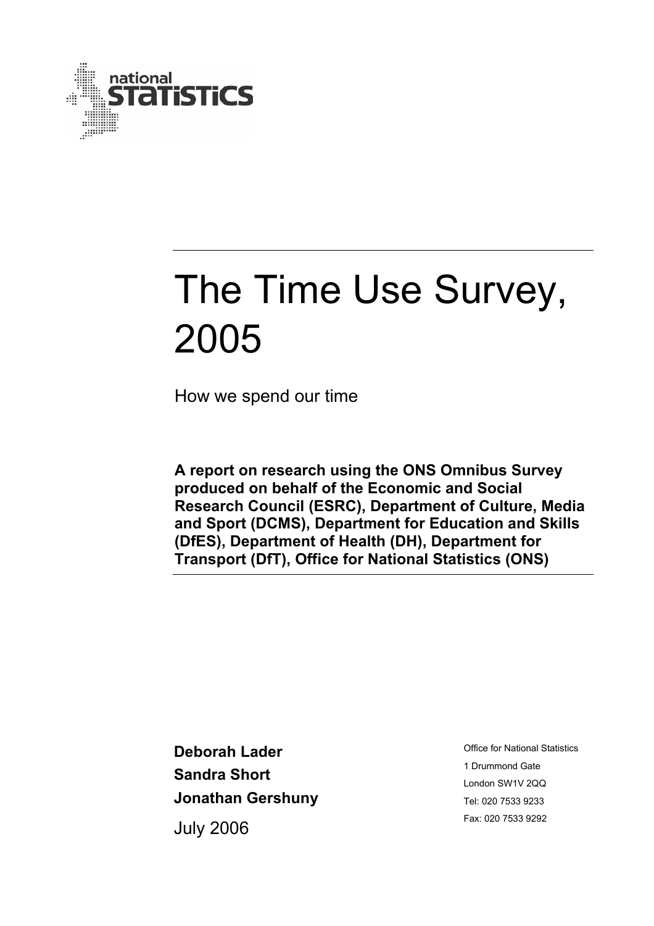

How we spend our time

**A report on research using the ONS Omnibus Survey produced on behalf of the Economic and Social Research Council (ESRC), Department of Culture, Media and Sport (DCMS), Department for Education and Skills (DfES), Department of Health (DH), Department for Transport (DfT), Office for National Statistics (ONS)** 

**Deborah Lader Sandra Short Jonathan Gershuny** 

July 2006

Office for National Statistics 1 Drummond Gate London SW1V 2QQ Tel: 020 7533 9233 Fax: 020 7533 9292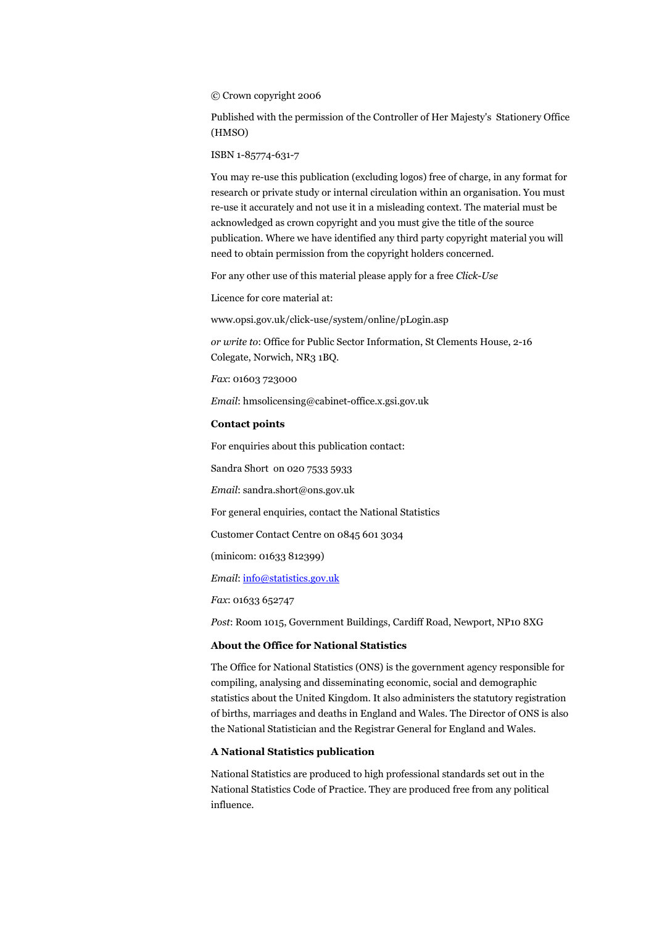© Crown copyright 2006

Published with the permission of the Controller of Her Majesty's Stationery Office (HMSO)

ISBN 1-85774-631-7

You may re-use this publication (excluding logos) free of charge, in any format for research or private study or internal circulation within an organisation. You must re-use it accurately and not use it in a misleading context. The material must be acknowledged as crown copyright and you must give the title of the source publication. Where we have identified any third party copyright material you will need to obtain permission from the copyright holders concerned.

For any other use of this material please apply for a free *Click-Use*

Licence for core material at:

www.opsi.gov.uk/click-use/system/online/pLogin.asp

*or write to*: Office for Public Sector Information, St Clements House, 2-16 Colegate, Norwich, NR3 1BQ.

*Fax*: 01603 723000

*Email*: hmsolicensing@cabinet-office.x.gsi.gov.uk

#### **Contact points**

For enquiries about this publication contact:

Sandra Short on 020 7533 5933

*Email*: sandra.short@ons.gov.uk

For general enquiries, contact the National Statistics

Customer Contact Centre on 0845 601 3034

(minicom: 01633 812399)

*Email*: info@statistics.gov.uk

*Fax*: 01633 652747

*Post*: Room 1015, Government Buildings, Cardiff Road, Newport, NP10 8XG

#### **About the Office for National Statistics**

The Office for National Statistics (ONS) is the government agency responsible for compiling, analysing and disseminating economic, social and demographic statistics about the United Kingdom. It also administers the statutory registration of births, marriages and deaths in England and Wales. The Director of ONS is also the National Statistician and the Registrar General for England and Wales.

#### **A National Statistics publication**

National Statistics are produced to high professional standards set out in the National Statistics Code of Practice. They are produced free from any political influence.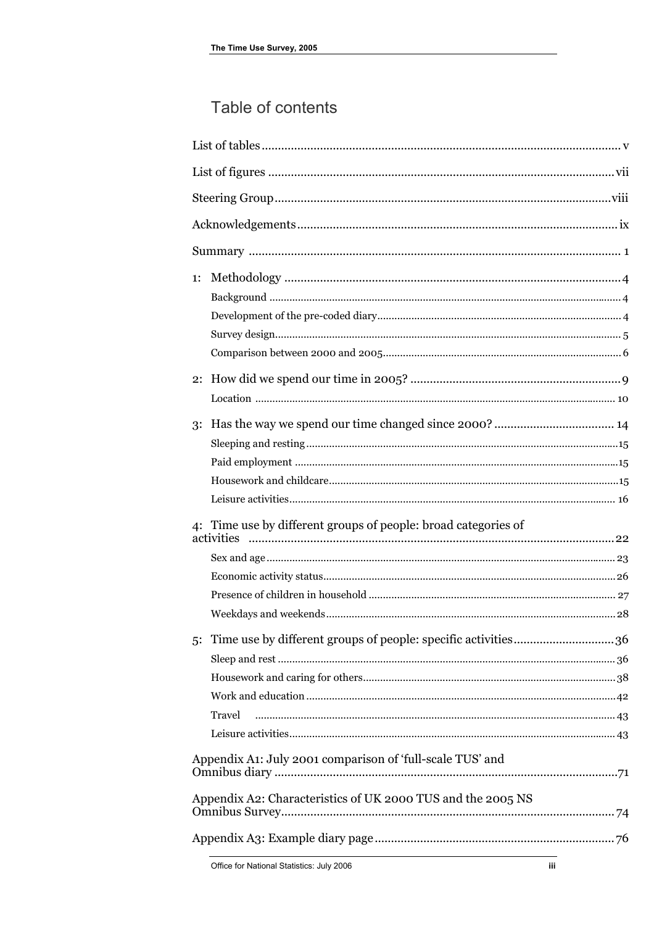### Table of contents

| 1: |                                                                                                                          |  |
|----|--------------------------------------------------------------------------------------------------------------------------|--|
|    |                                                                                                                          |  |
| 3: |                                                                                                                          |  |
|    | 4: Time use by different groups of people: broad categories of                                                           |  |
| 5: | Travel                                                                                                                   |  |
|    | Appendix A1: July 2001 comparison of 'full-scale TUS' and<br>Appendix A2: Characteristics of UK 2000 TUS and the 2005 NS |  |
|    |                                                                                                                          |  |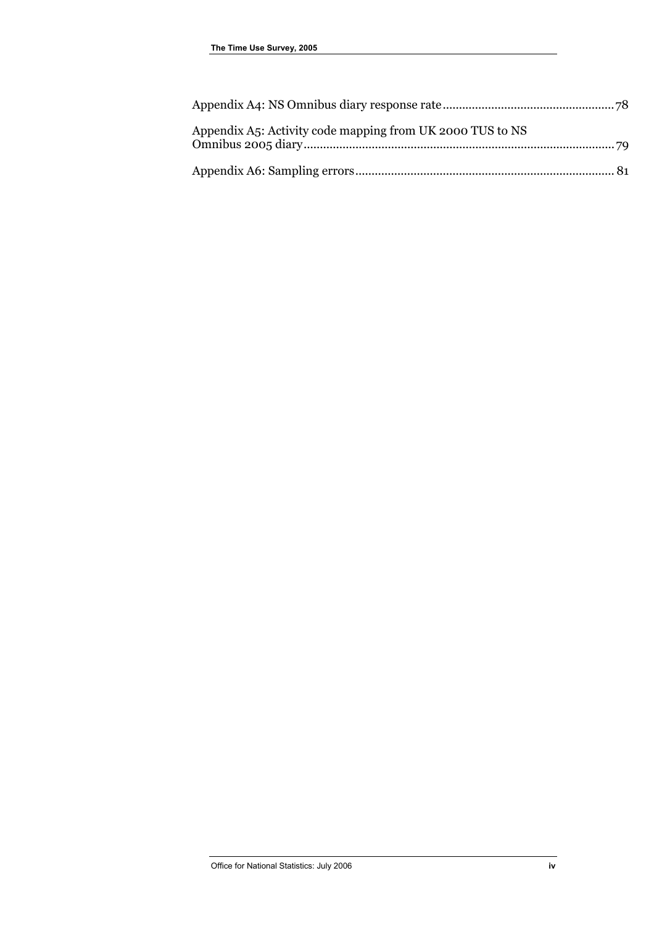| Appendix A5: Activity code mapping from UK 2000 TUS to NS |  |
|-----------------------------------------------------------|--|
|                                                           |  |
|                                                           |  |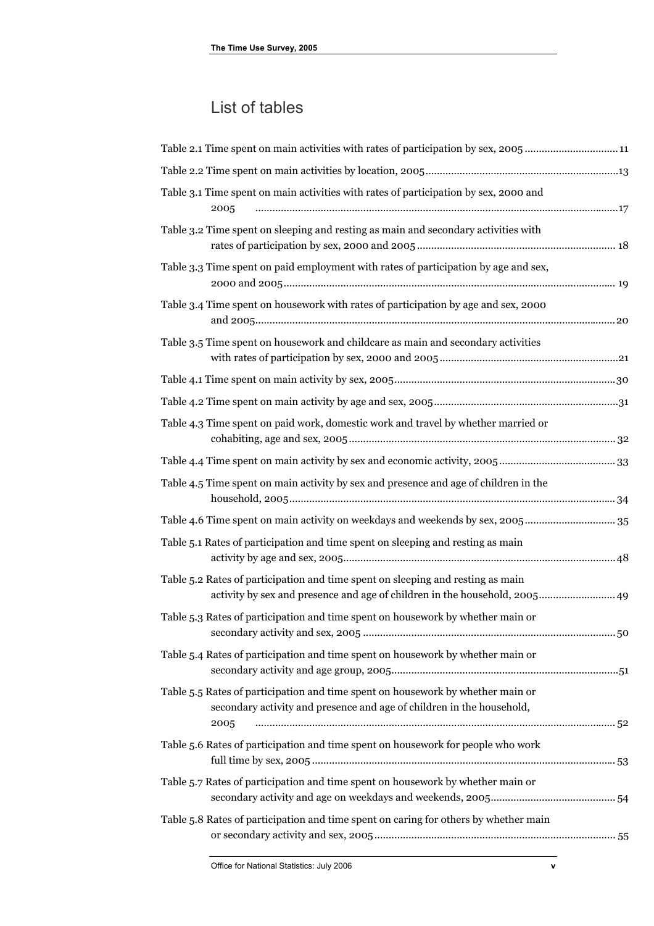### List of tables

<span id="page-5-0"></span>

| Table 2.1 Time spent on main activities with rates of participation by sex, 200511                                                                               |
|------------------------------------------------------------------------------------------------------------------------------------------------------------------|
|                                                                                                                                                                  |
| Table 3.1 Time spent on main activities with rates of participation by sex, 2000 and<br>2005                                                                     |
| Table 3.2 Time spent on sleeping and resting as main and secondary activities with                                                                               |
| Table 3.3 Time spent on paid employment with rates of participation by age and sex,                                                                              |
| Table 3.4 Time spent on housework with rates of participation by age and sex, 2000                                                                               |
| Table 3.5 Time spent on housework and childcare as main and secondary activities                                                                                 |
|                                                                                                                                                                  |
|                                                                                                                                                                  |
| Table 4.3 Time spent on paid work, domestic work and travel by whether married or                                                                                |
|                                                                                                                                                                  |
| Table 4.5 Time spent on main activity by sex and presence and age of children in the                                                                             |
| Table 4.6 Time spent on main activity on weekdays and weekends by sex, 2005 35                                                                                   |
| Table 5.1 Rates of participation and time spent on sleeping and resting as main                                                                                  |
| Table 5.2 Rates of participation and time spent on sleeping and resting as main<br>activity by sex and presence and age of children in the household, 2005 49    |
| Table 5.3 Rates of participation and time spent on housework by whether main or                                                                                  |
| Table 5.4 Rates of participation and time spent on housework by whether main or                                                                                  |
| Table 5.5 Rates of participation and time spent on housework by whether main or<br>secondary activity and presence and age of children in the household,<br>2005 |
| Table 5.6 Rates of participation and time spent on housework for people who work                                                                                 |
| Table 5.7 Rates of participation and time spent on housework by whether main or                                                                                  |
| Table 5.8 Rates of participation and time spent on caring for others by whether main                                                                             |
|                                                                                                                                                                  |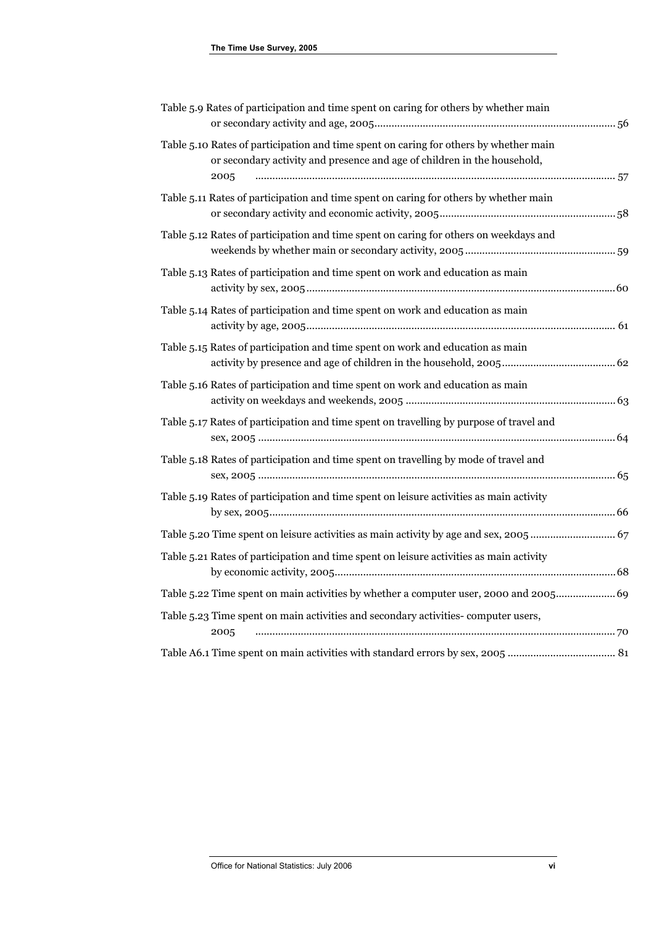| Table 5.9 Rates of participation and time spent on caring for others by whether main                                                                                      |  |
|---------------------------------------------------------------------------------------------------------------------------------------------------------------------------|--|
| Table 5.10 Rates of participation and time spent on caring for others by whether main<br>or secondary activity and presence and age of children in the household,<br>2005 |  |
| Table 5.11 Rates of participation and time spent on caring for others by whether main                                                                                     |  |
| Table 5.12 Rates of participation and time spent on caring for others on weekdays and                                                                                     |  |
| Table 5.13 Rates of participation and time spent on work and education as main                                                                                            |  |
| Table 5.14 Rates of participation and time spent on work and education as main                                                                                            |  |
| Table 5.15 Rates of participation and time spent on work and education as main                                                                                            |  |
| Table 5.16 Rates of participation and time spent on work and education as main                                                                                            |  |
| Table 5.17 Rates of participation and time spent on travelling by purpose of travel and                                                                                   |  |
| Table 5.18 Rates of participation and time spent on travelling by mode of travel and                                                                                      |  |
| Table 5.19 Rates of participation and time spent on leisure activities as main activity                                                                                   |  |
| Table 5.20 Time spent on leisure activities as main activity by age and sex, 2005  67                                                                                     |  |
| Table 5.21 Rates of participation and time spent on leisure activities as main activity                                                                                   |  |
| Table 5.22 Time spent on main activities by whether a computer user, 2000 and 2005 69                                                                                     |  |
| Table 5.23 Time spent on main activities and secondary activities-computer users,<br>2005                                                                                 |  |
|                                                                                                                                                                           |  |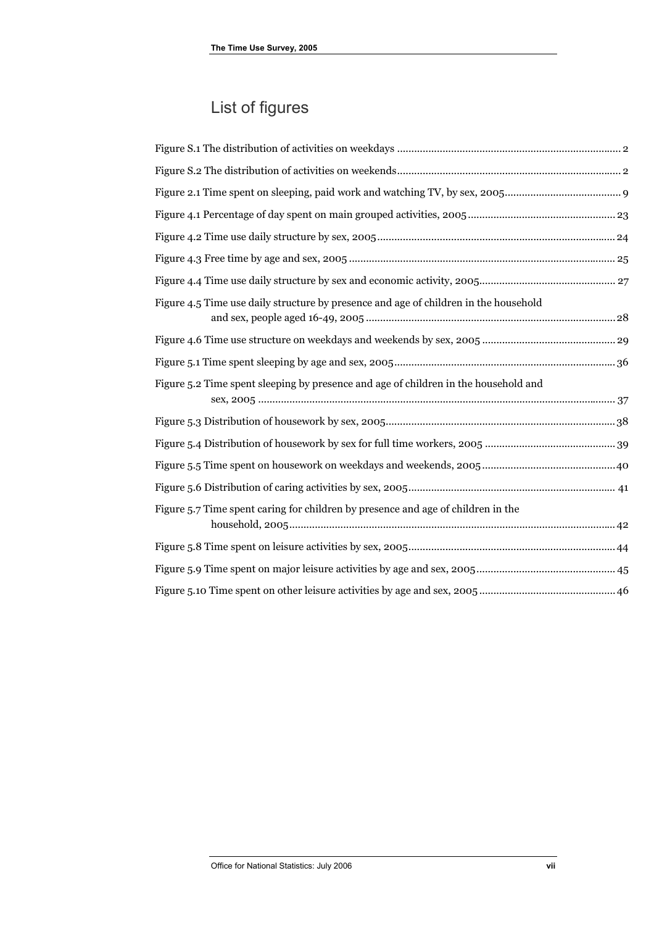### List of figures

<span id="page-7-0"></span>

| Figure 4.5 Time use daily structure by presence and age of children in the household |  |
|--------------------------------------------------------------------------------------|--|
|                                                                                      |  |
|                                                                                      |  |
| Figure 5.2 Time spent sleeping by presence and age of children in the household and  |  |
|                                                                                      |  |
|                                                                                      |  |
|                                                                                      |  |
|                                                                                      |  |
| Figure 5.7 Time spent caring for children by presence and age of children in the     |  |
|                                                                                      |  |
|                                                                                      |  |
|                                                                                      |  |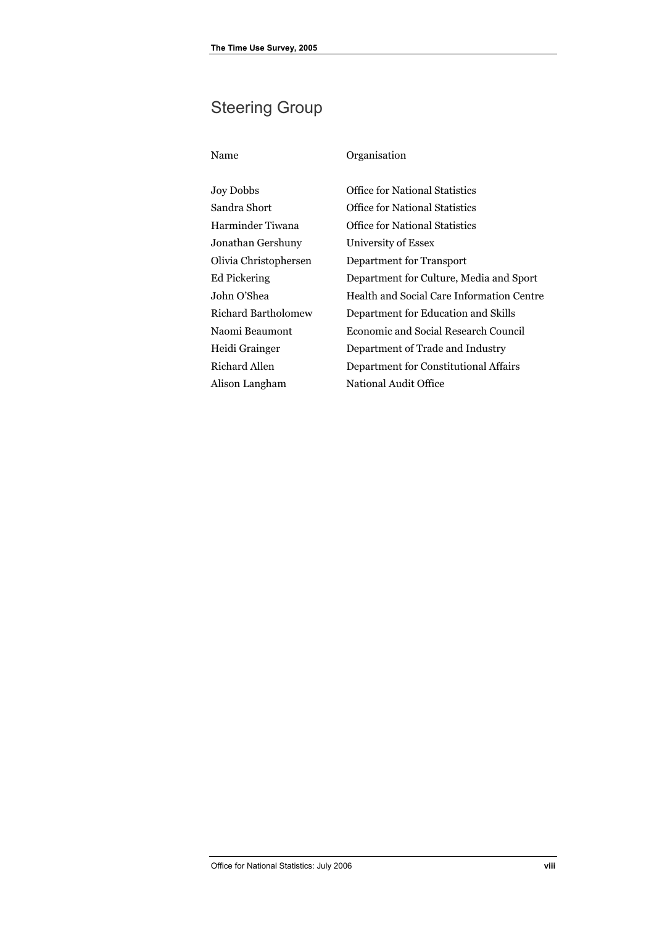### <span id="page-8-0"></span>Steering Group

Ed Pickering John O'Shea

Heidi Grainger Richard Allen

### Name Organisation Joy Dobbs Office for National Statistics Sandra Short

Harminder Tiwana Jonathan Gershuny Olivia Christophersen Richard Bartholomew Naomi Beaumont Alison Langham Office for National Statistics Office for National Statistics University of Essex Department for Transport Department for Culture, Media and Sport Health and Social Care Information Centre Department for Education and Skills Economic and Social Research Council Department of Trade and Industry Department for Constitutional Affairs National Audit Office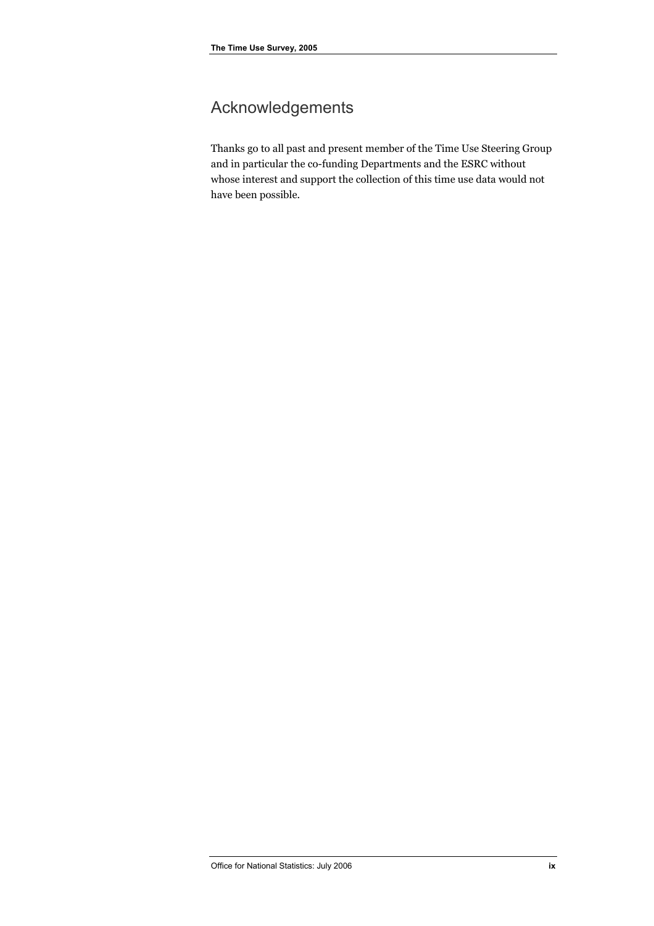### <span id="page-9-0"></span>Acknowledgements

Thanks go to all past and present member of the Time Use Steering Group and in particular the co-funding Departments and the ESRC without whose interest and support the collection of this time use data would not have been possible.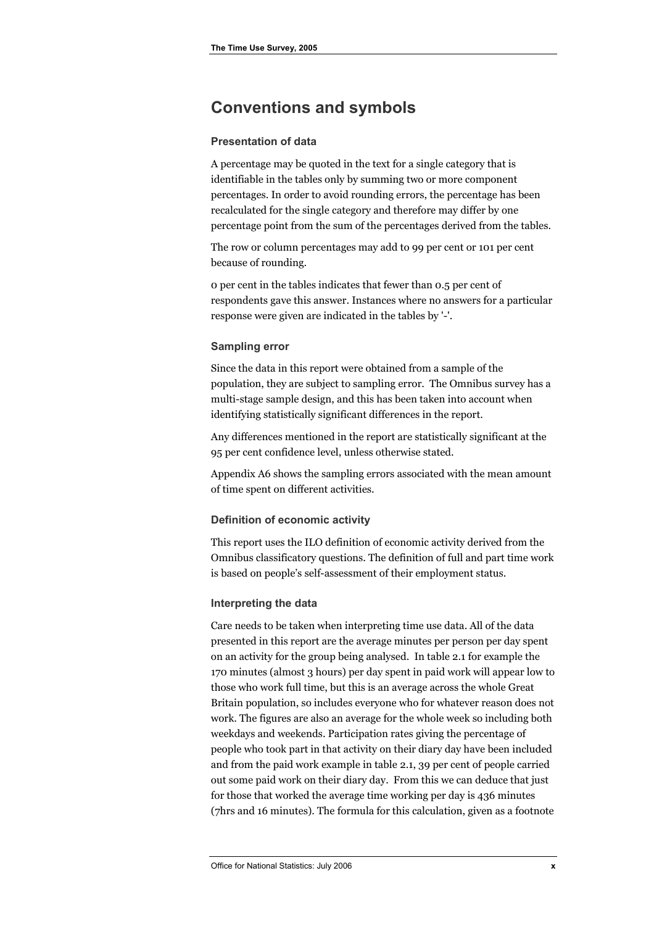### **Conventions and symbols**

#### **Presentation of data**

A percentage may be quoted in the text for a single category that is identifiable in the tables only by summing two or more component percentages. In order to avoid rounding errors, the percentage has been recalculated for the single category and therefore may differ by one percentage point from the sum of the percentages derived from the tables.

The row or column percentages may add to 99 per cent or 101 per cent because of rounding.

0 per cent in the tables indicates that fewer than 0.5 per cent of respondents gave this answer. Instances where no answers for a particular response were given are indicated in the tables by '-'.

#### **Sampling error**

Since the data in this report were obtained from a sample of the population, they are subject to sampling error. The Omnibus survey has a multi-stage sample design, and this has been taken into account when identifying statistically significant differences in the report.

Any differences mentioned in the report are statistically significant at the 95 per cent confidence level, unless otherwise stated.

Appendix A6 shows the sampling errors associated with the mean amount of time spent on different activities.

#### **Definition of economic activity**

This report uses the ILO definition of economic activity derived from the Omnibus classificatory questions. The definition of full and part time work is based on people's self-assessment of their employment status.

#### **Interpreting the data**

Care needs to be taken when interpreting time use data. All of the data presented in this report are the average minutes per person per day spent on an activity for the group being analysed. In table 2.1 for example the 170 minutes (almost 3 hours) per day spent in paid work will appear low to those who work full time, but this is an average across the whole Great Britain population, so includes everyone who for whatever reason does not work. The figures are also an average for the whole week so including both weekdays and weekends. Participation rates giving the percentage of people who took part in that activity on their diary day have been included and from the paid work example in table 2.1, 39 per cent of people carried out some paid work on their diary day. From this we can deduce that just for those that worked the average time working per day is 436 minutes (7hrs and 16 minutes). The formula for this calculation, given as a footnote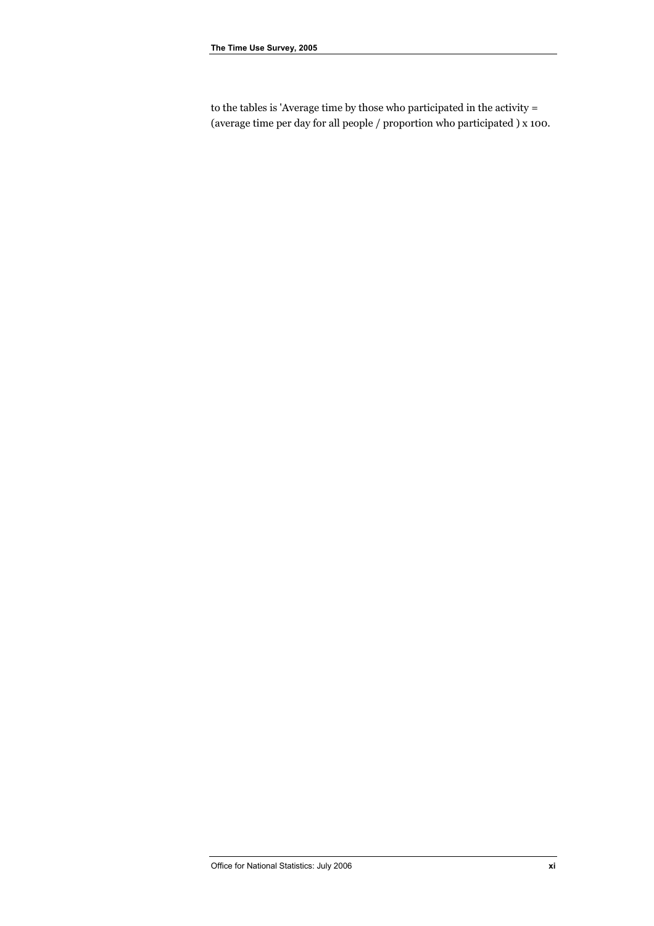to the tables is 'Average time by those who participated in the activity = (average time per day for all people / proportion who participated ) x 100.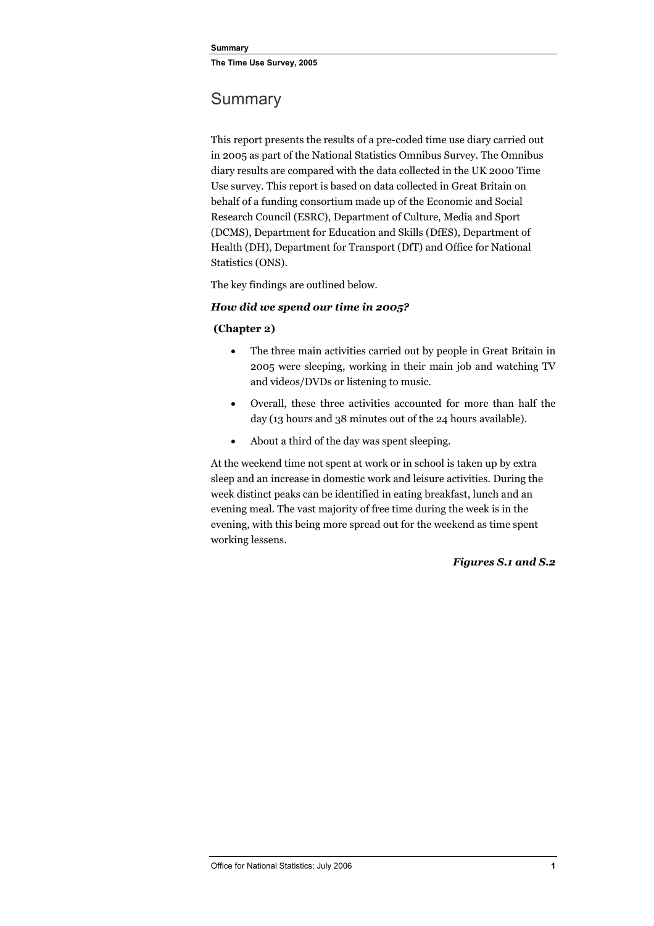### <span id="page-12-0"></span>**Summary**

This report presents the results of a pre-coded time use diary carried out in 2005 as part of the National Statistics Omnibus Survey. The Omnibus diary results are compared with the data collected in the UK 2000 Time Use survey. This report is based on data collected in Great Britain on behalf of a funding consortium made up of the Economic and Social Research Council (ESRC), Department of Culture, Media and Sport (DCMS), Department for Education and Skills (DfES), Department of Health (DH), Department for Transport (DfT) and Office for National Statistics (ONS).

The key findings are outlined below.

#### *How did we spend our time in 2005?*

#### **(Chapter 2)**

- The three main activities carried out by people in Great Britain in 2005 were sleeping, working in their main job and watching TV and videos/DVDs or listening to music.
- Overall, these three activities accounted for more than half the day (13 hours and 38 minutes out of the 24 hours available).
- About a third of the day was spent sleeping.

At the weekend time not spent at work or in school is taken up by extra sleep and an increase in domestic work and leisure activities. During the week distinct peaks can be identified in eating breakfast, lunch and an evening meal. The vast majority of free time during the week is in the evening, with this being more spread out for the weekend as time spent working lessens.

#### *Figures S.1 and S.2*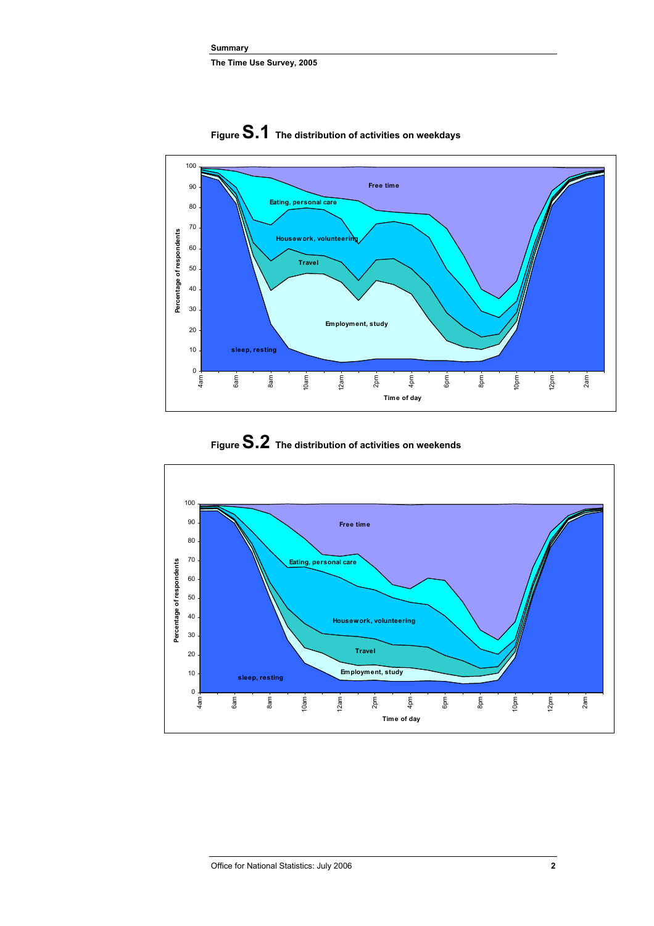

**Figure S.1 The distribution of activities on weekdays** 

### **Figure S.2 The distribution of activities on weekends**

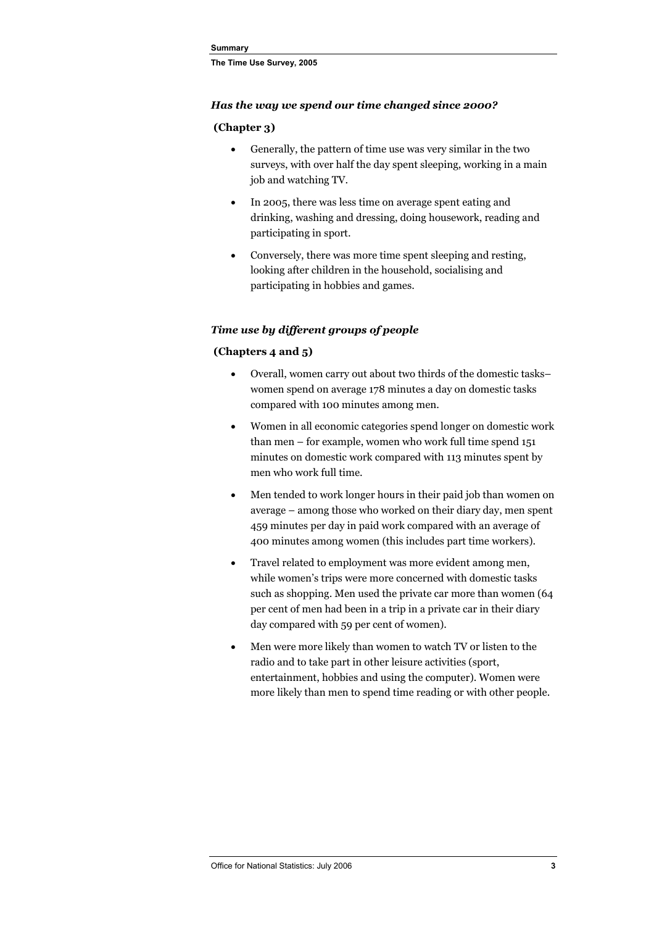#### *Has the way we spend our time changed since 2000?*

#### **(Chapter 3)**

- Generally, the pattern of time use was very similar in the two surveys, with over half the day spent sleeping, working in a main job and watching TV.
- In 2005, there was less time on average spent eating and drinking, washing and dressing, doing housework, reading and participating in sport.
- Conversely, there was more time spent sleeping and resting, looking after children in the household, socialising and participating in hobbies and games.

#### *Time use by different groups of people*

#### **(Chapters 4 and 5)**

- Overall, women carry out about two thirds of the domestic tasks– women spend on average 178 minutes a day on domestic tasks compared with 100 minutes among men.
- Women in all economic categories spend longer on domestic work than men – for example, women who work full time spend 151 minutes on domestic work compared with 113 minutes spent by men who work full time.
- Men tended to work longer hours in their paid job than women on average – among those who worked on their diary day, men spent 459 minutes per day in paid work compared with an average of 400 minutes among women (this includes part time workers).
- Travel related to employment was more evident among men, while women's trips were more concerned with domestic tasks such as shopping. Men used the private car more than women (64 per cent of men had been in a trip in a private car in their diary day compared with 59 per cent of women).
- Men were more likely than women to watch TV or listen to the radio and to take part in other leisure activities (sport, entertainment, hobbies and using the computer). Women were more likely than men to spend time reading or with other people.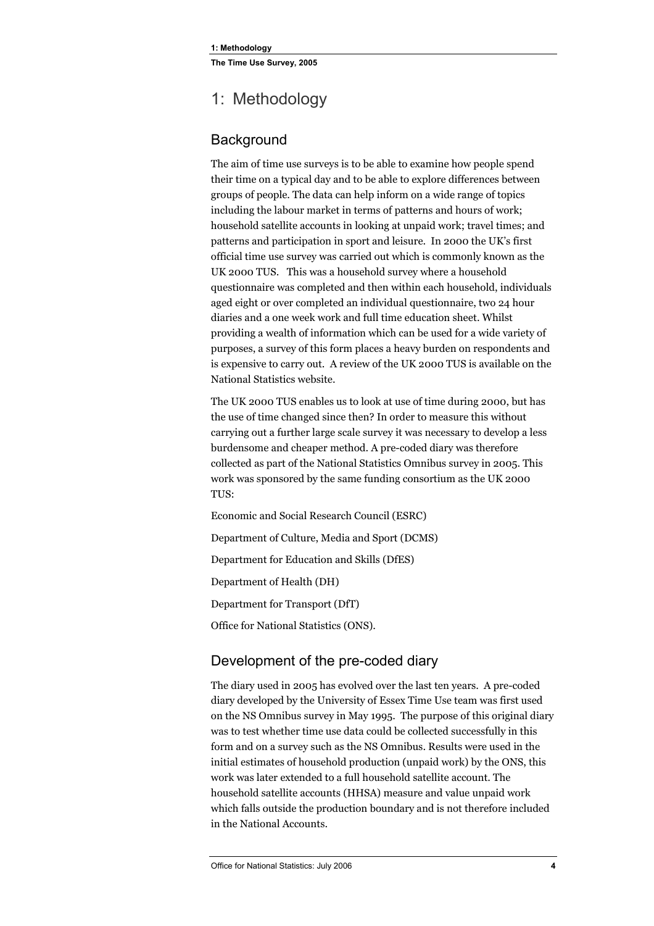### <span id="page-15-0"></span>1: Methodology

#### **Background**

The aim of time use surveys is to be able to examine how people spend their time on a typical day and to be able to explore differences between groups of people. The data can help inform on a wide range of topics including the labour market in terms of patterns and hours of work; household satellite accounts in looking at unpaid work; travel times; and patterns and participation in sport and leisure. In 2000 the UK's first official time use survey was carried out which is commonly known as the UK 2000 TUS. This was a household survey where a household questionnaire was completed and then within each household, individuals aged eight or over completed an individual questionnaire, two 24 hour diaries and a one week work and full time education sheet. Whilst providing a wealth of information which can be used for a wide variety of purposes, a survey of this form places a heavy burden on respondents and is expensive to carry out. A review of the UK 2000 TUS is available on the National Statistics website.

The UK 2000 TUS enables us to look at use of time during 2000, but has the use of time changed since then? In order to measure this without carrying out a further large scale survey it was necessary to develop a less burdensome and cheaper method. A pre-coded diary was therefore collected as part of the National Statistics Omnibus survey in 2005. This work was sponsored by the same funding consortium as the UK 2000 TUS:

Economic and Social Research Council (ESRC)

Department of Culture, Media and Sport (DCMS)

Department for Education and Skills (DfES)

Department of Health (DH)

Department for Transport (DfT)

Office for National Statistics (ONS).

#### Development of the pre-coded diary

The diary used in 2005 has evolved over the last ten years. A pre-coded diary developed by the University of Essex Time Use team was first used on the NS Omnibus survey in May 1995. The purpose of this original diary was to test whether time use data could be collected successfully in this form and on a survey such as the NS Omnibus. Results were used in the initial estimates of household production (unpaid work) by the ONS, this work was later extended to a full household satellite account. The household satellite accounts (HHSA) measure and value unpaid work which falls outside the production boundary and is not therefore included in the National Accounts.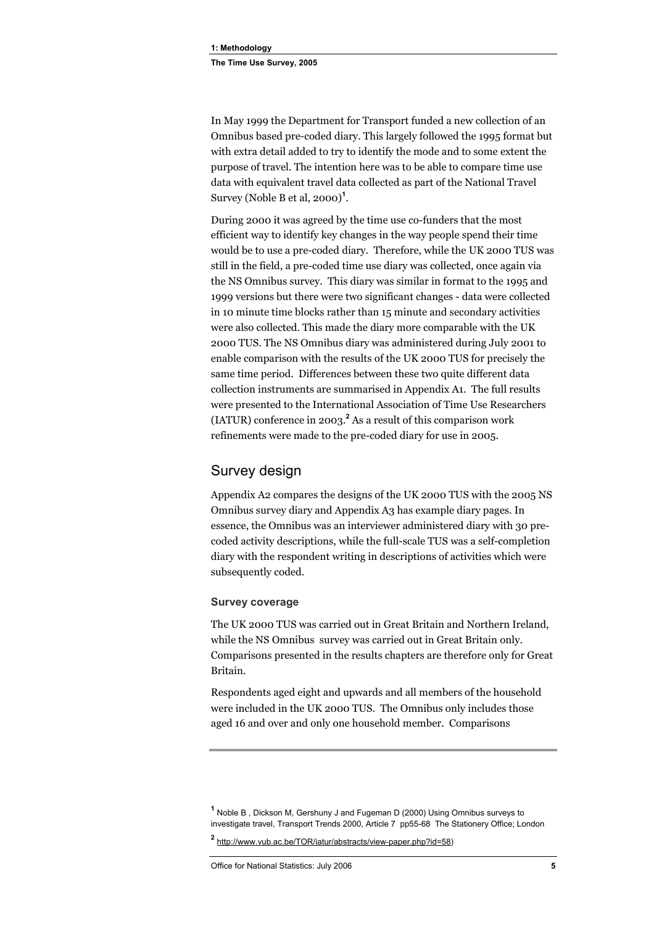<span id="page-16-0"></span>In May 1999 the Department for Transport funded a new collection of an Omnibus based pre-coded diary. This largely followed the 1995 format but with extra detail added to try to identify the mode and to some extent the purpose of travel. The intention here was to be able to compare time use data with equivalent travel data collected as part of the National Travel Survey (Noble B et al, 2000)**<sup>1</sup>** .

During 2000 it was agreed by the time use co-funders that the most efficient way to identify key changes in the way people spend their time would be to use a pre-coded diary. Therefore, while the UK 2000 TUS was still in the field, a pre-coded time use diary was collected, once again via the NS Omnibus survey. This diary was similar in format to the 1995 and 1999 versions but there were two significant changes - data were collected in 10 minute time blocks rather than 15 minute and secondary activities were also collected. This made the diary more comparable with the UK 2000 TUS. The NS Omnibus diary was administered during July 2001 to enable comparison with the results of the UK 2000 TUS for precisely the same time period. Differences between these two quite different data collection instruments are summarised in Appendix A1. The full results were presented to the International Association of Time Use Researchers (IATUR) conference in 2003.**<sup>2</sup>** As a result of this comparison work refinements were made to the pre-coded diary for use in 2005.

#### Survey design

Appendix A2 compares the designs of the UK 2000 TUS with the 2005 NS Omnibus survey diary and Appendix A3 has example diary pages. In essence, the Omnibus was an interviewer administered diary with 30 precoded activity descriptions, while the full-scale TUS was a self-completion diary with the respondent writing in descriptions of activities which were subsequently coded.

#### **Survey coverage**

The UK 2000 TUS was carried out in Great Britain and Northern Ireland, while the NS Omnibus survey was carried out in Great Britain only. Comparisons presented in the results chapters are therefore only for Great Britain.

Respondents aged eight and upwards and all members of the household were included in the UK 2000 TUS. The Omnibus only includes those aged 16 and over and only one household member. Comparisons

**<sup>1</sup>** Noble B , Dickson M, Gershuny J and Fugeman D (2000) Using Omnibus surveys to investigate travel, Transport Trends 2000, Article 7 pp55-68 The Stationery Office; London

**<sup>2</sup>** http://www.vub.ac.be/TOR/iatur/abstracts/view-paper.php?id=58)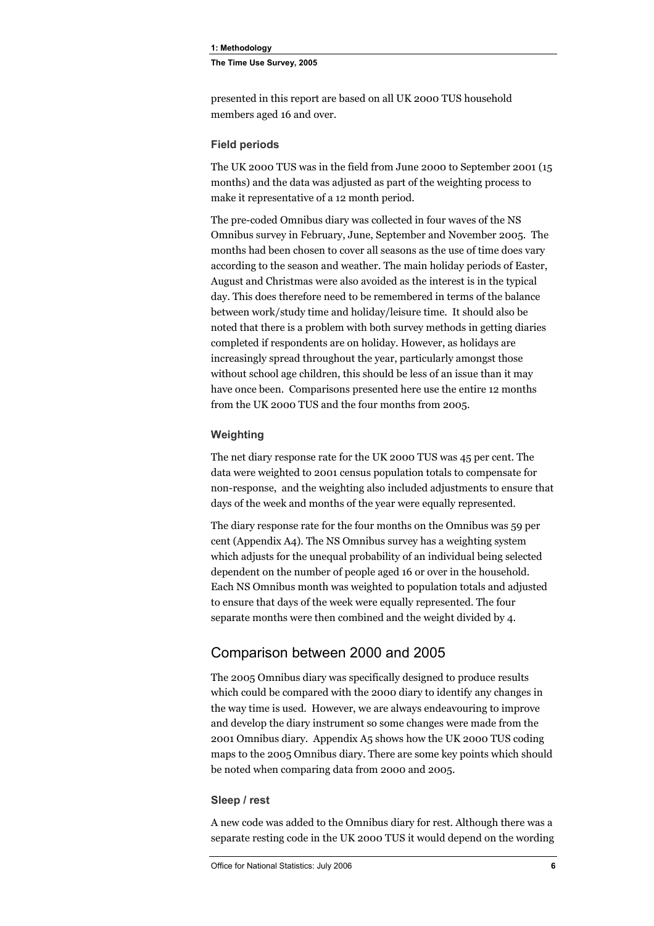<span id="page-17-0"></span>**1: Methodology** 

**The Time Use Survey, 2005** 

presented in this report are based on all UK 2000 TUS household members aged 16 and over.

#### **Field periods**

The UK 2000 TUS was in the field from June 2000 to September 2001 (15 months) and the data was adjusted as part of the weighting process to make it representative of a 12 month period.

The pre-coded Omnibus diary was collected in four waves of the NS Omnibus survey in February, June, September and November 2005. The months had been chosen to cover all seasons as the use of time does vary according to the season and weather. The main holiday periods of Easter, August and Christmas were also avoided as the interest is in the typical day. This does therefore need to be remembered in terms of the balance between work/study time and holiday/leisure time. It should also be noted that there is a problem with both survey methods in getting diaries completed if respondents are on holiday. However, as holidays are increasingly spread throughout the year, particularly amongst those without school age children, this should be less of an issue than it may have once been. Comparisons presented here use the entire 12 months from the UK 2000 TUS and the four months from 2005.

#### **Weighting**

The net diary response rate for the UK 2000 TUS was 45 per cent. The data were weighted to 2001 census population totals to compensate for non-response, and the weighting also included adjustments to ensure that days of the week and months of the year were equally represented.

The diary response rate for the four months on the Omnibus was 59 per cent (Appendix A4). The NS Omnibus survey has a weighting system which adjusts for the unequal probability of an individual being selected dependent on the number of people aged 16 or over in the household. Each NS Omnibus month was weighted to population totals and adjusted to ensure that days of the week were equally represented. The four separate months were then combined and the weight divided by 4.

#### Comparison between 2000 and 2005

The 2005 Omnibus diary was specifically designed to produce results which could be compared with the 2000 diary to identify any changes in the way time is used. However, we are always endeavouring to improve and develop the diary instrument so some changes were made from the 2001 Omnibus diary. Appendix A5 shows how the UK 2000 TUS coding maps to the 2005 Omnibus diary. There are some key points which should be noted when comparing data from 2000 and 2005.

#### **Sleep / rest**

A new code was added to the Omnibus diary for rest. Although there was a separate resting code in the UK 2000 TUS it would depend on the wording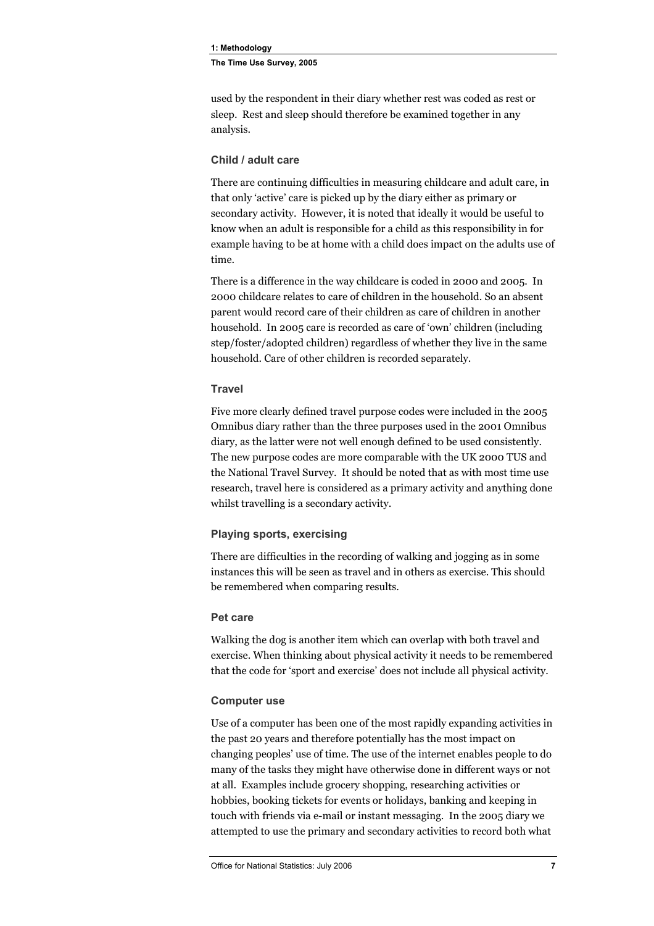**1: Methodology The Time Use Survey, 2005** 

used by the respondent in their diary whether rest was coded as rest or sleep. Rest and sleep should therefore be examined together in any analysis.

#### **Child / adult care**

There are continuing difficulties in measuring childcare and adult care, in that only 'active' care is picked up by the diary either as primary or secondary activity. However, it is noted that ideally it would be useful to know when an adult is responsible for a child as this responsibility in for example having to be at home with a child does impact on the adults use of time.

There is a difference in the way childcare is coded in 2000 and 2005. In 2000 childcare relates to care of children in the household. So an absent parent would record care of their children as care of children in another household. In 2005 care is recorded as care of 'own' children (including step/foster/adopted children) regardless of whether they live in the same household. Care of other children is recorded separately.

#### **Travel**

Five more clearly defined travel purpose codes were included in the 2005 Omnibus diary rather than the three purposes used in the 2001 Omnibus diary, as the latter were not well enough defined to be used consistently. The new purpose codes are more comparable with the UK 2000 TUS and the National Travel Survey. It should be noted that as with most time use research, travel here is considered as a primary activity and anything done whilst travelling is a secondary activity.

#### **Playing sports, exercising**

There are difficulties in the recording of walking and jogging as in some instances this will be seen as travel and in others as exercise. This should be remembered when comparing results.

#### **Pet care**

Walking the dog is another item which can overlap with both travel and exercise. When thinking about physical activity it needs to be remembered that the code for 'sport and exercise' does not include all physical activity.

#### **Computer use**

Use of a computer has been one of the most rapidly expanding activities in the past 20 years and therefore potentially has the most impact on changing peoples' use of time. The use of the internet enables people to do many of the tasks they might have otherwise done in different ways or not at all. Examples include grocery shopping, researching activities or hobbies, booking tickets for events or holidays, banking and keeping in touch with friends via e-mail or instant messaging. In the 2005 diary we attempted to use the primary and secondary activities to record both what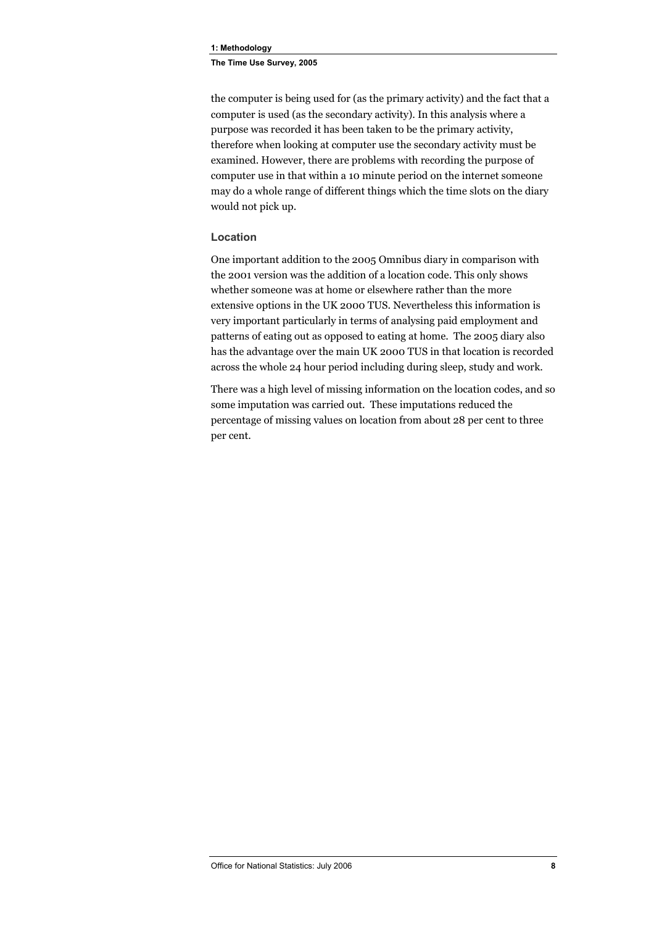#### **1: Methodology**

**The Time Use Survey, 2005** 

the computer is being used for (as the primary activity) and the fact that a computer is used (as the secondary activity). In this analysis where a purpose was recorded it has been taken to be the primary activity, therefore when looking at computer use the secondary activity must be examined. However, there are problems with recording the purpose of computer use in that within a 10 minute period on the internet someone may do a whole range of different things which the time slots on the diary would not pick up.

#### **Location**

One important addition to the 2005 Omnibus diary in comparison with the 2001 version was the addition of a location code. This only shows whether someone was at home or elsewhere rather than the more extensive options in the UK 2000 TUS. Nevertheless this information is very important particularly in terms of analysing paid employment and patterns of eating out as opposed to eating at home. The 2005 diary also has the advantage over the main UK 2000 TUS in that location is recorded across the whole 24 hour period including during sleep, study and work.

There was a high level of missing information on the location codes, and so some imputation was carried out. These imputations reduced the percentage of missing values on location from about 28 per cent to three per cent.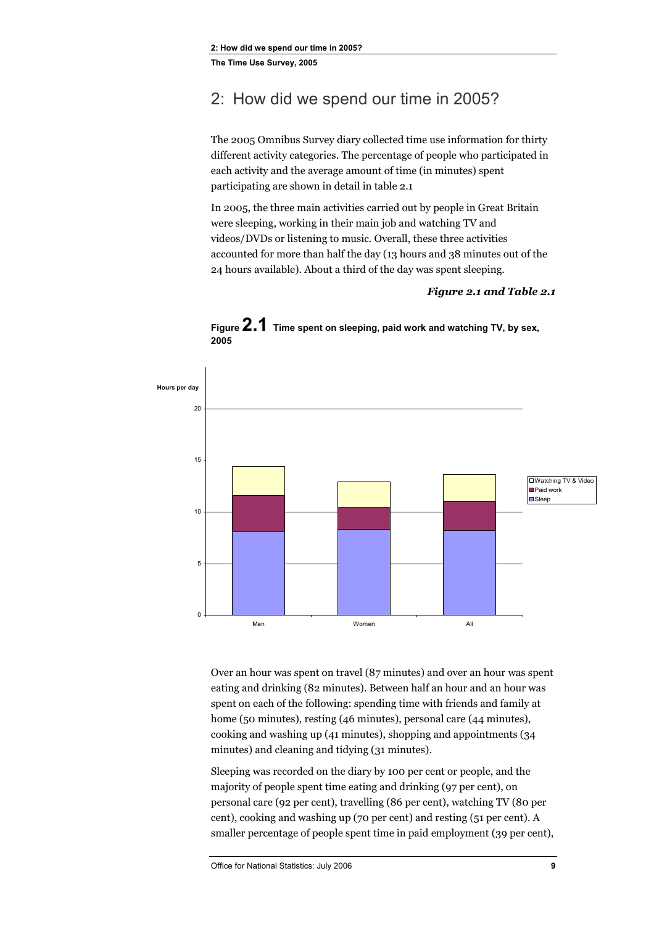### <span id="page-20-0"></span>2: How did we spend our time in 2005?

The 2005 Omnibus Survey diary collected time use information for thirty different activity categories. The percentage of people who participated in each activity and the average amount of time (in minutes) spent participating are shown in detail in table 2.1

In 2005, the three main activities carried out by people in Great Britain were sleeping, working in their main job and watching TV and videos/DVDs or listening to music. Overall, these three activities accounted for more than half the day (13 hours and 38 minutes out of the 24 hours available). About a third of the day was spent sleeping.

#### *Figure 2.1 and Table 2.1*



**Figure 2.1 Time spent on sleeping, paid work and watching TV, by sex, 2005** 

Over an hour was spent on travel (87 minutes) and over an hour was spent eating and drinking (82 minutes). Between half an hour and an hour was spent on each of the following: spending time with friends and family at home (50 minutes), resting (46 minutes), personal care (44 minutes), cooking and washing up (41 minutes), shopping and appointments (34 minutes) and cleaning and tidying (31 minutes).

Sleeping was recorded on the diary by 100 per cent or people, and the majority of people spent time eating and drinking (97 per cent), on personal care (92 per cent), travelling (86 per cent), watching TV (80 per cent), cooking and washing up (70 per cent) and resting (51 per cent). A smaller percentage of people spent time in paid employment (39 per cent),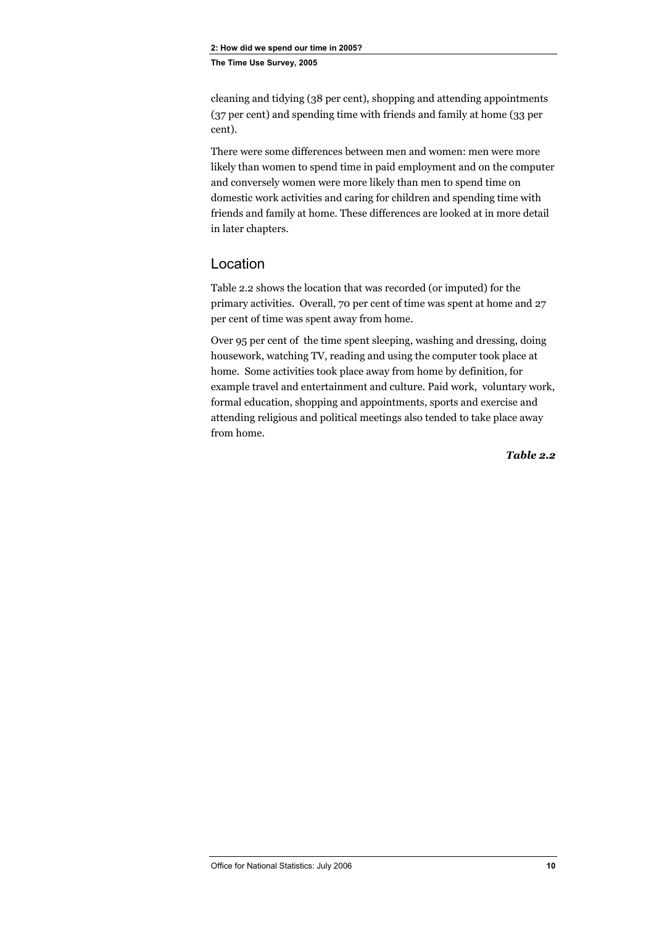<span id="page-21-0"></span>cleaning and tidying (38 per cent), shopping and attending appointments (37 per cent) and spending time with friends and family at home (33 per cent).

There were some differences between men and women: men were more likely than women to spend time in paid employment and on the computer and conversely women were more likely than men to spend time on domestic work activities and caring for children and spending time with friends and family at home. These differences are looked at in more detail in later chapters.

#### Location

Table 2.2 shows the location that was recorded (or imputed) for the primary activities. Overall, 70 per cent of time was spent at home and 27 per cent of time was spent away from home.

Over 95 per cent of the time spent sleeping, washing and dressing, doing housework, watching TV, reading and using the computer took place at home. Some activities took place away from home by definition, for example travel and entertainment and culture. Paid work, voluntary work, formal education, shopping and appointments, sports and exercise and attending religious and political meetings also tended to take place away from home.

*Table 2.2*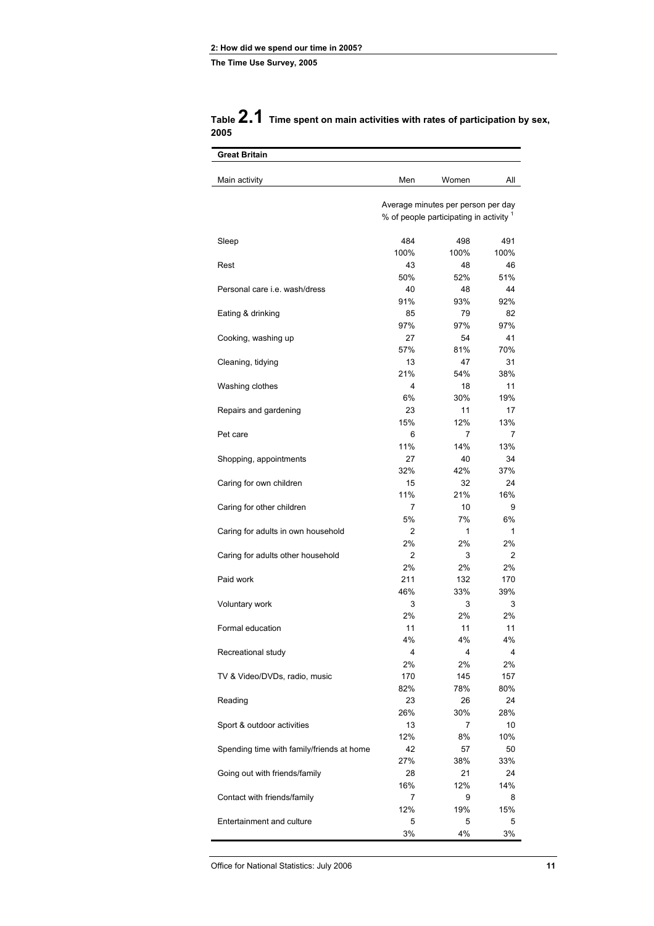|      | Table 2.1 Time spent on main activities with rates of participation by sex, |
|------|-----------------------------------------------------------------------------|
| 2005 |                                                                             |

| <b>Great Britain</b>                      |                |                                                                               |                |
|-------------------------------------------|----------------|-------------------------------------------------------------------------------|----------------|
| Main activity                             | Men            | Women                                                                         | All            |
|                                           |                | Average minutes per person per day<br>% of people participating in activity 1 |                |
|                                           |                |                                                                               |                |
| Sleep                                     | 484            | 498                                                                           | 491            |
|                                           | 100%           | 100%                                                                          | 100%           |
| Rest                                      | 43             | 48                                                                            | 46             |
|                                           | 50%            | 52%                                                                           | 51%            |
| Personal care <i>i.e.</i> wash/dress      | 40             | 48                                                                            | 44             |
|                                           | 91%            | 93%                                                                           | 92%            |
| Eating & drinking                         | 85             | 79                                                                            | 82             |
|                                           | 97%            | 97%                                                                           | 97%            |
| Cooking, washing up                       | 27             | 54                                                                            | 41             |
|                                           | 57%            | 81%                                                                           | 70%            |
| Cleaning, tidying                         | 13             | 47                                                                            | 31             |
|                                           | 21%            | 54%                                                                           | 38%            |
| Washing clothes                           | 4              | 18                                                                            | 11             |
|                                           | 6%             | 30%                                                                           | 19%            |
| Repairs and gardening                     | 23             | 11                                                                            | 17             |
|                                           | 15%            | 12%                                                                           | 13%            |
| Pet care                                  | 6              | 7                                                                             | 7              |
|                                           | 11%            | 14%                                                                           | 13%            |
| Shopping, appointments                    | 27             | 40                                                                            | 34             |
|                                           | 32%<br>15      | 42%<br>32                                                                     | 37%<br>24      |
| Caring for own children                   | 11%            | 21%                                                                           | 16%            |
| Caring for other children                 | 7              | 10                                                                            | 9              |
|                                           | 5%             | 7%                                                                            | 6%             |
| Caring for adults in own household        | 2              | 1                                                                             | 1              |
|                                           | 2%             | 2%                                                                            | 2%             |
| Caring for adults other household         | $\overline{2}$ | 3                                                                             | $\overline{2}$ |
|                                           | 2%             | 2%                                                                            | 2%             |
| Paid work                                 | 211            | 132                                                                           | 170            |
|                                           | 46%            | 33%                                                                           | 39%            |
| Voluntary work                            | 3              | 3                                                                             | 3              |
|                                           | 2%             | 2%                                                                            | 2%             |
| Formal education                          | 11             | 11                                                                            | 11             |
|                                           | 4%             | 4%                                                                            | 4%             |
| Recreational study                        | 4              | 4                                                                             | 4              |
|                                           | 2%             | 2%                                                                            | 2%             |
| TV & Video/DVDs, radio, music             | 170            | 145                                                                           | 157            |
|                                           | 82%            | 78%                                                                           | 80%            |
| Reading                                   | 23             | 26                                                                            | 24             |
|                                           | 26%            | 30%                                                                           | 28%            |
| Sport & outdoor activities                | 13             | 7                                                                             | 10             |
|                                           | 12%            | 8%                                                                            | 10%            |
| Spending time with family/friends at home | 42             | 57                                                                            | 50             |
|                                           | 27%            | 38%                                                                           | 33%            |
| Going out with friends/family             | 28             | 21                                                                            | 24             |
|                                           | 16%            | 12%                                                                           | 14%            |
| Contact with friends/family               | 7              | 9                                                                             | 8              |
| Entertainment and culture                 | 12%<br>5       | 19%<br>5                                                                      | 15%<br>5       |
|                                           | 3%             | 4%                                                                            | 3%             |
|                                           |                |                                                                               |                |

Office for National Statistics: July 2006 **11**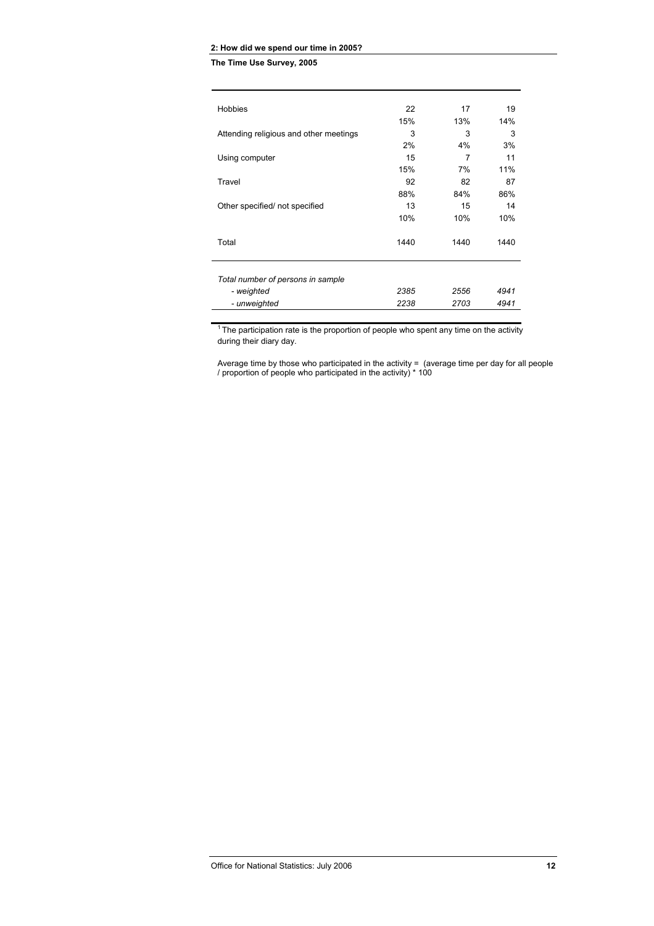#### **2: How did we spend our time in 2005?**

**The Time Use Survey, 2005** 

| <b>Hobbies</b>                         | 22   | 17   | 19   |
|----------------------------------------|------|------|------|
|                                        | 15%  | 13%  | 14%  |
| Attending religious and other meetings | 3    | 3    | 3    |
|                                        | 2%   | 4%   | 3%   |
| Using computer                         | 15   | 7    | 11   |
|                                        | 15%  | 7%   | 11%  |
| Travel                                 | 92   | 82   | 87   |
|                                        | 88%  | 84%  | 86%  |
| Other specified/not specified          | 13   | 15   | 14   |
|                                        | 10%  | 10%  | 10%  |
| Total                                  | 1440 | 1440 | 1440 |
| Total number of persons in sample      |      |      |      |
| - weighted                             | 2385 | 2556 | 4941 |
| - unweighted                           | 2238 | 2703 | 4941 |
|                                        |      |      |      |

 $1$ <sup>1</sup> The participation rate is the proportion of people who spent any time on the activity during their diary day.

Average time by those who participated in the activity = (average time per day for all people / proportion of people who participated in the activity) \* 100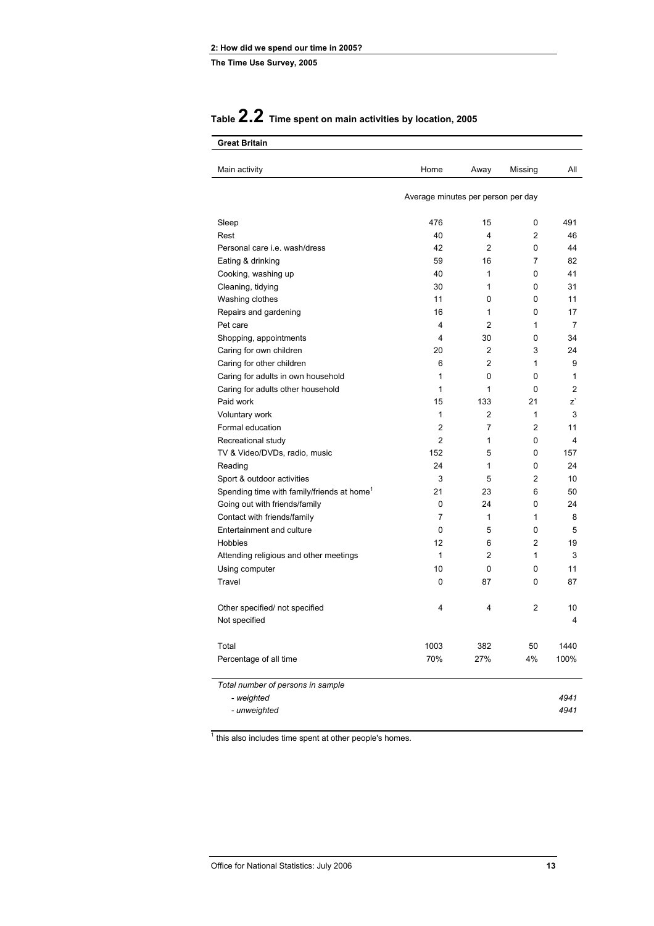### **Table 2.2 Time spent on main activities by location, 2005**

| Main activity                                          | Home                               | Away           | Missing        | All            |
|--------------------------------------------------------|------------------------------------|----------------|----------------|----------------|
|                                                        | Average minutes per person per day |                |                |                |
| Sleep                                                  | 476                                | 15             | 0              | 491            |
| Rest                                                   | 40                                 | 4              | 2              | 46             |
| Personal care <i>i.e.</i> wash/dress                   | 42                                 | $\overline{2}$ | 0              | 44             |
| Eating & drinking                                      | 59                                 | 16             | 7              | 82             |
| Cooking, washing up                                    | 40                                 | 1              | 0              | 41             |
| Cleaning, tidying                                      | 30                                 | 1              | 0              | 31             |
| Washing clothes                                        | 11                                 | 0              | 0              | 11             |
| Repairs and gardening                                  | 16                                 | 1              | 0              | 17             |
| Pet care                                               | 4                                  | $\overline{2}$ | 1              | 7              |
| Shopping, appointments                                 | 4                                  | 30             | 0              | 34             |
| Caring for own children                                | 20                                 | 2              | 3              | 24             |
| Caring for other children                              | 6                                  | $\overline{2}$ | $\mathbf{1}$   | 9              |
| Caring for adults in own household                     | 1                                  | 0              | $\Omega$       | 1              |
| Caring for adults other household                      | 1                                  | 1              | 0              | $\overline{2}$ |
| Paid work                                              | 15                                 | 133            | 21             | z`             |
| Voluntary work                                         | 1                                  | $\overline{2}$ | $\mathbf{1}$   | 3              |
| Formal education                                       | 2                                  | 7              | $\overline{2}$ | 11             |
| Recreational study                                     | 2                                  | 1              | 0              | 4              |
| TV & Video/DVDs, radio, music                          | 152                                | 5              | 0              | 157            |
| Reading                                                | 24                                 | 1              | 0              | 24             |
| Sport & outdoor activities                             | 3                                  | 5              | $\overline{2}$ | 10             |
| Spending time with family/friends at home <sup>1</sup> | 21                                 | 23             | 6              | 50             |
| Going out with friends/family                          | 0                                  | 24             | 0              | 24             |
| Contact with friends/family                            | 7                                  | 1              | $\mathbf{1}$   | 8              |
| Entertainment and culture                              | 0                                  | 5              | 0              | 5              |
| Hobbies                                                | 12                                 | 6              | $\overline{2}$ | 19             |
| Attending religious and other meetings                 | 1                                  | 2              | $\mathbf{1}$   | 3              |
| Using computer                                         | 10                                 | 0              | 0              | 11             |
| Travel                                                 | 0                                  | 87             | 0              | 87             |
| Other specified/ not specified                         | 4                                  | 4              | 2              | 10             |
| Not specified                                          |                                    |                |                | 4              |
| Total                                                  | 1003                               | 382            | 50             | 1440           |
| Percentage of all time                                 | 70%                                | 27%            | 4%             | 100%           |
| Total number of persons in sample                      |                                    |                |                |                |
| - weighted                                             |                                    |                |                | 4941           |
| - unweighted                                           |                                    |                |                | 4941           |

 $<sup>1</sup>$  this also includes time spent at other people's homes.</sup>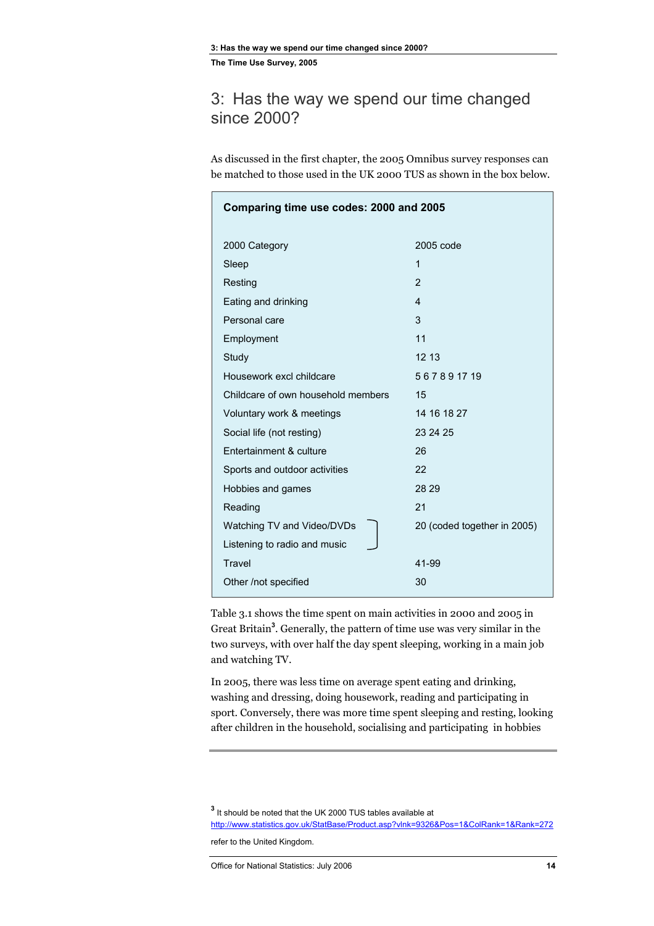### <span id="page-25-0"></span>3: Has the way we spend our time changed since 2000?

As discussed in the first chapter, the 2005 Omnibus survey responses can be matched to those used in the UK 2000 TUS as shown in the box below.

| Comparing time use codes: 2000 and 2005 |                             |  |  |  |
|-----------------------------------------|-----------------------------|--|--|--|
| 2000 Category                           | 2005 code                   |  |  |  |
| Sleep                                   | 1                           |  |  |  |
| Resting                                 | 2                           |  |  |  |
| Eating and drinking                     | 4                           |  |  |  |
| Personal care                           | 3                           |  |  |  |
| Employment                              | 11                          |  |  |  |
| Study                                   | 12 13                       |  |  |  |
| Housework excl childcare                | 567891719                   |  |  |  |
| Childcare of own household members      | 15                          |  |  |  |
| Voluntary work & meetings               | 14 16 18 27                 |  |  |  |
| Social life (not resting)               | 23 24 25                    |  |  |  |
| Entertainment & culture                 | 26                          |  |  |  |
| Sports and outdoor activities           | 22                          |  |  |  |
| Hobbies and games                       | 28 29                       |  |  |  |
| Reading                                 | 21                          |  |  |  |
| Watching TV and Video/DVDs              | 20 (coded together in 2005) |  |  |  |
| Listening to radio and music            |                             |  |  |  |
| Travel                                  | 41-99                       |  |  |  |
| Other /not specified                    | 30                          |  |  |  |

Table 3.1 shows the time spent on main activities in 2000 and 2005 in Great Britain**<sup>3</sup>** . Generally, the pattern of time use was very similar in the two surveys, with over half the day spent sleeping, working in a main job and watching TV.

In 2005, there was less time on average spent eating and drinking, washing and dressing, doing housework, reading and participating in sport. Conversely, there was more time spent sleeping and resting, looking after children in the household, socialising and participating in hobbies

**3** It should be noted that the UK 2000 TUS tables available at http://www.statistics.gov.uk/StatBase/Product.asp?vlnk=9326&Pos=1&ColRank=1&Rank=272

refer to the United Kingdom.

Office for National Statistics: July 2006 **14**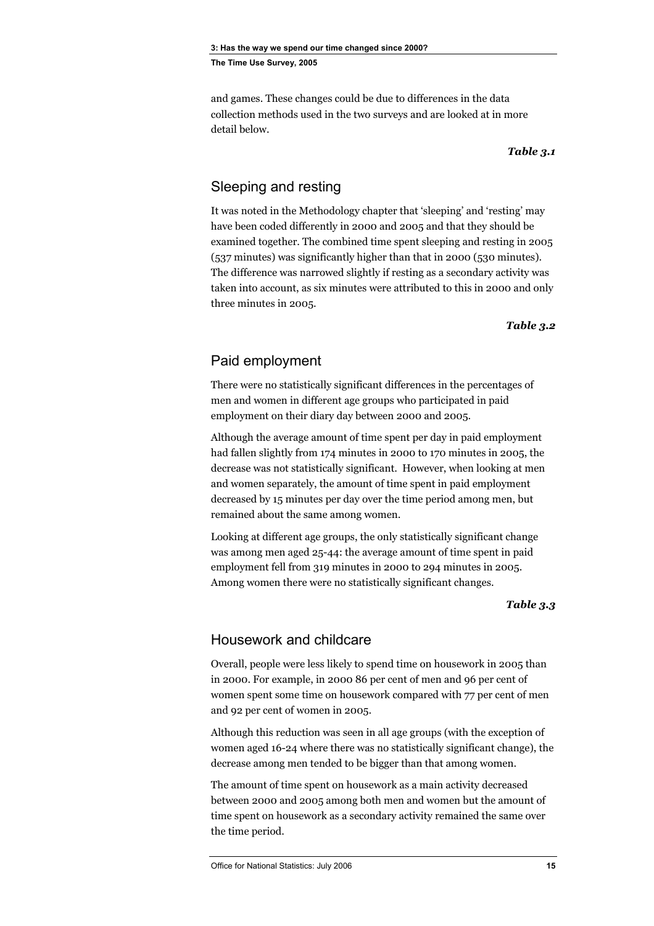<span id="page-26-0"></span>and games. These changes could be due to differences in the data collection methods used in the two surveys and are looked at in more detail below.

*Table 3.1* 

#### Sleeping and resting

It was noted in the Methodology chapter that 'sleeping' and 'resting' may have been coded differently in 2000 and 2005 and that they should be examined together. The combined time spent sleeping and resting in 2005 (537 minutes) was significantly higher than that in 2000 (530 minutes). The difference was narrowed slightly if resting as a secondary activity was taken into account, as six minutes were attributed to this in 2000 and only three minutes in 2005.

*Table 3.2* 

#### Paid employment

There were no statistically significant differences in the percentages of men and women in different age groups who participated in paid employment on their diary day between 2000 and 2005.

Although the average amount of time spent per day in paid employment had fallen slightly from 174 minutes in 2000 to 170 minutes in 2005, the decrease was not statistically significant. However, when looking at men and women separately, the amount of time spent in paid employment decreased by 15 minutes per day over the time period among men, but remained about the same among women.

Looking at different age groups, the only statistically significant change was among men aged 25-44: the average amount of time spent in paid employment fell from 319 minutes in 2000 to 294 minutes in 2005. Among women there were no statistically significant changes.

#### *Table 3.3*

#### Housework and childcare

Overall, people were less likely to spend time on housework in 2005 than in 2000. For example, in 2000 86 per cent of men and 96 per cent of women spent some time on housework compared with 77 per cent of men and 92 per cent of women in 2005.

Although this reduction was seen in all age groups (with the exception of women aged 16-24 where there was no statistically significant change), the decrease among men tended to be bigger than that among women.

The amount of time spent on housework as a main activity decreased between 2000 and 2005 among both men and women but the amount of time spent on housework as a secondary activity remained the same over the time period.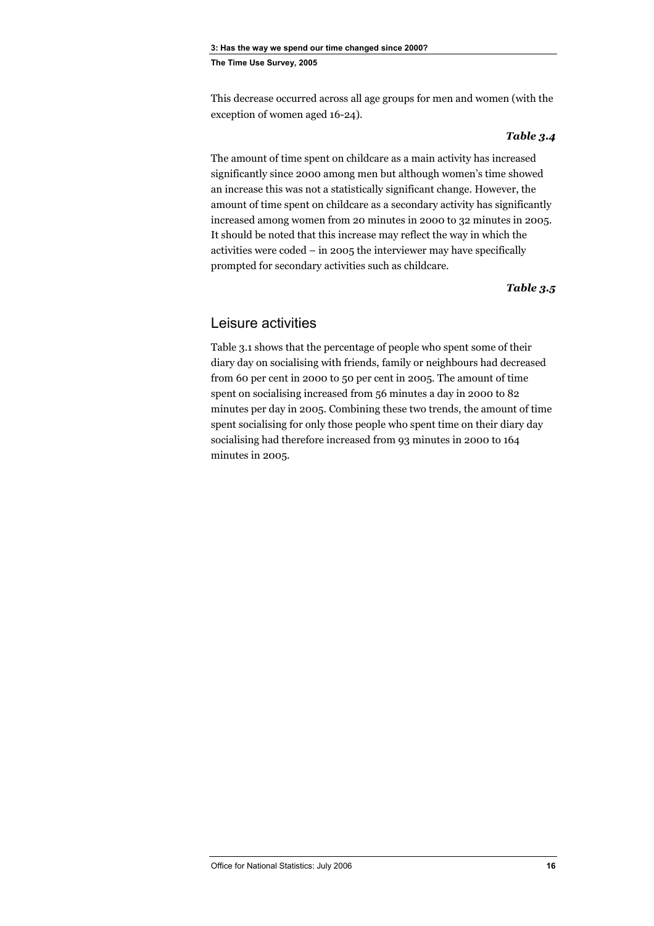<span id="page-27-0"></span>This decrease occurred across all age groups for men and women (with the exception of women aged 16-24).

#### *Table 3.4*

The amount of time spent on childcare as a main activity has increased significantly since 2000 among men but although women's time showed an increase this was not a statistically significant change. However, the amount of time spent on childcare as a secondary activity has significantly increased among women from 20 minutes in 2000 to 32 minutes in 2005. It should be noted that this increase may reflect the way in which the activities were coded – in 2005 the interviewer may have specifically prompted for secondary activities such as childcare.

*Table 3.5* 

#### Leisure activities

Table 3.1 shows that the percentage of people who spent some of their diary day on socialising with friends, family or neighbours had decreased from 60 per cent in 2000 to 50 per cent in 2005. The amount of time spent on socialising increased from 56 minutes a day in 2000 to 82 minutes per day in 2005. Combining these two trends, the amount of time spent socialising for only those people who spent time on their diary day socialising had therefore increased from 93 minutes in 2000 to 164 minutes in 2005.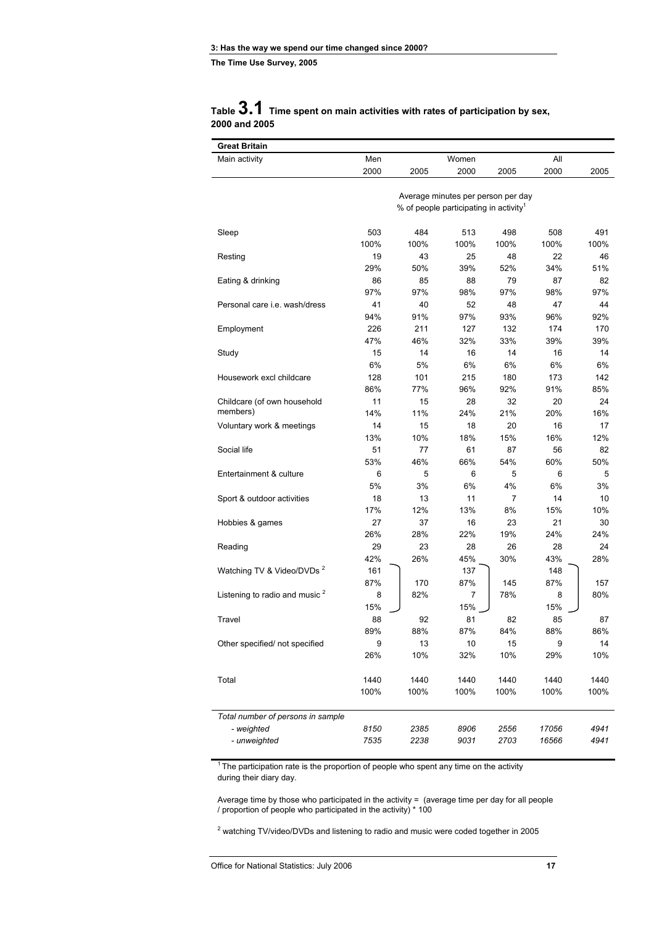#### **Table 3.1 Time spent on main activities with rates of participation by sex, 2000 and 2005**

| <b>Great Britain</b>                      |      |      |                                                                                          |      |       |      |
|-------------------------------------------|------|------|------------------------------------------------------------------------------------------|------|-------|------|
| Main activity                             | Men  |      | Women                                                                                    |      | All   |      |
|                                           | 2000 | 2005 | 2000                                                                                     | 2005 | 2000  | 2005 |
|                                           |      |      |                                                                                          |      |       |      |
|                                           |      |      | Average minutes per person per day<br>% of people participating in activity <sup>1</sup> |      |       |      |
|                                           |      |      |                                                                                          |      |       |      |
| Sleep                                     | 503  | 484  | 513                                                                                      | 498  | 508   | 491  |
|                                           | 100% | 100% | 100%                                                                                     | 100% | 100%  | 100% |
| Resting                                   | 19   | 43   | 25                                                                                       | 48   | 22    | 46   |
|                                           | 29%  | 50%  | 39%                                                                                      | 52%  | 34%   | 51%  |
| Eating & drinking                         | 86   | 85   | 88                                                                                       | 79   | 87    | 82   |
|                                           | 97%  | 97%  | 98%                                                                                      | 97%  | 98%   | 97%  |
| Personal care <i>i.e.</i> wash/dress      | 41   | 40   | 52                                                                                       | 48   | 47    | 44   |
|                                           | 94%  | 91%  | 97%                                                                                      | 93%  | 96%   | 92%  |
| Employment                                | 226  | 211  | 127                                                                                      | 132  | 174   | 170  |
|                                           | 47%  | 46%  | 32%                                                                                      | 33%  | 39%   | 39%  |
| Study                                     | 15   | 14   | 16                                                                                       | 14   | 16    | 14   |
|                                           | 6%   | 5%   | 6%                                                                                       | 6%   | 6%    | 6%   |
| Housework excl childcare                  | 128  | 101  | 215                                                                                      | 180  | 173   | 142  |
|                                           | 86%  | 77%  | 96%                                                                                      | 92%  | 91%   | 85%  |
| Childcare (of own household               | 11   | 15   | 28                                                                                       | 32   | 20    | 24   |
| members)                                  | 14%  | 11%  | 24%                                                                                      | 21%  | 20%   | 16%  |
| Voluntary work & meetings                 | 14   | 15   | 18                                                                                       | 20   | 16    | 17   |
|                                           | 13%  | 10%  | 18%                                                                                      | 15%  | 16%   | 12%  |
| Social life                               | 51   | 77   | 61                                                                                       | 87   | 56    | 82   |
|                                           | 53%  | 46%  | 66%                                                                                      | 54%  | 60%   | 50%  |
| Entertainment & culture                   | 6    | 5    | 6                                                                                        | 5    | 6     | 5    |
|                                           | 5%   | 3%   | 6%                                                                                       | 4%   | 6%    | 3%   |
| Sport & outdoor activities                | 18   | 13   | 11                                                                                       | 7    | 14    | 10   |
|                                           | 17%  | 12%  | 13%                                                                                      | 8%   | 15%   | 10%  |
| Hobbies & games                           | 27   | 37   | 16                                                                                       | 23   | 21    | 30   |
|                                           | 26%  | 28%  | 22%                                                                                      | 19%  | 24%   | 24%  |
| Reading                                   | 29   | 23   | 28                                                                                       | 26   | 28    | 24   |
|                                           | 42%  | 26%  | 45%                                                                                      | 30%  | 43%   | 28%  |
| Watching TV & Video/DVDs <sup>2</sup>     | 161  |      | 137                                                                                      |      | 148   |      |
|                                           | 87%  | 170  | 87%                                                                                      | 145  | 87%   | 157  |
| Listening to radio and music <sup>2</sup> | 8    | 82%  | 7                                                                                        | 78%  | 8     | 80%  |
|                                           | 15%  |      | 15%                                                                                      |      | 15%   |      |
| Travel                                    | 88   | 92   | 81                                                                                       | 82   | 85    | 87   |
|                                           | 89%  | 88%  | 87%                                                                                      | 84%  | 88%   | 86%  |
| Other specified/ not specified            | 9    | 13   | 10                                                                                       | 15   | 9     | 14   |
|                                           | 26%  | 10%  | 32%                                                                                      | 10%  | 29%   | 10%  |
| Total                                     | 1440 | 1440 | 1440                                                                                     | 1440 | 1440  | 1440 |
|                                           | 100% | 100% | 100%                                                                                     | 100% | 100%  | 100% |
| Total number of persons in sample         |      |      |                                                                                          |      |       |      |
| - weighted                                | 8150 | 2385 | 8906                                                                                     | 2556 | 17056 | 4941 |
| - unweighted                              | 7535 | 2238 | 9031                                                                                     | 2703 | 16566 | 4941 |

<sup>1</sup> The participation rate is the proportion of people who spent any time on the activity during their diary day.

Average time by those who participated in the activity = (average time per day for all people / proportion of people who participated in the activity) \* 100

 $2$  watching TV/video/DVDs and listening to radio and music were coded together in 2005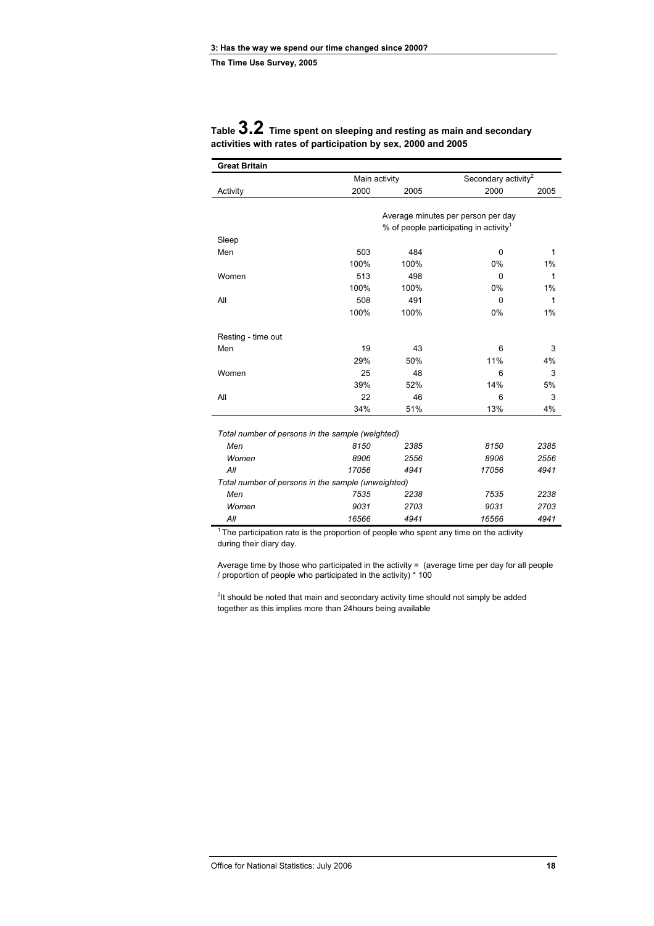| <b>Great Britain</b>                             |               |      |                                                    |      |
|--------------------------------------------------|---------------|------|----------------------------------------------------|------|
|                                                  | Main activity |      | Secondary activity <sup>2</sup>                    |      |
| Activity                                         | 2000          | 2005 | 2000                                               | 2005 |
|                                                  |               |      |                                                    |      |
|                                                  |               |      | Average minutes per person per day                 |      |
|                                                  |               |      | % of people participating in activity <sup>1</sup> |      |
| Sleep                                            |               |      |                                                    |      |
| Men                                              | 503           | 484  | $\Omega$                                           | 1    |
|                                                  | 100%          | 100% | 0%                                                 | 1%   |
| Women                                            | 513           | 498  | $\Omega$                                           | 1    |
|                                                  | 100%          | 100% | 0%                                                 | 1%   |
| All                                              | 508           | 491  | $\Omega$                                           | 1    |
|                                                  | 100%          | 100% | 0%                                                 | 1%   |
| Resting - time out                               |               |      |                                                    |      |
| Men                                              | 19            | 43   | 6                                                  | 3    |
|                                                  | 29%           | 50%  | 11%                                                | 4%   |
| Women                                            | 25            | 48   | 6                                                  | 3    |
|                                                  | 39%           | 52%  | 14%                                                | 5%   |
| All                                              | 22            | 46   | 6                                                  | 3    |
|                                                  | 34%           | 51%  | 13%                                                | 4%   |
|                                                  |               |      |                                                    |      |
| Total number of persons in the sample (weighted) |               |      |                                                    |      |
| Men                                              | 8150          | 2385 | 8150                                               | 2385 |
| M/m <sub>en</sub>                                | <b>ROOR</b>   | 2556 | <b>ROOR</b>                                        | 2556 |

#### **Table 3.2 Time spent on sleeping and resting as main and secondary activities with rates of participation by sex, 2000 and 2005**

| Men                                                | 8150  | 2385 | 8150  | 2385 |
|----------------------------------------------------|-------|------|-------|------|
| Women                                              | 8906  | 2556 | 8906  | 2556 |
| All                                                | 17056 | 4941 | 17056 | 4941 |
| Total number of persons in the sample (unweighted) |       |      |       |      |
| Men                                                | 7535  | 2238 | 7535  | 2238 |
| Women                                              | 9031  | 2703 | 9031  | 2703 |
| All                                                | 16566 | 4941 | 16566 | 4941 |
|                                                    |       |      |       |      |

 $1$ <sup>1</sup> The participation rate is the proportion of people who spent any time on the activity during their diary day.

Average time by those who participated in the activity = (average time per day for all people / proportion of people who participated in the activity) \* 100

 $2$ It should be noted that main and secondary activity time should not simply be added together as this implies more than 24hours being available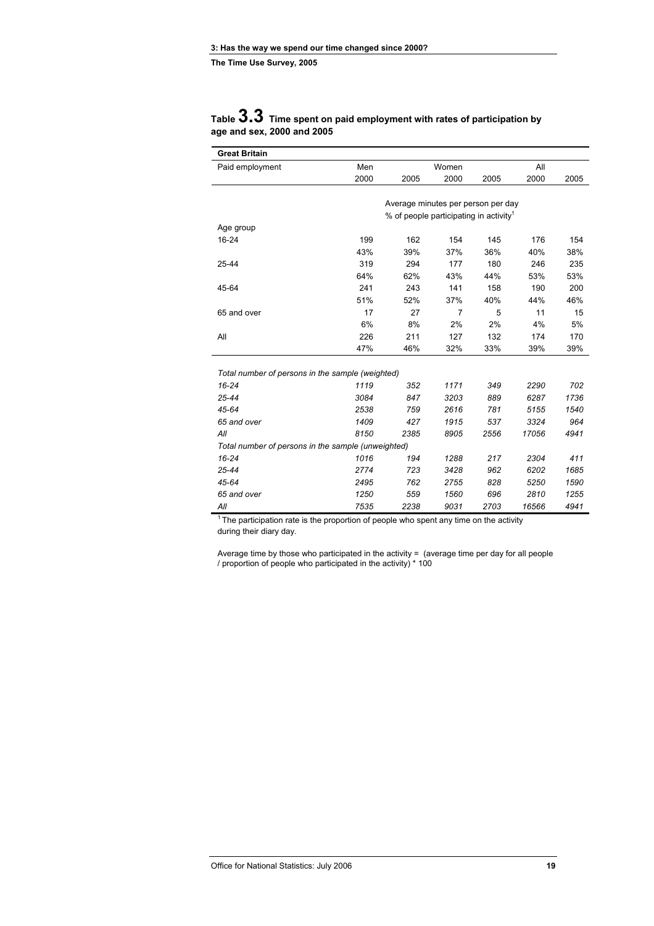| Table $3.3$ Time spent on paid employment with rates of participation by |
|--------------------------------------------------------------------------|
| age and sex, 2000 and 2005                                               |

| <b>Great Britain</b>                               |      |                                                    |       |      |       |      |
|----------------------------------------------------|------|----------------------------------------------------|-------|------|-------|------|
| Paid employment                                    | Men  |                                                    | Women |      | All   |      |
|                                                    | 2000 | 2005                                               | 2000  | 2005 | 2000  | 2005 |
|                                                    |      |                                                    |       |      |       |      |
|                                                    |      | Average minutes per person per day                 |       |      |       |      |
|                                                    |      | % of people participating in activity <sup>1</sup> |       |      |       |      |
| Age group                                          |      |                                                    |       |      |       |      |
| 16-24                                              | 199  | 162                                                | 154   | 145  | 176   | 154  |
|                                                    | 43%  | 39%                                                | 37%   | 36%  | 40%   | 38%  |
| 25-44                                              | 319  | 294                                                | 177   | 180  | 246   | 235  |
|                                                    | 64%  | 62%                                                | 43%   | 44%  | 53%   | 53%  |
| 45-64                                              | 241  | 243                                                | 141   | 158  | 190   | 200  |
|                                                    | 51%  | 52%                                                | 37%   | 40%  | 44%   | 46%  |
| 65 and over                                        | 17   | 27                                                 | 7     | 5    | 11    | 15   |
|                                                    | 6%   | 8%                                                 | 2%    | 2%   | 4%    | 5%   |
| All                                                | 226  | 211                                                | 127   | 132  | 174   | 170  |
|                                                    | 47%  | 46%                                                | 32%   | 33%  | 39%   | 39%  |
|                                                    |      |                                                    |       |      |       |      |
| Total number of persons in the sample (weighted)   |      |                                                    |       |      |       |      |
| $16 - 24$                                          | 1119 | 352                                                | 1171  | 349  | 2290  | 702  |
| 25-44                                              | 3084 | 847                                                | 3203  | 889  | 6287  | 1736 |
| 45-64                                              | 2538 | 759                                                | 2616  | 781  | 5155  | 1540 |
| 65 and over                                        | 1409 | 427                                                | 1915  | 537  | 3324  | 964  |
| All                                                | 8150 | 2385                                               | 8905  | 2556 | 17056 | 4941 |
| Total number of persons in the sample (unweighted) |      |                                                    |       |      |       |      |
| $16 - 24$                                          | 1016 | 194                                                | 1288  | 217  | 2304  | 411  |
| 25-44                                              | 2774 | 723                                                | 3428  | 962  | 6202  | 1685 |
| 45-64                                              | 2495 | 762                                                | 2755  | 828  | 5250  | 1590 |
| 65 and over                                        | 1250 | 559                                                | 1560  | 696  | 2810  | 1255 |
| All                                                | 7535 | 2238                                               | 9031  | 2703 | 16566 | 4941 |

<sup>1</sup> The participation rate is the proportion of people who spent any time on the activity during their diary day.

Average time by those who participated in the activity = (average time per day for all people / proportion of people who participated in the activity) \* 100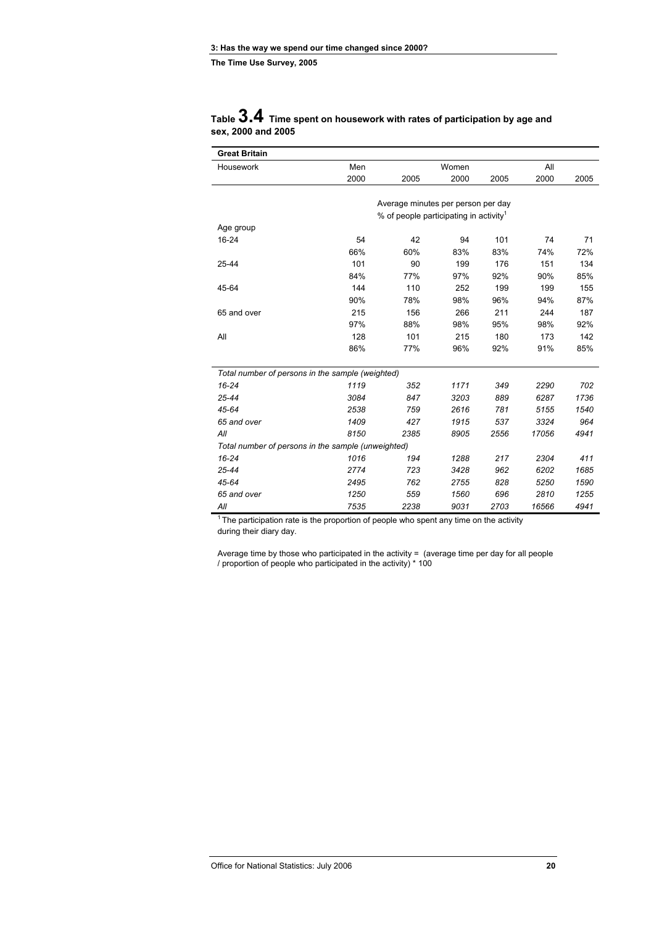|                    | Table $3.4$ Time spent on housework with rates of participation by age and |
|--------------------|----------------------------------------------------------------------------|
| sex, 2000 and 2005 |                                                                            |

| <b>Great Britain</b>                               |      |                                                    |       |      |       |      |
|----------------------------------------------------|------|----------------------------------------------------|-------|------|-------|------|
| Housework                                          | Men  |                                                    | Women |      | All   |      |
|                                                    | 2000 | 2005                                               | 2000  | 2005 | 2000  | 2005 |
|                                                    |      |                                                    |       |      |       |      |
|                                                    |      | Average minutes per person per day                 |       |      |       |      |
|                                                    |      | % of people participating in activity <sup>1</sup> |       |      |       |      |
| Age group                                          |      |                                                    |       |      |       |      |
| 16-24                                              | 54   | 42                                                 | 94    | 101  | 74    | 71   |
|                                                    | 66%  | 60%                                                | 83%   | 83%  | 74%   | 72%  |
| 25-44                                              | 101  | 90                                                 | 199   | 176  | 151   | 134  |
|                                                    | 84%  | 77%                                                | 97%   | 92%  | 90%   | 85%  |
| 45-64                                              | 144  | 110                                                | 252   | 199  | 199   | 155  |
|                                                    | 90%  | 78%                                                | 98%   | 96%  | 94%   | 87%  |
| 65 and over                                        | 215  | 156                                                | 266   | 211  | 244   | 187  |
|                                                    | 97%  | 88%                                                | 98%   | 95%  | 98%   | 92%  |
| All                                                | 128  | 101                                                | 215   | 180  | 173   | 142  |
|                                                    | 86%  | 77%                                                | 96%   | 92%  | 91%   | 85%  |
|                                                    |      |                                                    |       |      |       |      |
| Total number of persons in the sample (weighted)   |      |                                                    |       |      |       |      |
| $16 - 24$                                          | 1119 | 352                                                | 1171  | 349  | 2290  | 702  |
| 25-44                                              | 3084 | 847                                                | 3203  | 889  | 6287  | 1736 |
| 45-64                                              | 2538 | 759                                                | 2616  | 781  | 5155  | 1540 |
| 65 and over                                        | 1409 | 427                                                | 1915  | 537  | 3324  | 964  |
| All                                                | 8150 | 2385                                               | 8905  | 2556 | 17056 | 4941 |
| Total number of persons in the sample (unweighted) |      |                                                    |       |      |       |      |
| $16 - 24$                                          | 1016 | 194                                                | 1288  | 217  | 2304  | 411  |
| 25-44                                              | 2774 | 723                                                | 3428  | 962  | 6202  | 1685 |
| 45-64                                              | 2495 | 762                                                | 2755  | 828  | 5250  | 1590 |
| 65 and over                                        | 1250 | 559                                                | 1560  | 696  | 2810  | 1255 |
| All                                                | 7535 | 2238                                               | 9031  | 2703 | 16566 | 4941 |

 $1$  The participation rate is the proportion of people who spent any time on the activity during their diary day.

Average time by those who participated in the activity = (average time per day for all people / proportion of people who participated in the activity) \* 100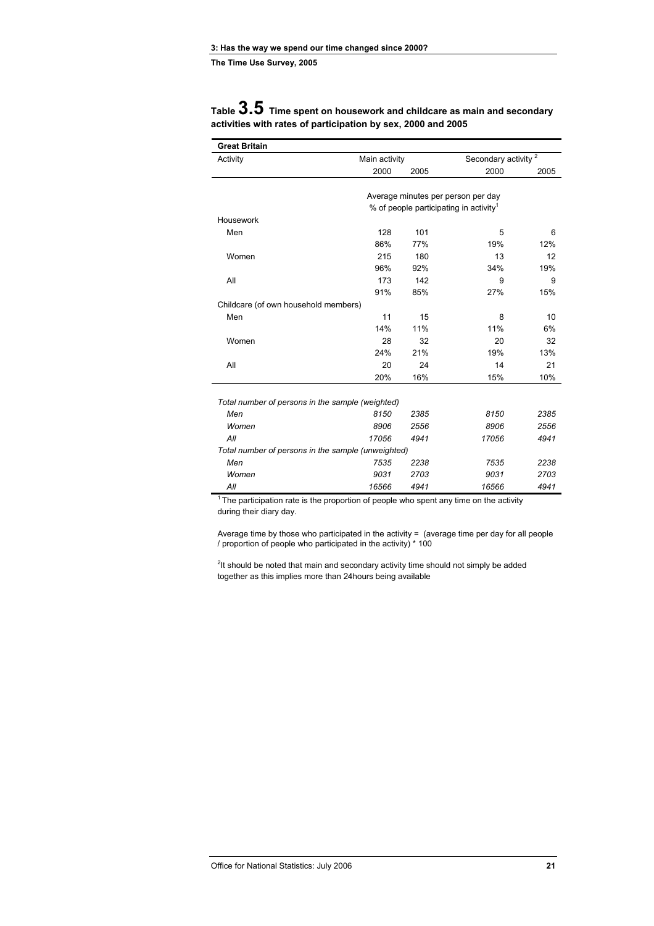Housework

Childcare (of own household members)

| Table <b>U</b> . U Time spent on housework and childcare as main and secondary<br>activities with rates of participation by sex, 2000 and 2005 |               |                                 |  |
|------------------------------------------------------------------------------------------------------------------------------------------------|---------------|---------------------------------|--|
| <b>Great Britain</b>                                                                                                                           |               |                                 |  |
| Activity                                                                                                                                       | Main activity | Secondary activity <sup>2</sup> |  |

 $2000$   $2005$   $2000$   $2005$   $2000$   $2005$ 

 Men 128 101 5 6 86% 77% 19% 12% Women 215 180 13 12 96% 92% 34% 19% All 173 142 9 9 91% 85% 27% 15%

 Men 11 15 8 10  $14\%$  11% 11% 6%

 Average minutes per person per day % of people participating in activity<sup>1</sup>

# **Table 3.5 Time spent on housework and childcare as main and secondary**

| Women                                              | 28    | 32   | 20    | 32   |
|----------------------------------------------------|-------|------|-------|------|
|                                                    | 24%   | 21%  | 19%   | 13%  |
| All                                                | 20    | 24   | 14    | 21   |
|                                                    | 20%   | 16%  | 15%   | 10%  |
|                                                    |       |      |       |      |
| Total number of persons in the sample (weighted)   |       |      |       |      |
| Men                                                | 8150  | 2385 | 8150  | 2385 |
| Women                                              | 8906  | 2556 | 8906  | 2556 |
| All                                                | 17056 | 4941 | 17056 | 4941 |
| Total number of persons in the sample (unweighted) |       |      |       |      |
| Men                                                | 7535  | 2238 | 7535  | 2238 |
| Women                                              | 9031  | 2703 | 9031  | 2703 |
| All                                                | 16566 | 4941 | 16566 | 4941 |

 $1$ <sup>1</sup> The participation rate is the proportion of people who spent any time on the activity during their diary day.

Average time by those who participated in the activity  $=$  (average time per day for all people / proportion of people who participated in the activity) \* 100

 $2$ It should be noted that main and secondary activity time should not simply be added together as this implies more than 24hours being available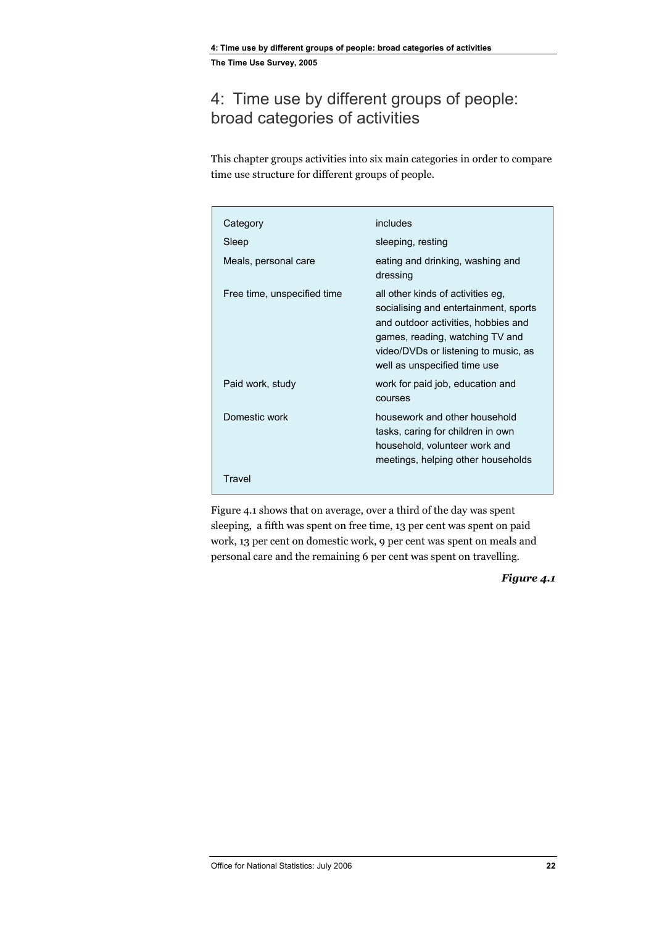### <span id="page-33-0"></span>4: Time use by different groups of people: broad categories of activities

This chapter groups activities into six main categories in order to compare time use structure for different groups of people.

| Category                    | includes                                                                                                                                                                                                                     |
|-----------------------------|------------------------------------------------------------------------------------------------------------------------------------------------------------------------------------------------------------------------------|
| Sleep                       | sleeping, resting                                                                                                                                                                                                            |
| Meals, personal care        | eating and drinking, washing and<br>dressing                                                                                                                                                                                 |
| Free time, unspecified time | all other kinds of activities eg,<br>socialising and entertainment, sports<br>and outdoor activities, hobbies and<br>games, reading, watching TV and<br>video/DVDs or listening to music, as<br>well as unspecified time use |
| Paid work, study            | work for paid job, education and<br>courses                                                                                                                                                                                  |
| Domestic work               | housework and other household<br>tasks, caring for children in own<br>household, volunteer work and<br>meetings, helping other households                                                                                    |
| Travel                      |                                                                                                                                                                                                                              |

Figure 4.1 shows that on average, over a third of the day was spent sleeping, a fifth was spent on free time, 13 per cent was spent on paid work, 13 per cent on domestic work, 9 per cent was spent on meals and personal care and the remaining 6 per cent was spent on travelling.

*Figure 4.1*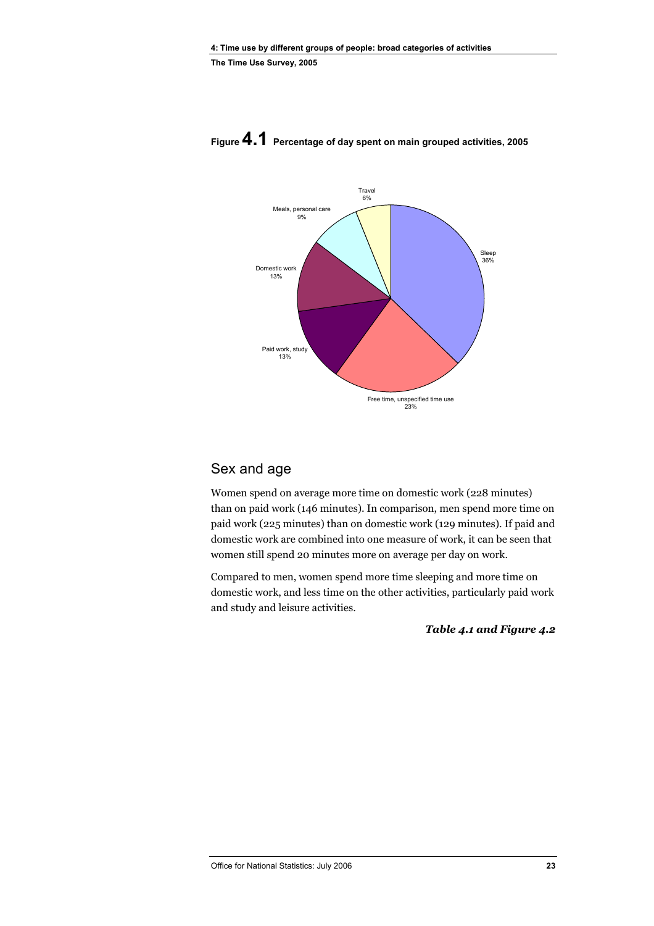

### <span id="page-34-0"></span>**Figure 4.1 Percentage of day spent on main grouped activities, 2005**

#### Sex and age

Women spend on average more time on domestic work (228 minutes) than on paid work (146 minutes). In comparison, men spend more time on paid work (225 minutes) than on domestic work (129 minutes). If paid and domestic work are combined into one measure of work, it can be seen that women still spend 20 minutes more on average per day on work.

Compared to men, women spend more time sleeping and more time on domestic work, and less time on the other activities, particularly paid work and study and leisure activities.

*Table 4.1 and Figure 4.2*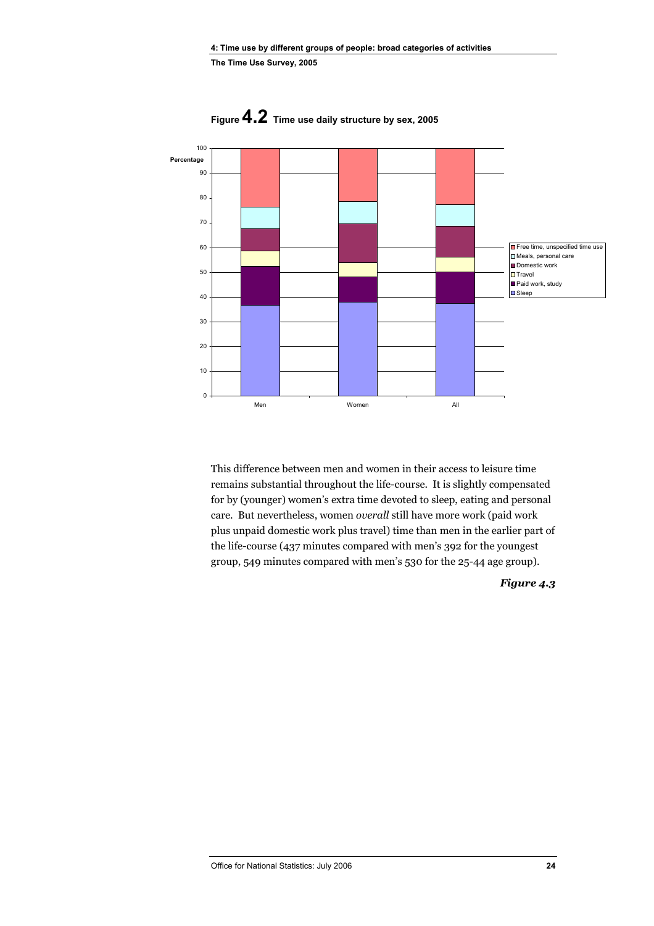

**Figure 4.2 Time use daily structure by sex, 2005** 

This difference between men and women in their access to leisure time remains substantial throughout the life-course. It is slightly compensated for by (younger) women's extra time devoted to sleep, eating and personal care. But nevertheless, women *overall* still have more work (paid work plus unpaid domestic work plus travel) time than men in the earlier part of the life-course (437 minutes compared with men's 392 for the youngest group, 549 minutes compared with men's 530 for the 25-44 age group).

*Figure 4.3*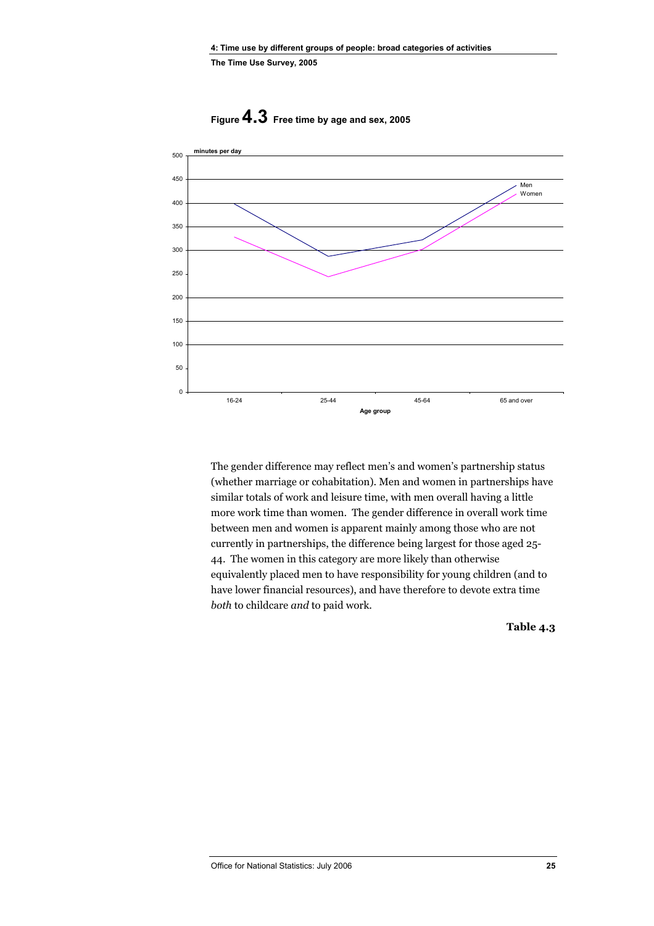

**Figure 4.3 Free time by age and sex, 2005** 

The gender difference may reflect men's and women's partnership status (whether marriage or cohabitation). Men and women in partnerships have similar totals of work and leisure time, with men overall having a little more work time than women. The gender difference in overall work time between men and women is apparent mainly among those who are not currently in partnerships, the difference being largest for those aged 25- 44. The women in this category are more likely than otherwise equivalently placed men to have responsibility for young children (and to have lower financial resources), and have therefore to devote extra time *both* to childcare *and* to paid work.

**Table 4.3**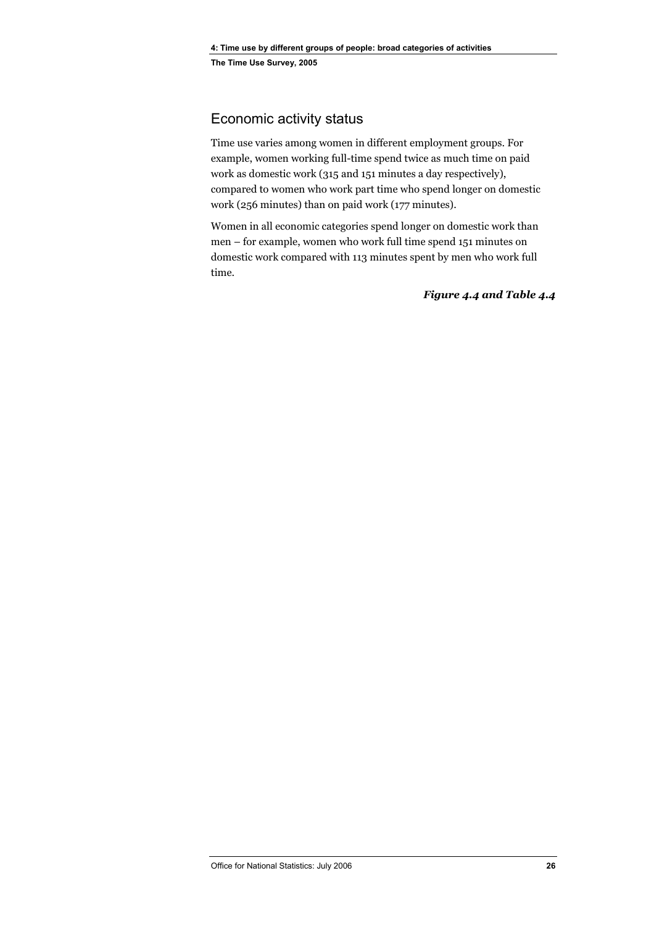# Economic activity status

Time use varies among women in different employment groups. For example, women working full-time spend twice as much time on paid work as domestic work (315 and 151 minutes a day respectively), compared to women who work part time who spend longer on domestic work (256 minutes) than on paid work (177 minutes).

Women in all economic categories spend longer on domestic work than men – for example, women who work full time spend 151 minutes on domestic work compared with 113 minutes spent by men who work full time.

*Figure 4.4 and Table 4.4*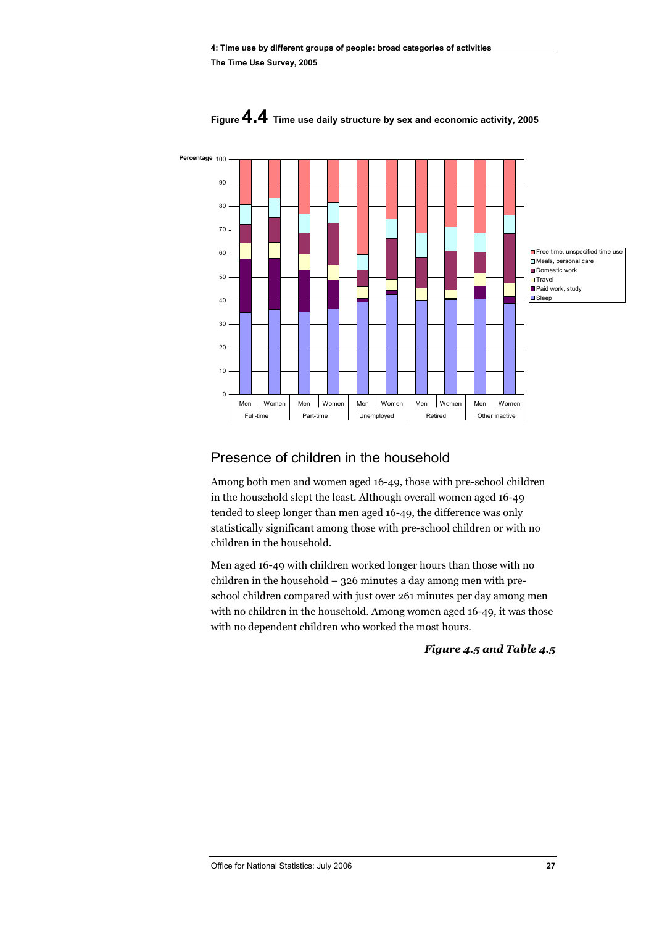

**Figure 4.4 Time use daily structure by sex and economic activity, 2005** 

# Presence of children in the household

Among both men and women aged 16-49, those with pre-school children in the household slept the least. Although overall women aged 16-49 tended to sleep longer than men aged 16-49, the difference was only statistically significant among those with pre-school children or with no children in the household.

Men aged 16-49 with children worked longer hours than those with no children in the household – 326 minutes a day among men with preschool children compared with just over 261 minutes per day among men with no children in the household. Among women aged 16-49, it was those with no dependent children who worked the most hours.

*Figure 4.5 and Table 4.5*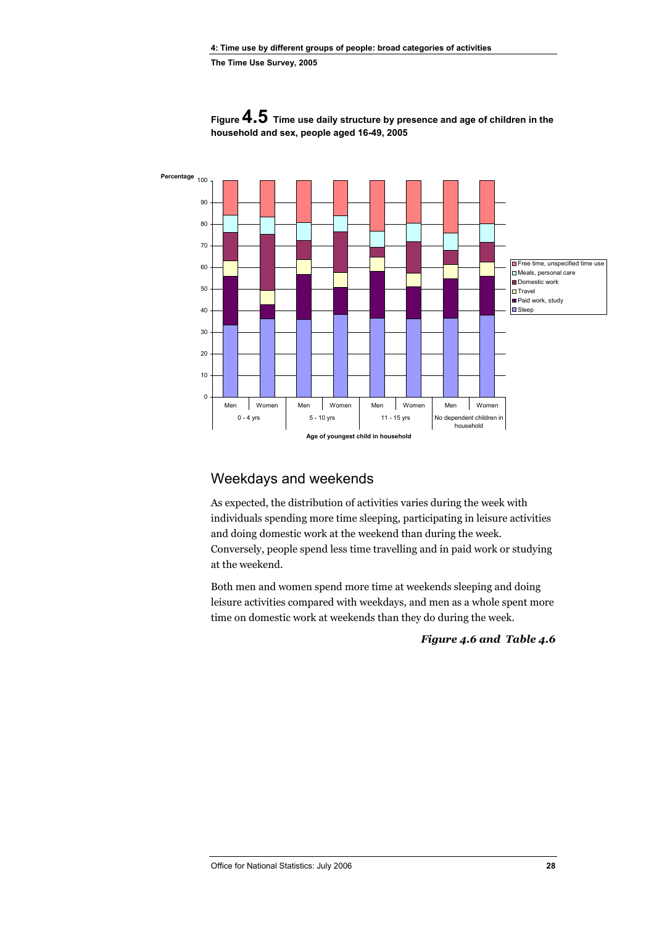

**Figure 4.5 Time use daily structure by presence and age of children in the household and sex, people aged 16-49, 2005** 

# Weekdays and weekends

As expected, the distribution of activities varies during the week with individuals spending more time sleeping, participating in leisure activities and doing domestic work at the weekend than during the week. Conversely, people spend less time travelling and in paid work or studying at the weekend.

Both men and women spend more time at weekends sleeping and doing leisure activities compared with weekdays, and men as a whole spent more time on domestic work at weekends than they do during the week.

*Figure 4.6 and Table 4.6*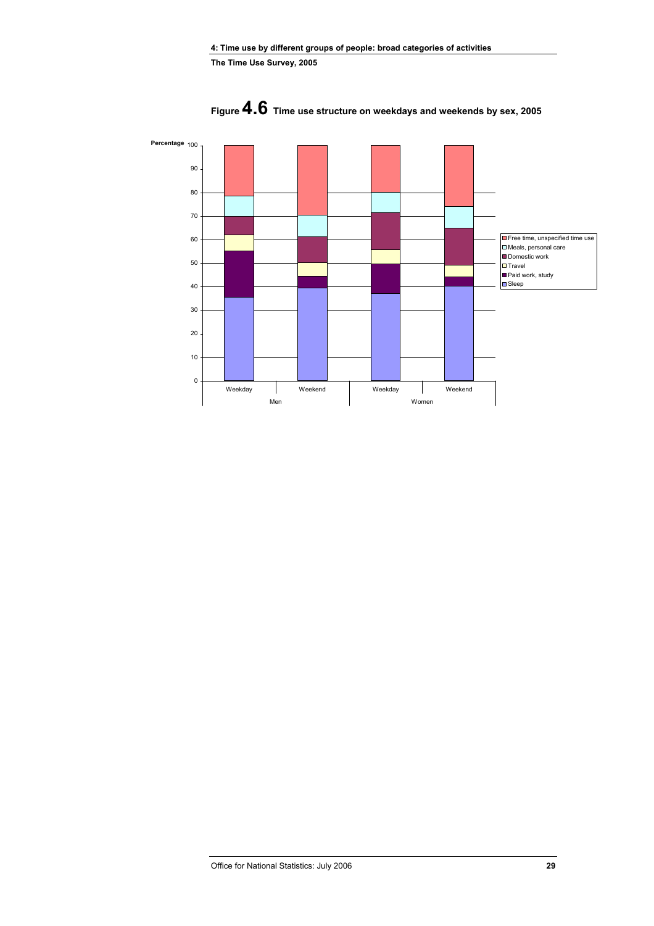

**Figure 4.6 Time use structure on weekdays and weekends by sex, 2005**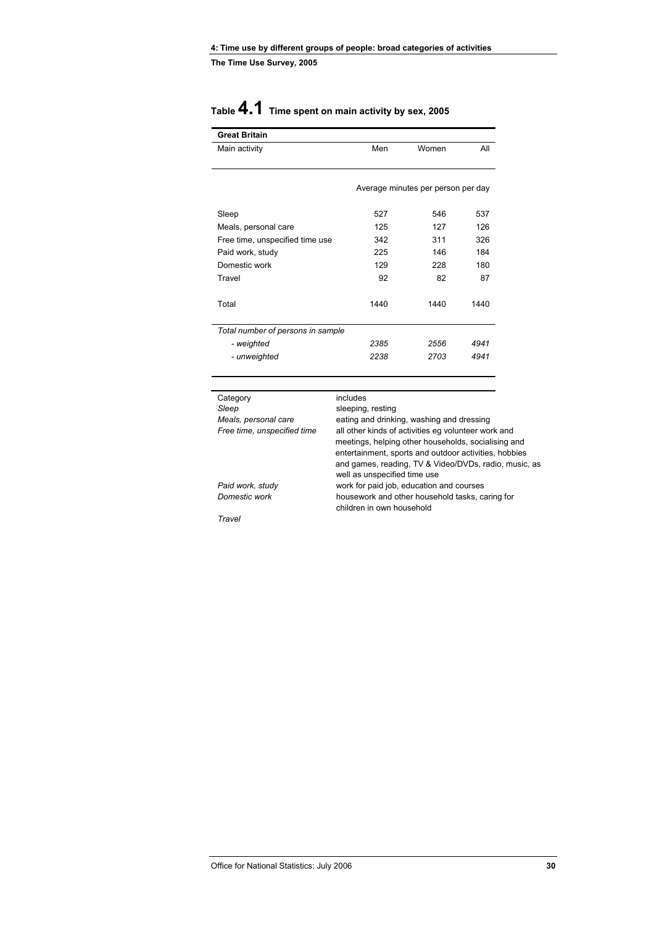# **Table 4.1 Time spent on main activity by sex, 2005**

| <b>Great Britain</b>              |      |                                    |      |
|-----------------------------------|------|------------------------------------|------|
| Main activity                     | Men  | Women                              | All  |
|                                   |      | Average minutes per person per day |      |
| Sleep                             | 527  | 546                                | 537  |
| Meals, personal care              | 125  | 127                                | 126  |
| Free time, unspecified time use   | 342  | 311                                | 326  |
| Paid work, study                  | 225  | 146                                | 184  |
| Domestic work                     | 129  | 228                                | 180  |
| Travel                            | 92   | 82                                 | 87   |
| Total                             | 1440 | 1440                               | 1440 |
| Total number of persons in sample |      |                                    |      |
| - weighted                        | 2385 | 2556                               | 4941 |
| - unweighted                      | 2238 | 2703                               | 4941 |

| Category                    | includes                                              |
|-----------------------------|-------------------------------------------------------|
| Sleep                       | sleeping, resting                                     |
| Meals, personal care        | eating and drinking, washing and dressing             |
| Free time, unspecified time | all other kinds of activities eg volunteer work and   |
|                             | meetings, helping other households, socialising and   |
|                             | entertainment, sports and outdoor activities, hobbies |
|                             | and games, reading, TV & Video/DVDs, radio, music, as |
|                             | well as unspecified time use                          |
| Paid work, study            | work for paid job, education and courses              |
| Domestic work               | housework and other household tasks, caring for       |
|                             | children in own household                             |
| Travel                      |                                                       |
|                             |                                                       |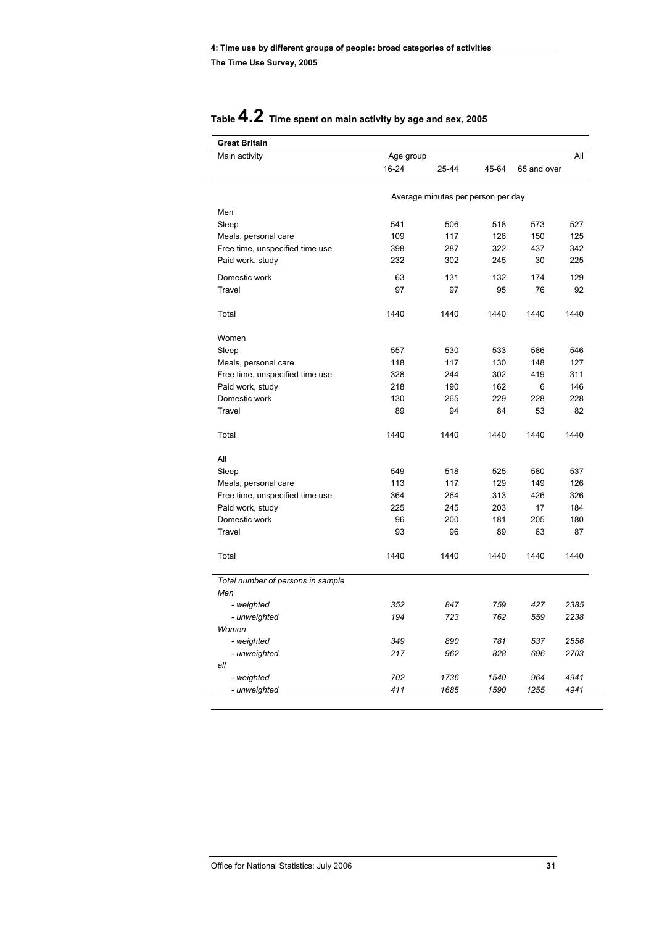| <b>Great Britain</b>              |            |                                    |       |             |            |
|-----------------------------------|------------|------------------------------------|-------|-------------|------------|
| Main activity                     | Age group  |                                    |       |             | All        |
|                                   | 16-24      | 25-44                              | 45-64 | 65 and over |            |
|                                   |            | Average minutes per person per day |       |             |            |
|                                   |            |                                    |       |             |            |
| Men                               |            |                                    |       |             |            |
| Sleep                             | 541        | 506                                | 518   | 573         | 527        |
| Meals, personal care              | 109        | 117                                | 128   | 150         | 125        |
| Free time, unspecified time use   | 398<br>232 | 287<br>302                         | 322   | 437<br>30   | 342<br>225 |
| Paid work, study                  |            |                                    | 245   |             |            |
| Domestic work                     | 63         | 131                                | 132   | 174         | 129        |
| Travel                            | 97         | 97                                 | 95    | 76          | 92         |
| Total                             | 1440       | 1440                               | 1440  | 1440        | 1440       |
| Women                             |            |                                    |       |             |            |
| Sleep                             | 557        | 530                                | 533   | 586         | 546        |
| Meals, personal care              | 118        | 117                                | 130   | 148         | 127        |
| Free time, unspecified time use   | 328        | 244                                | 302   | 419         | 311        |
| Paid work, study                  | 218        | 190                                | 162   | 6           | 146        |
| Domestic work                     | 130        | 265                                | 229   | 228         | 228        |
| Travel                            | 89         | 94                                 | 84    | 53          | 82         |
| Total                             | 1440       | 1440                               | 1440  | 1440        | 1440       |
| All                               |            |                                    |       |             |            |
| Sleep                             | 549        | 518                                | 525   | 580         | 537        |
| Meals, personal care              | 113        | 117                                | 129   | 149         | 126        |
| Free time, unspecified time use   | 364        | 264                                | 313   | 426         | 326        |
| Paid work, study                  | 225        | 245                                | 203   | 17          | 184        |
| Domestic work                     | 96         | 200                                | 181   | 205         | 180        |
| Travel                            | 93         | 96                                 | 89    | 63          | 87         |
| Total                             | 1440       | 1440                               | 1440  | 1440        | 1440       |
| Total number of persons in sample |            |                                    |       |             |            |
| Men                               |            |                                    |       |             |            |
| - weighted                        | 352        | 847                                | 759   | 427         | 2385       |
| - unweighted                      | 194        | 723                                | 762   | 559         | 2238       |
| Women                             |            |                                    |       |             |            |
| - weighted                        | 349        | 890                                | 781   | 537         | 2556       |
| - unweighted                      | 217        | 962                                | 828   | 696         | 2703       |
| all                               |            |                                    |       |             |            |
| - weighted                        | 702        | 1736                               | 1540  | 964         | 4941       |
| - unweighted                      | 411        | 1685                               | 1590  | 1255        | 4941       |

# **Table 4.2 Time spent on main activity by age and sex, 2005**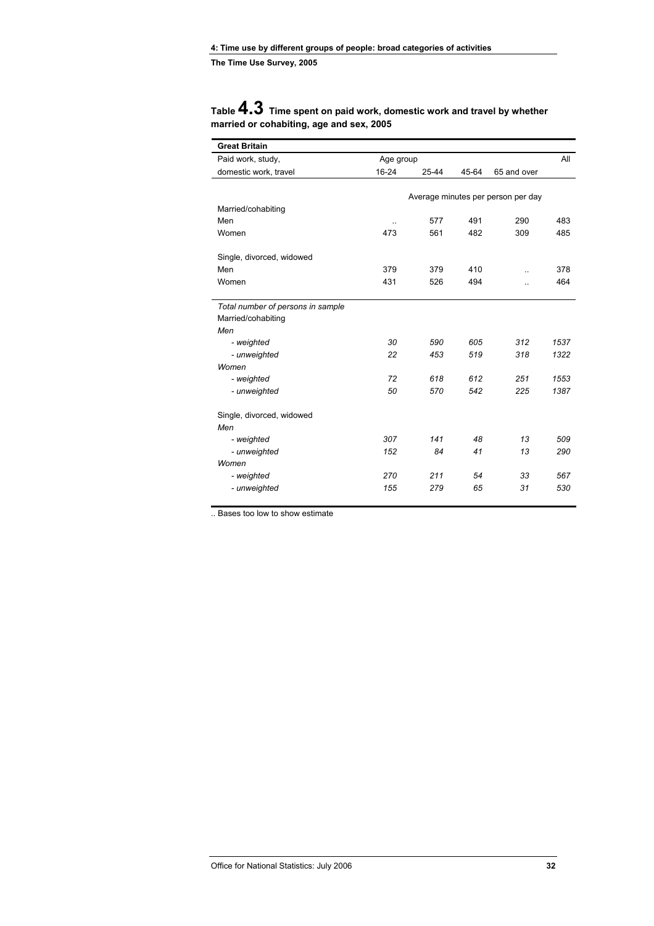# **Table 4.3 Time spent on paid work, domestic work and travel by whether married or cohabiting, age and sex, 2005**

| <b>Great Britain</b>              |                  |       |       |                                    |      |
|-----------------------------------|------------------|-------|-------|------------------------------------|------|
| Paid work, study,                 | Age group        |       |       |                                    |      |
| domestic work, travel             | 16-24            | 25-44 | 45-64 | 65 and over                        |      |
|                                   |                  |       |       |                                    |      |
| Married/cohabiting                |                  |       |       | Average minutes per person per day |      |
| Men                               |                  | 577   | 491   | 290                                | 483  |
| Women                             | $\ddotsc$<br>473 | 561   | 482   | 309                                | 485  |
|                                   |                  |       |       |                                    |      |
| Single, divorced, widowed         |                  |       |       |                                    |      |
| Men                               | 379              | 379   | 410   | ä.                                 | 378  |
| Women                             | 431              | 526   | 494   | ä.                                 | 464  |
| Total number of persons in sample |                  |       |       |                                    |      |
| Married/cohabiting                |                  |       |       |                                    |      |
| Men                               |                  |       |       |                                    |      |
| - weighted                        | 30               | 590   | 605   | 312                                | 1537 |
| - unweighted                      | 22               | 453   | 519   | 318                                | 1322 |
| Women                             |                  |       |       |                                    |      |
| - weighted                        | 72               | 618   | 612   | 251                                | 1553 |
| - unweighted                      | 50               | 570   | 542   | 225                                | 1387 |
| Single, divorced, widowed         |                  |       |       |                                    |      |
| Men                               |                  |       |       |                                    |      |
| - weighted                        | 307              | 141   | 48    | 13                                 | 509  |
| - unweighted                      | 152              | 84    | 41    | 13                                 | 290  |
| Women                             |                  |       |       |                                    |      |
| - weighted                        | 270              | 211   | 54    | 33                                 | 567  |
| - unweighted                      | 155              | 279   | 65    | 31                                 | 530  |

.. Bases too low to show estimate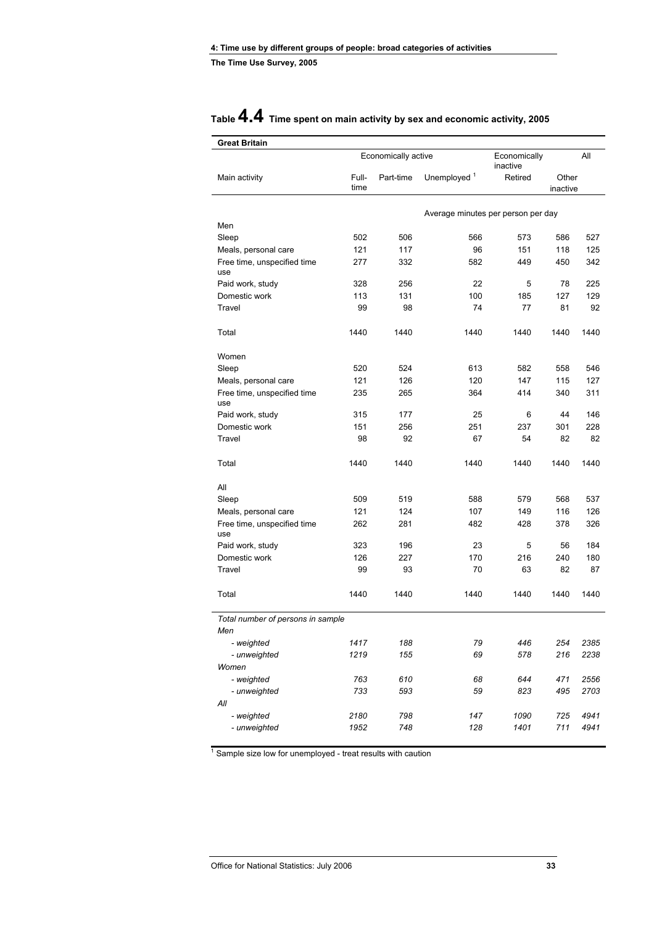| <b>Great Britain</b>               |               |                     |                                    |                          |                   |              |
|------------------------------------|---------------|---------------------|------------------------------------|--------------------------|-------------------|--------------|
|                                    |               | Economically active |                                    | Economically<br>inactive |                   | All          |
| Main activity                      | Full-<br>time | Part-time           | Unemployed <sup>1</sup>            | Retired                  | Other<br>inactive |              |
|                                    |               |                     | Average minutes per person per day |                          |                   |              |
| Men                                |               |                     |                                    |                          |                   |              |
| Sleep                              | 502           | 506                 | 566                                | 573                      | 586               | 527          |
| Meals, personal care               | 121           | 117                 | 96                                 | 151                      | 118               | 125          |
| Free time, unspecified time<br>use | 277           | 332                 | 582                                | 449                      | 450               | 342          |
| Paid work, study                   | 328           | 256                 | 22                                 | 5                        | 78                | 225          |
| Domestic work                      | 113           | 131                 | 100                                | 185                      | 127               | 129          |
| Travel                             | 99            | 98                  | 74                                 | 77                       | 81                | 92           |
| Total                              | 1440          | 1440                | 1440                               | 1440                     | 1440              | 1440         |
| Women                              |               |                     |                                    |                          |                   |              |
| Sleep                              | 520           | 524                 | 613                                | 582                      | 558               | 546          |
| Meals, personal care               | 121           | 126                 | 120                                | 147                      | 115               | 127          |
| Free time, unspecified time<br>use | 235           | 265                 | 364                                | 414                      | 340               | 311          |
| Paid work, study                   | 315           | 177                 | 25                                 | 6                        | 44                | 146          |
| Domestic work                      | 151           | 256                 | 251                                | 237                      | 301               | 228          |
| Travel                             | 98            | 92                  | 67                                 | 54                       | 82                | 82           |
| Total                              | 1440          | 1440                | 1440                               | 1440                     | 1440              | 1440         |
| All                                |               |                     |                                    |                          |                   |              |
| Sleep                              | 509           | 519                 | 588                                | 579                      | 568               | 537          |
| Meals, personal care               | 121           | 124                 | 107                                | 149                      | 116               | 126          |
| Free time, unspecified time<br>use | 262           | 281                 | 482                                | 428                      | 378               | 326          |
| Paid work, study                   | 323           | 196                 | 23                                 | 5                        | 56                | 184          |
| Domestic work                      | 126           | 227                 | 170                                | 216                      | 240               | 180          |
| Travel                             | 99            | 93                  | 70                                 | 63                       | 82                | 87           |
| Total                              | 1440          | 1440                | 1440                               | 1440                     | 1440              | 1440         |
| Total number of persons in sample  |               |                     |                                    |                          |                   |              |
| Men                                |               |                     |                                    |                          |                   |              |
| - weighted                         | 1417<br>1219  | 188<br>155          | 79<br>69                           | 446<br>578               | 254<br>216        | 2385<br>2238 |
| - unweighted<br>Women              |               |                     |                                    |                          |                   |              |
| - weighted                         | 763           | 610                 | 68                                 | 644                      | 471               | 2556         |
| - unweighted                       | 733           | 593                 | 59                                 | 823                      | 495               | 2703         |
| All                                |               |                     |                                    |                          |                   |              |
| - weighted                         | 2180          | 798                 | 147                                | 1090                     | 725               | 4941         |
| - unweighted                       | 1952          | 748                 | 128                                | 1401                     | 711               | 4941         |
|                                    |               |                     |                                    |                          |                   |              |

# **Table 4.4 Time spent on main activity by sex and economic activity, 2005**

<sup>1</sup> Sample size low for unemployed - treat results with caution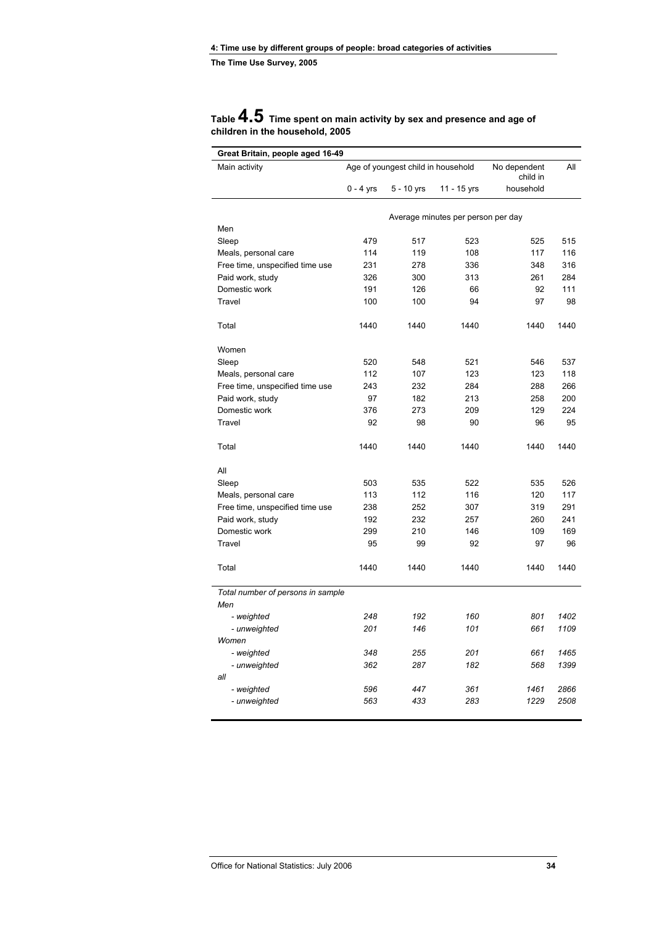### **Table 4.5 Time spent on main activity by sex and presence and age of children in the household, 2005**

| Great Britain, people aged 16-49  |             |                                    |                                    |                          |      |  |
|-----------------------------------|-------------|------------------------------------|------------------------------------|--------------------------|------|--|
| Main activity                     |             | Age of youngest child in household |                                    | No dependent<br>child in | All  |  |
|                                   | $0 - 4$ yrs | 5 - 10 yrs                         | 11 - 15 yrs                        | household                |      |  |
|                                   |             |                                    |                                    |                          |      |  |
|                                   |             |                                    | Average minutes per person per day |                          |      |  |
| Men                               |             |                                    |                                    |                          |      |  |
| Sleep                             | 479         | 517                                | 523                                | 525                      | 515  |  |
| Meals, personal care              | 114         | 119                                | 108                                | 117                      | 116  |  |
| Free time, unspecified time use   | 231         | 278                                | 336                                | 348                      | 316  |  |
| Paid work, study                  | 326         | 300                                | 313                                | 261                      | 284  |  |
| Domestic work                     | 191         | 126                                | 66                                 | 92                       | 111  |  |
| Travel                            | 100         | 100                                | 94                                 | 97                       | 98   |  |
| Total                             | 1440        | 1440                               | 1440                               | 1440                     | 1440 |  |
| Women                             |             |                                    |                                    |                          |      |  |
| Sleep                             | 520         | 548                                | 521                                | 546                      | 537  |  |
| Meals, personal care              | 112         | 107                                | 123                                | 123                      | 118  |  |
| Free time, unspecified time use   | 243         | 232                                | 284                                | 288                      | 266  |  |
| Paid work, study                  | 97          | 182                                | 213                                | 258                      | 200  |  |
| Domestic work                     | 376         | 273                                | 209                                | 129                      | 224  |  |
| Travel                            | 92          | 98                                 | 90                                 | 96                       | 95   |  |
|                                   |             |                                    |                                    |                          |      |  |
| Total                             | 1440        | 1440                               | 1440                               | 1440                     | 1440 |  |
| All                               |             |                                    |                                    |                          |      |  |
| Sleep                             | 503         | 535                                | 522                                | 535                      | 526  |  |
| Meals, personal care              | 113         | 112                                | 116                                | 120                      | 117  |  |
| Free time, unspecified time use   | 238         | 252                                | 307                                | 319                      | 291  |  |
| Paid work, study                  | 192         | 232                                | 257                                | 260                      | 241  |  |
| Domestic work                     | 299         | 210                                | 146                                | 109                      | 169  |  |
| Travel                            | 95          | 99                                 | 92                                 | 97                       | 96   |  |
| Total                             | 1440        | 1440                               | 1440                               | 1440                     | 1440 |  |
| Total number of persons in sample |             |                                    |                                    |                          |      |  |
| Men                               |             |                                    |                                    |                          |      |  |
| - weighted                        | 248         | 192                                | 160                                | 801                      | 1402 |  |
| - unweighted                      | 201         | 146                                | 101                                | 661                      | 1109 |  |
| Women                             |             |                                    |                                    |                          |      |  |
| - weighted                        | 348         | 255                                | 201                                | 661                      | 1465 |  |
| - unweighted                      | 362         | 287                                | 182                                | 568                      | 1399 |  |
| all                               |             |                                    |                                    |                          |      |  |
| - weighted                        | 596         | 447                                | 361                                | 1461                     | 2866 |  |
| - unweighted                      | 563         | 433                                | 283                                | 1229                     | 2508 |  |
|                                   |             |                                    |                                    |                          |      |  |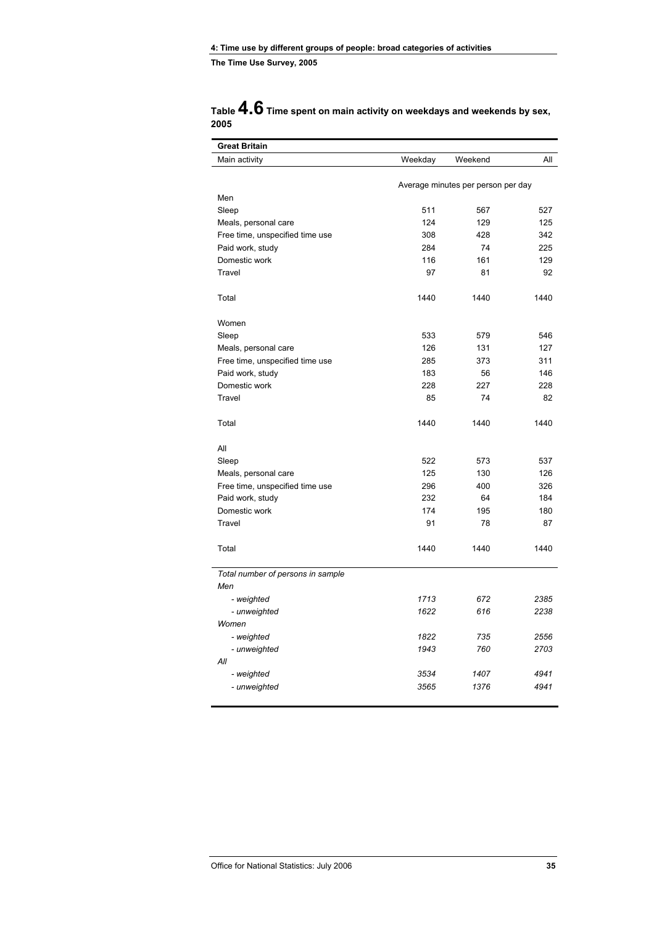| Table $4.6$ Time spent on main activity on weekdays and weekends by sex, |  |
|--------------------------------------------------------------------------|--|
| 2005                                                                     |  |

| <b>Great Britain</b>                                    |                                    |         |      |  |
|---------------------------------------------------------|------------------------------------|---------|------|--|
| Main activity                                           | Weekday                            | Weekend | All  |  |
|                                                         |                                    |         |      |  |
| Men                                                     | Average minutes per person per day |         |      |  |
| Sleep                                                   | 511                                | 567     | 527  |  |
|                                                         | 124                                | 129     | 125  |  |
| Meals, personal care<br>Free time, unspecified time use | 308                                | 428     | 342  |  |
| Paid work, study                                        | 284                                | 74      | 225  |  |
| Domestic work                                           | 116                                | 161     | 129  |  |
| Travel                                                  | 97                                 | 81      | 92   |  |
|                                                         |                                    |         |      |  |
| Total                                                   | 1440                               | 1440    | 1440 |  |
| Women                                                   |                                    |         |      |  |
| Sleep                                                   | 533                                | 579     | 546  |  |
| Meals, personal care                                    | 126                                | 131     | 127  |  |
| Free time, unspecified time use                         | 285                                | 373     | 311  |  |
| Paid work, study                                        | 183                                | 56      | 146  |  |
| Domestic work                                           | 228                                | 227     | 228  |  |
| Travel                                                  | 85                                 | 74      | 82   |  |
| Total                                                   | 1440                               | 1440    | 1440 |  |
| All                                                     |                                    |         |      |  |
| Sleep                                                   | 522                                | 573     | 537  |  |
| Meals, personal care                                    | 125                                | 130     | 126  |  |
| Free time, unspecified time use                         | 296                                | 400     | 326  |  |
| Paid work, study                                        | 232                                | 64      | 184  |  |
| Domestic work                                           | 174                                | 195     | 180  |  |
| Travel                                                  | 91                                 | 78      | 87   |  |
| Total                                                   | 1440                               | 1440    | 1440 |  |
| Total number of persons in sample                       |                                    |         |      |  |
| Men                                                     |                                    |         |      |  |
| - weighted                                              | 1713                               | 672     | 2385 |  |
| - unweighted                                            | 1622                               | 616     | 2238 |  |
| Women                                                   |                                    |         |      |  |
| - weighted                                              | 1822                               | 735     | 2556 |  |
| - unweighted                                            | 1943                               | 760     | 2703 |  |
| All                                                     |                                    |         |      |  |
| - weighted                                              | 3534                               | 1407    | 4941 |  |
| - unweighted                                            | 3565                               | 1376    | 4941 |  |
|                                                         |                                    |         |      |  |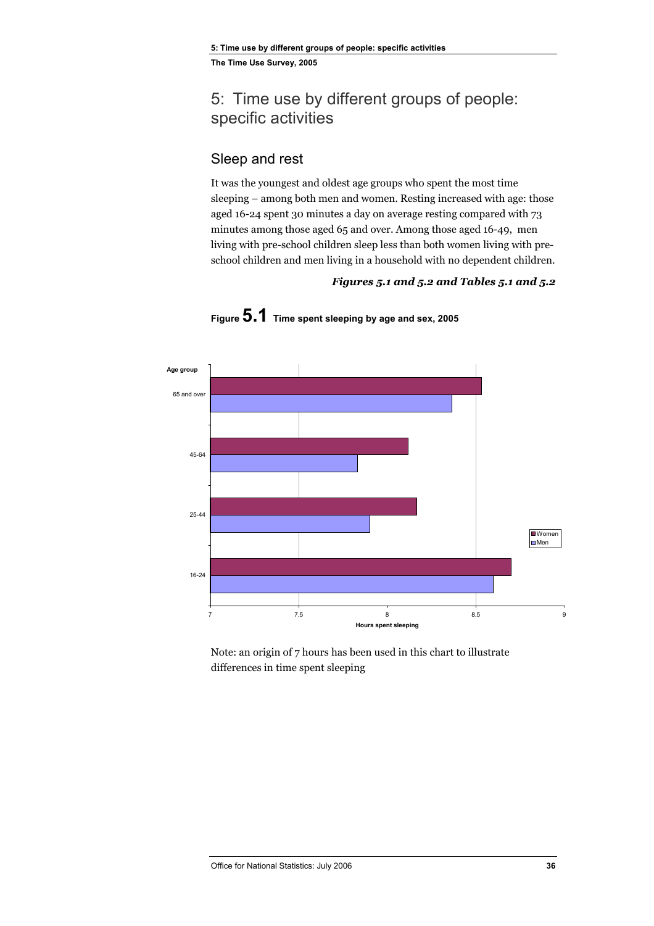# 5: Time use by different groups of people: specific activities

# Sleep and rest

It was the youngest and oldest age groups who spent the most time sleeping – among both men and women. Resting increased with age: those aged 16-24 spent 30 minutes a day on average resting compared with 73 minutes among those aged 65 and over. Among those aged 16-49, men living with pre-school children sleep less than both women living with preschool children and men living in a household with no dependent children.

### *Figures 5.1 and 5.2 and Tables 5.1 and 5.2*



**Figure 5.1 Time spent sleeping by age and sex, 2005** 

Note: an origin of 7 hours has been used in this chart to illustrate differences in time spent sleeping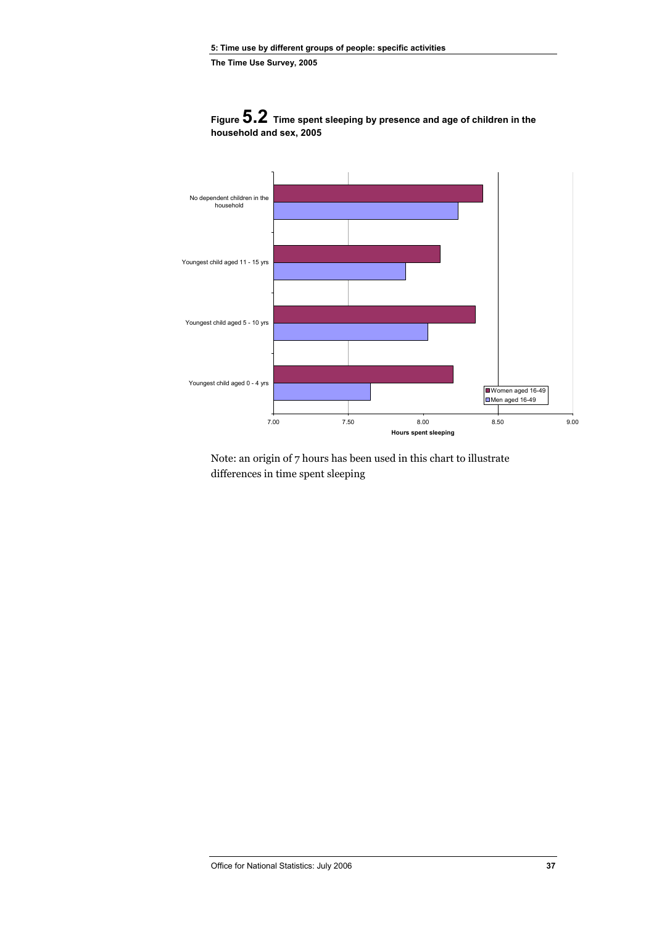

**Figure 5.2 Time spent sleeping by presence and age of children in the household and sex, 2005** 

Note: an origin of 7 hours has been used in this chart to illustrate differences in time spent sleeping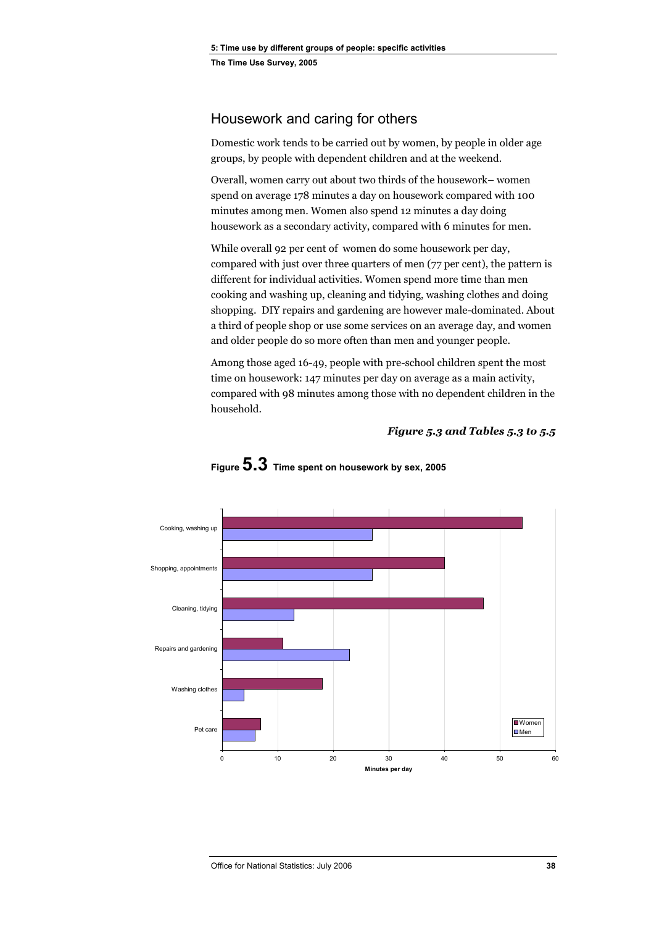# Housework and caring for others

Domestic work tends to be carried out by women, by people in older age groups, by people with dependent children and at the weekend.

Overall, women carry out about two thirds of the housework– women spend on average 178 minutes a day on housework compared with 100 minutes among men. Women also spend 12 minutes a day doing housework as a secondary activity, compared with 6 minutes for men.

While overall 92 per cent of women do some housework per day, compared with just over three quarters of men (77 per cent), the pattern is different for individual activities. Women spend more time than men cooking and washing up, cleaning and tidying, washing clothes and doing shopping. DIY repairs and gardening are however male-dominated. About a third of people shop or use some services on an average day, and women and older people do so more often than men and younger people.

Among those aged 16-49, people with pre-school children spent the most time on housework: 147 minutes per day on average as a main activity, compared with 98 minutes among those with no dependent children in the household.

### *Figure 5.3 and Tables 5.3 to 5.5*



# **Figure 5.3 Time spent on housework by sex, 2005**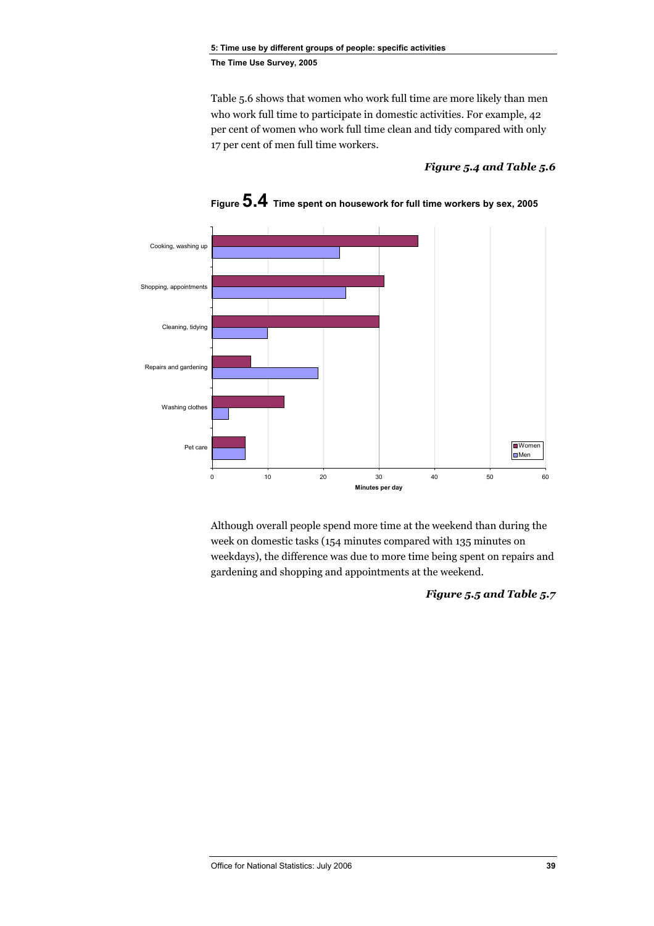Table 5.6 shows that women who work full time are more likely than men who work full time to participate in domestic activities. For example, 42 per cent of women who work full time clean and tidy compared with only 17 per cent of men full time workers.

### *Figure 5.4 and Table 5.6*



**Figure 5.4 Time spent on housework for full time workers by sex, 2005** 

Although overall people spend more time at the weekend than during the week on domestic tasks (154 minutes compared with 135 minutes on weekdays), the difference was due to more time being spent on repairs and gardening and shopping and appointments at the weekend.

*Figure 5.5 and Table 5.7*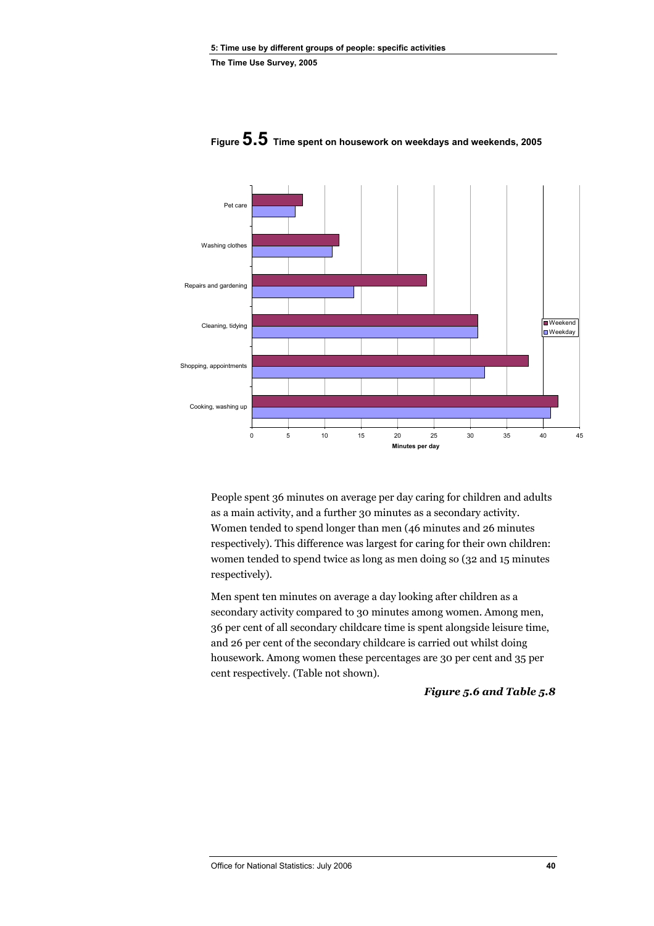

**Figure 5.5 Time spent on housework on weekdays and weekends, 2005** 

People spent 36 minutes on average per day caring for children and adults as a main activity, and a further 30 minutes as a secondary activity. Women tended to spend longer than men (46 minutes and 26 minutes respectively). This difference was largest for caring for their own children: women tended to spend twice as long as men doing so (32 and 15 minutes respectively).

Men spent ten minutes on average a day looking after children as a secondary activity compared to 30 minutes among women. Among men, 36 per cent of all secondary childcare time is spent alongside leisure time, and 26 per cent of the secondary childcare is carried out whilst doing housework. Among women these percentages are 30 per cent and 35 per cent respectively. (Table not shown).

### *Figure 5.6 and Table 5.8*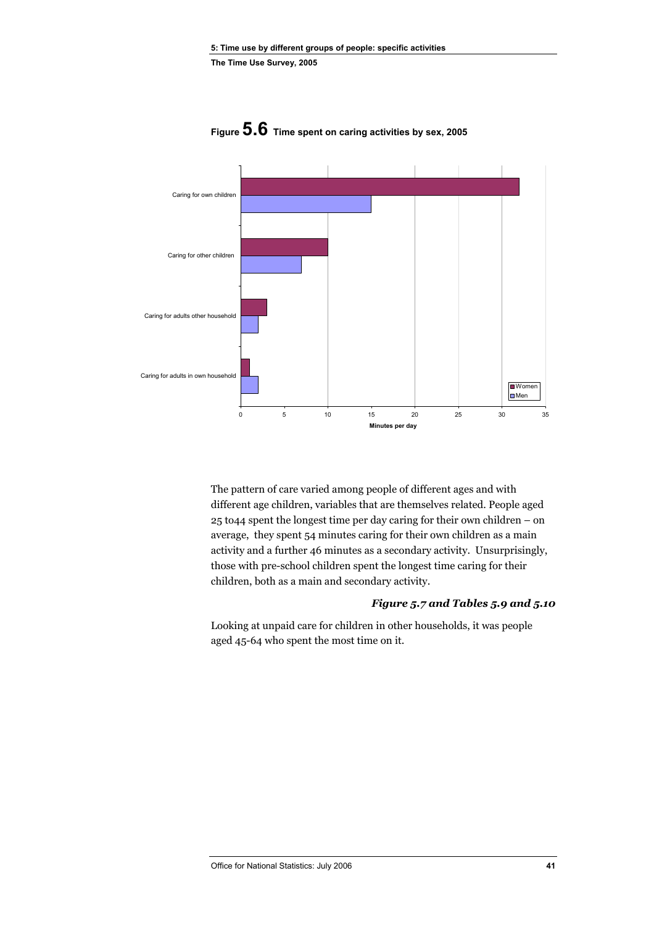

**Figure 5.6 Time spent on caring activities by sex, 2005** 

The pattern of care varied among people of different ages and with different age children, variables that are themselves related. People aged 25 to44 spent the longest time per day caring for their own children – on average, they spent 54 minutes caring for their own children as a main activity and a further 46 minutes as a secondary activity. Unsurprisingly, those with pre-school children spent the longest time caring for their children, both as a main and secondary activity.

### *Figure 5.7 and Tables 5.9 and 5.10*

Looking at unpaid care for children in other households, it was people aged 45-64 who spent the most time on it.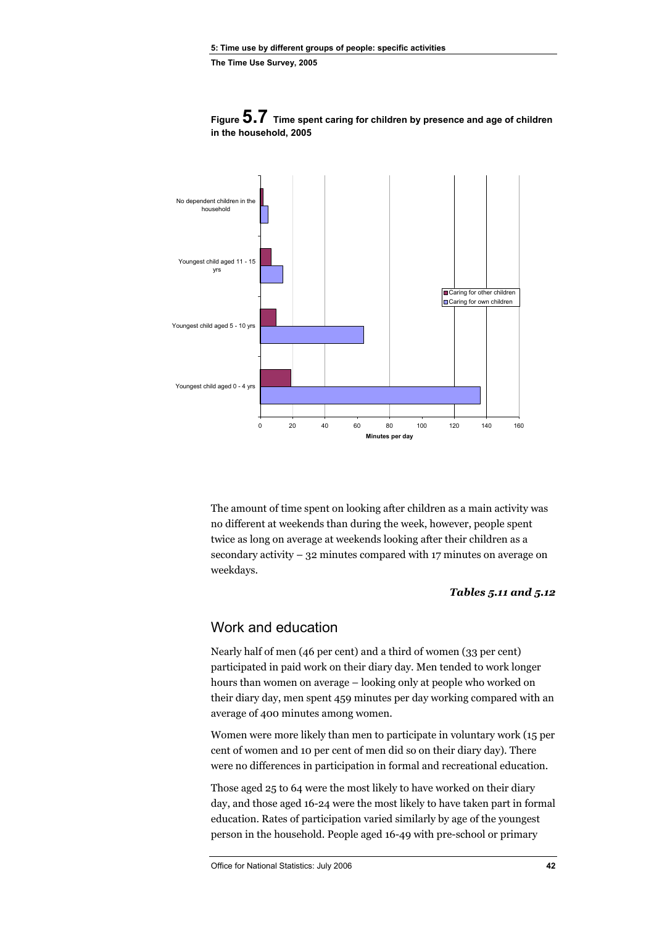

**Figure 5.7 Time spent caring for children by presence and age of children in the household, 2005** 

The amount of time spent on looking after children as a main activity was no different at weekends than during the week, however, people spent twice as long on average at weekends looking after their children as a secondary activity – 32 minutes compared with 17 minutes on average on weekdays.

#### *Tables 5.11 and 5.12*

## Work and education

Nearly half of men (46 per cent) and a third of women (33 per cent) participated in paid work on their diary day. Men tended to work longer hours than women on average – looking only at people who worked on their diary day, men spent 459 minutes per day working compared with an average of 400 minutes among women.

Women were more likely than men to participate in voluntary work (15 per cent of women and 10 per cent of men did so on their diary day). There were no differences in participation in formal and recreational education.

Those aged 25 to 64 were the most likely to have worked on their diary day, and those aged 16-24 were the most likely to have taken part in formal education. Rates of participation varied similarly by age of the youngest person in the household. People aged 16-49 with pre-school or primary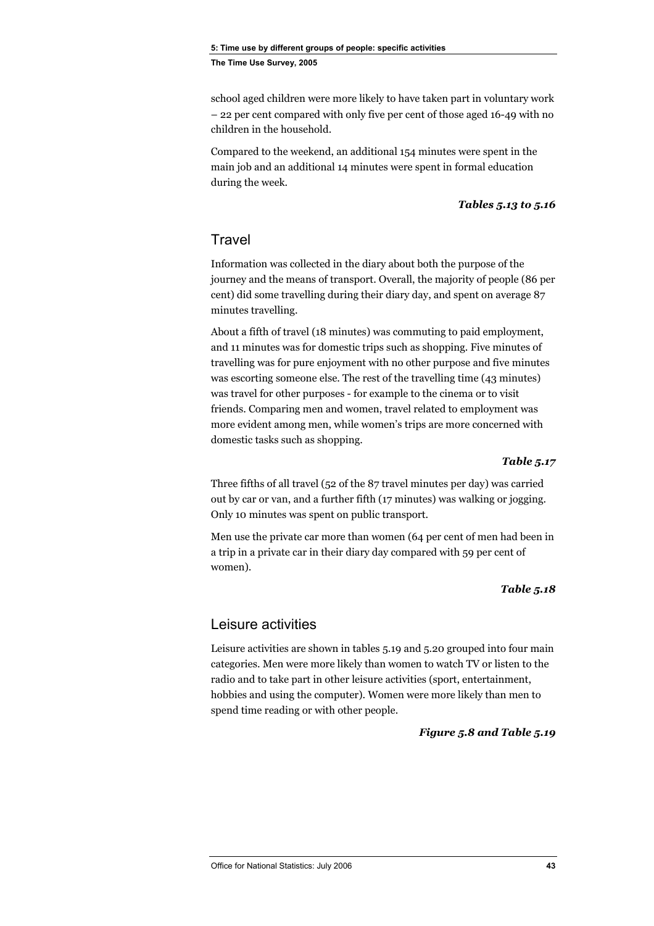school aged children were more likely to have taken part in voluntary work – 22 per cent compared with only five per cent of those aged 16-49 with no children in the household.

Compared to the weekend, an additional 154 minutes were spent in the main job and an additional 14 minutes were spent in formal education during the week.

### *Tables 5.13 to 5.16*

# **Travel**

Information was collected in the diary about both the purpose of the journey and the means of transport. Overall, the majority of people (86 per cent) did some travelling during their diary day, and spent on average 87 minutes travelling.

About a fifth of travel (18 minutes) was commuting to paid employment, and 11 minutes was for domestic trips such as shopping. Five minutes of travelling was for pure enjoyment with no other purpose and five minutes was escorting someone else. The rest of the travelling time (43 minutes) was travel for other purposes - for example to the cinema or to visit friends. Comparing men and women, travel related to employment was more evident among men, while women's trips are more concerned with domestic tasks such as shopping.

#### *Table 5.17*

Three fifths of all travel (52 of the 87 travel minutes per day) was carried out by car or van, and a further fifth (17 minutes) was walking or jogging. Only 10 minutes was spent on public transport.

Men use the private car more than women (64 per cent of men had been in a trip in a private car in their diary day compared with 59 per cent of women).

### *Table 5.18*

# Leisure activities

Leisure activities are shown in tables 5.19 and 5.20 grouped into four main categories. Men were more likely than women to watch TV or listen to the radio and to take part in other leisure activities (sport, entertainment, hobbies and using the computer). Women were more likely than men to spend time reading or with other people.

#### *Figure 5.8 and Table 5.19*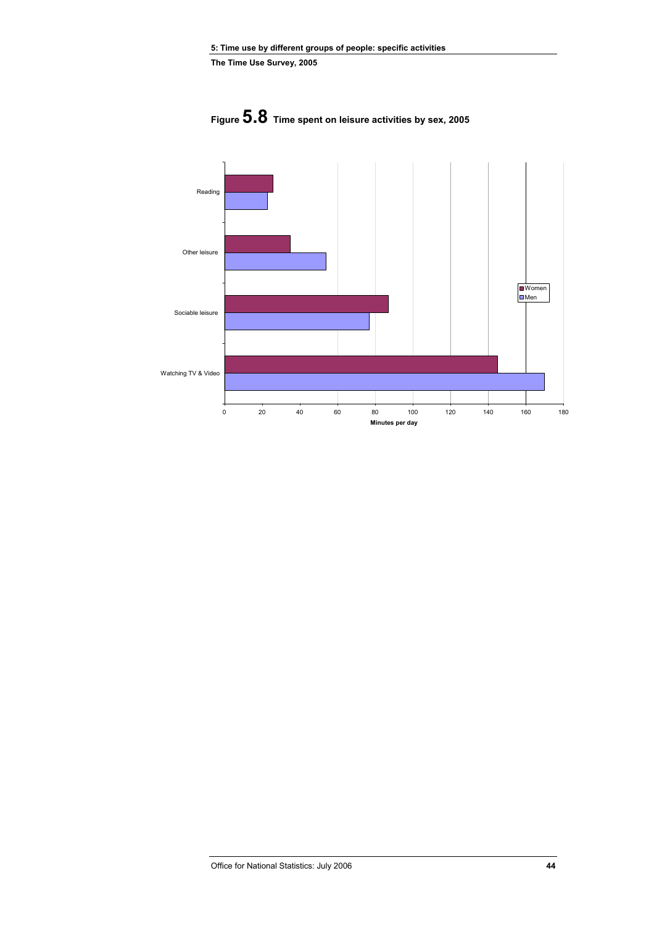

**Figure 5.8 Time spent on leisure activities by sex, 2005**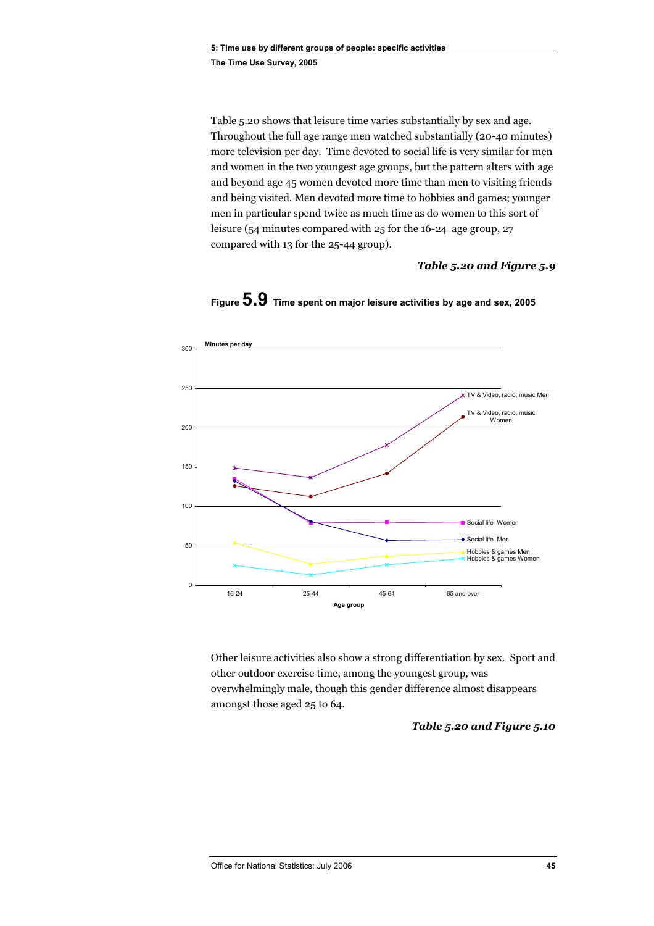Table 5.20 shows that leisure time varies substantially by sex and age. Throughout the full age range men watched substantially (20-40 minutes) more television per day. Time devoted to social life is very similar for men and women in the two youngest age groups, but the pattern alters with age and beyond age 45 women devoted more time than men to visiting friends and being visited. Men devoted more time to hobbies and games; younger men in particular spend twice as much time as do women to this sort of leisure (54 minutes compared with 25 for the 16-24 age group, 27 compared with 13 for the 25-44 group).

### *Table 5.20 and Figure 5.9*



**Figure 5.9 Time spent on major leisure activities by age and sex, 2005** 

Other leisure activities also show a strong differentiation by sex. Sport and other outdoor exercise time, among the youngest group, was overwhelmingly male, though this gender difference almost disappears amongst those aged 25 to 64.

#### *Table 5.20 and Figure 5.10*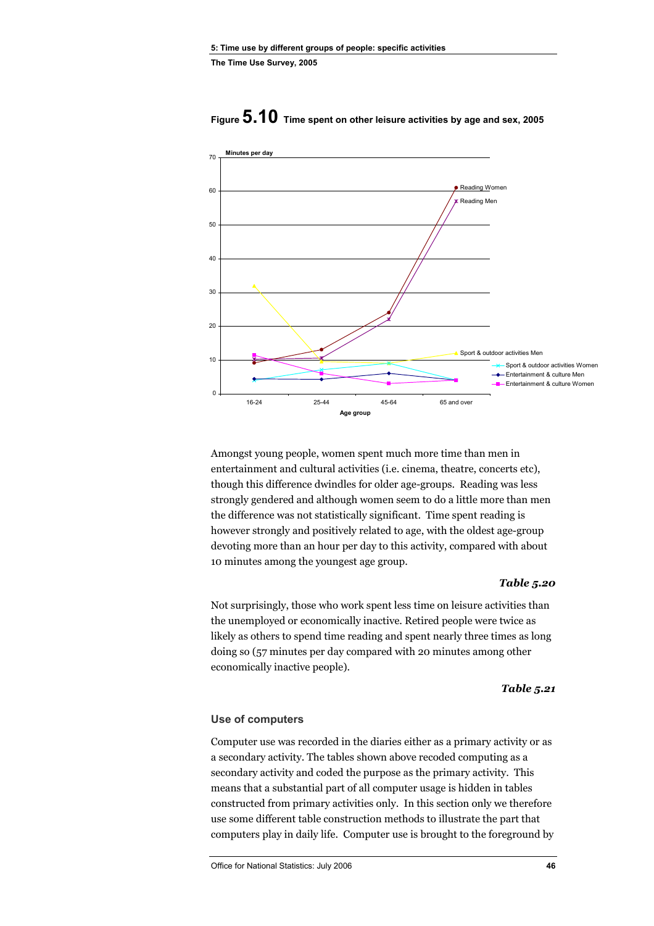

# **Figure 5.10 Time spent on other leisure activities by age and sex, 2005**

Amongst young people, women spent much more time than men in entertainment and cultural activities (i.e. cinema, theatre, concerts etc), though this difference dwindles for older age-groups. Reading was less strongly gendered and although women seem to do a little more than men the difference was not statistically significant. Time spent reading is however strongly and positively related to age, with the oldest age-group devoting more than an hour per day to this activity, compared with about 10 minutes among the youngest age group.

#### *Table 5.20*

Not surprisingly, those who work spent less time on leisure activities than the unemployed or economically inactive. Retired people were twice as likely as others to spend time reading and spent nearly three times as long doing so (57 minutes per day compared with 20 minutes among other economically inactive people).

#### *Table 5.21*

#### **Use of computers**

Computer use was recorded in the diaries either as a primary activity or as a secondary activity. The tables shown above recoded computing as a secondary activity and coded the purpose as the primary activity. This means that a substantial part of all computer usage is hidden in tables constructed from primary activities only. In this section only we therefore use some different table construction methods to illustrate the part that computers play in daily life. Computer use is brought to the foreground by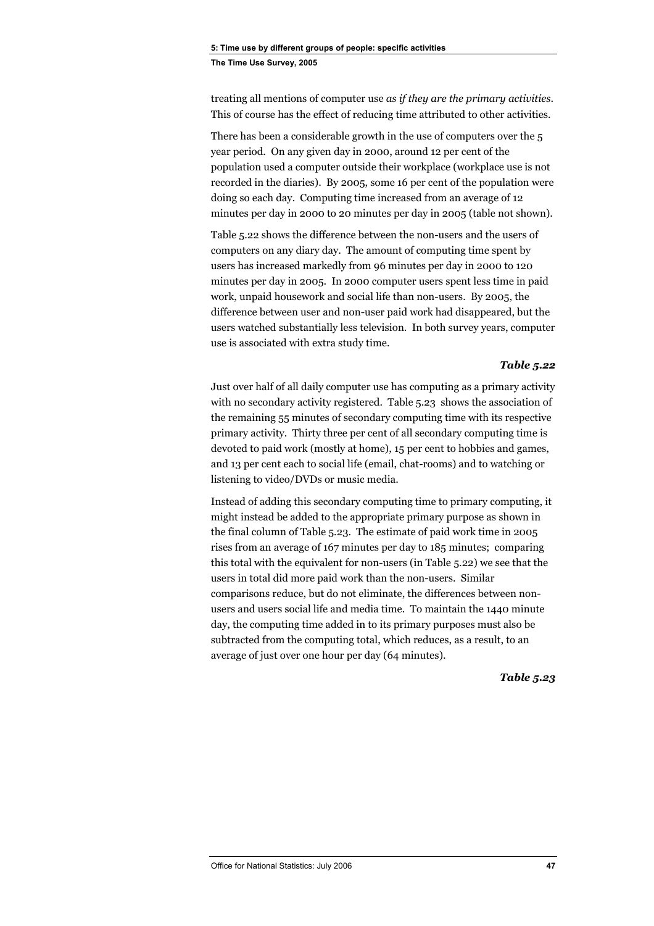treating all mentions of computer use *as if they are the primary activities*. This of course has the effect of reducing time attributed to other activities.

There has been a considerable growth in the use of computers over the 5 year period. On any given day in 2000, around 12 per cent of the population used a computer outside their workplace (workplace use is not recorded in the diaries). By 2005, some 16 per cent of the population were doing so each day. Computing time increased from an average of 12 minutes per day in 2000 to 20 minutes per day in 2005 (table not shown).

Table 5.22 shows the difference between the non-users and the users of computers on any diary day. The amount of computing time spent by users has increased markedly from 96 minutes per day in 2000 to 120 minutes per day in 2005. In 2000 computer users spent less time in paid work, unpaid housework and social life than non-users. By 2005, the difference between user and non-user paid work had disappeared, but the users watched substantially less television. In both survey years, computer use is associated with extra study time.

### *Table 5.22*

Just over half of all daily computer use has computing as a primary activity with no secondary activity registered. Table 5.23 shows the association of the remaining 55 minutes of secondary computing time with its respective primary activity. Thirty three per cent of all secondary computing time is devoted to paid work (mostly at home), 15 per cent to hobbies and games, and 13 per cent each to social life (email, chat-rooms) and to watching or listening to video/DVDs or music media.

Instead of adding this secondary computing time to primary computing, it might instead be added to the appropriate primary purpose as shown in the final column of Table 5.23. The estimate of paid work time in 2005 rises from an average of 167 minutes per day to 185 minutes; comparing this total with the equivalent for non-users (in Table 5.22) we see that the users in total did more paid work than the non-users. Similar comparisons reduce, but do not eliminate, the differences between nonusers and users social life and media time. To maintain the 1440 minute day, the computing time added in to its primary purposes must also be subtracted from the computing total, which reduces, as a result, to an average of just over one hour per day (64 minutes).

*Table 5.23*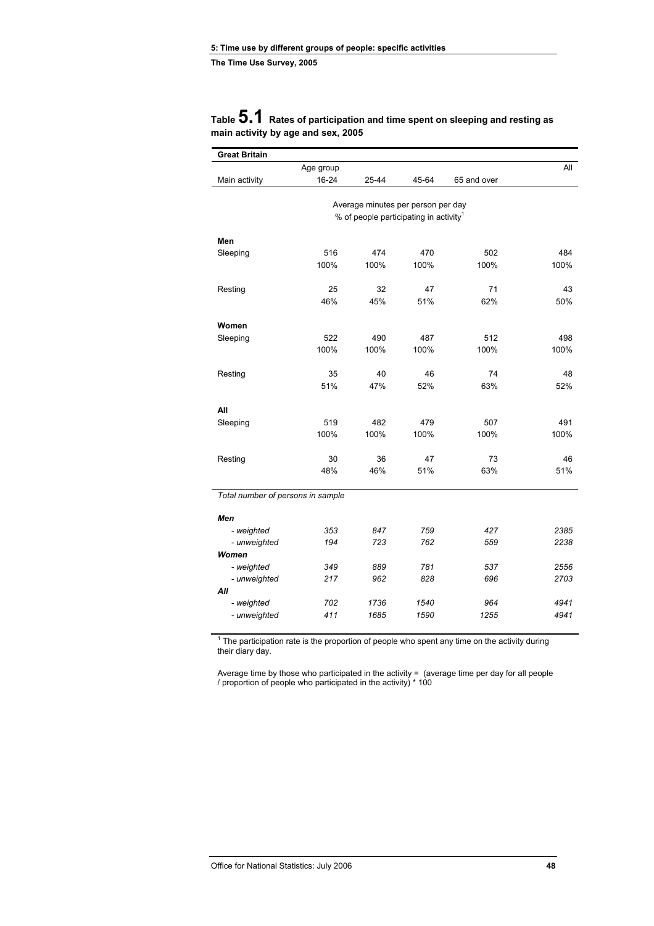| <b>Great Britain</b>              |           |                                                                                          |       |             |      |
|-----------------------------------|-----------|------------------------------------------------------------------------------------------|-------|-------------|------|
|                                   | Age group |                                                                                          |       |             | All  |
| Main activity                     | 16-24     | 25-44                                                                                    | 45-64 | 65 and over |      |
|                                   |           |                                                                                          |       |             |      |
|                                   |           | Average minutes per person per day<br>% of people participating in activity <sup>1</sup> |       |             |      |
|                                   |           |                                                                                          |       |             |      |
| Men                               |           |                                                                                          |       |             |      |
| Sleeping                          | 516       | 474                                                                                      | 470   | 502         | 484  |
|                                   | 100%      | 100%                                                                                     | 100%  | 100%        | 100% |
|                                   |           |                                                                                          |       |             |      |
| Resting                           | 25        | 32                                                                                       | 47    | 71          | 43   |
|                                   | 46%       | 45%                                                                                      | 51%   | 62%         | 50%  |
| Women                             |           |                                                                                          |       |             |      |
| Sleeping                          | 522       | 490                                                                                      | 487   | 512         | 498  |
|                                   | 100%      | 100%                                                                                     | 100%  | 100%        | 100% |
|                                   |           |                                                                                          |       |             |      |
| Resting                           | 35        | 40                                                                                       | 46    | 74          | 48   |
|                                   | 51%       | 47%                                                                                      | 52%   | 63%         | 52%  |
|                                   |           |                                                                                          |       |             |      |
| All                               |           |                                                                                          |       |             |      |
| Sleeping                          | 519       | 482                                                                                      | 479   | 507         | 491  |
|                                   | 100%      | 100%                                                                                     | 100%  | 100%        | 100% |
| Resting                           | 30        | 36                                                                                       | 47    | 73          | 46   |
|                                   | 48%       | 46%                                                                                      | 51%   | 63%         | 51%  |
|                                   |           |                                                                                          |       |             |      |
| Total number of persons in sample |           |                                                                                          |       |             |      |
| Men                               |           |                                                                                          |       |             |      |
| - weighted                        | 353       | 847                                                                                      | 759   | 427         | 2385 |
| - unweighted                      | 194       | 723                                                                                      | 762   | 559         | 2238 |
| Women                             |           |                                                                                          |       |             |      |
| - weighted                        | 349       | 889                                                                                      | 781   | 537         | 2556 |
| - unweighted                      | 217       | 962                                                                                      | 828   | 696         | 2703 |
| All                               |           |                                                                                          |       |             |      |
| - weighted                        | 702       | 1736                                                                                     | 1540  | 964         | 4941 |
| - unweighted                      | 411       | 1685                                                                                     | 1590  | 1255        | 4941 |

### **Table 5.1 Rates of participation and time spent on sleeping and resting as main activity by age and sex, 2005**

 $1$  The participation rate is the proportion of people who spent any time on the activity during their diary day.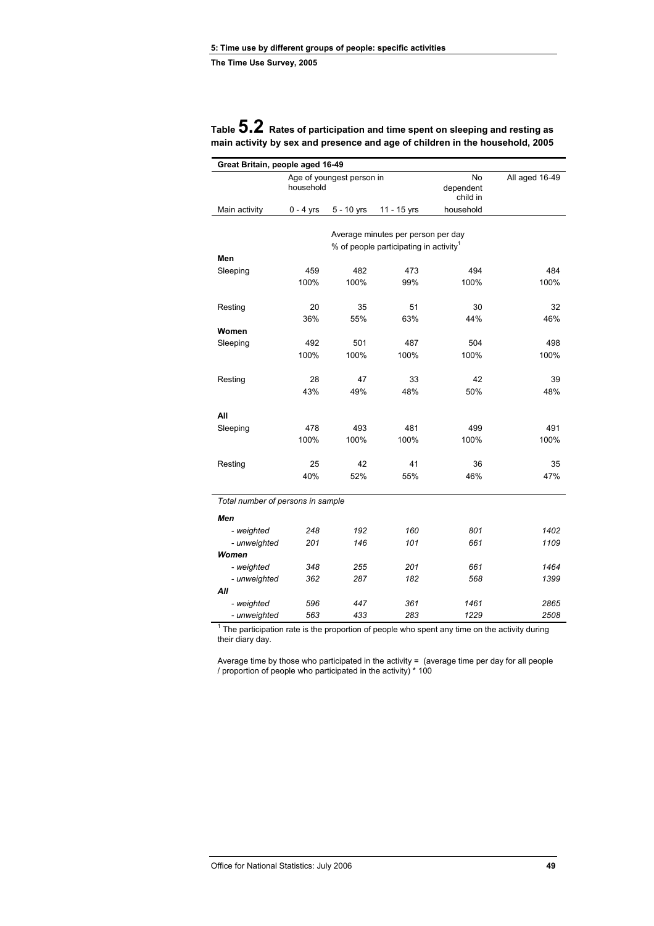| Great Britain, people aged 16-49  |                                        |            |                                                    |                             |                |
|-----------------------------------|----------------------------------------|------------|----------------------------------------------------|-----------------------------|----------------|
|                                   | Age of youngest person in<br>household |            |                                                    | No<br>dependent<br>child in | All aged 16-49 |
| Main activity                     | 0 - 4 yrs                              | 5 - 10 yrs | 11 - 15 yrs                                        | household                   |                |
|                                   |                                        |            | Average minutes per person per day                 |                             |                |
| Men                               |                                        |            | % of people participating in activity <sup>1</sup> |                             |                |
| Sleeping                          | 459                                    | 482        | 473                                                | 494                         | 484            |
|                                   | 100%                                   | 100%       | 99%                                                | 100%                        | 100%           |
|                                   |                                        |            |                                                    |                             |                |
| Resting                           | 20                                     | 35         | 51                                                 | 30                          | 32             |
|                                   | 36%                                    | 55%        | 63%                                                | 44%                         | 46%            |
| Women                             |                                        |            |                                                    |                             |                |
| Sleeping                          | 492                                    | 501        | 487                                                | 504                         | 498            |
|                                   | 100%                                   | 100%       | 100%                                               | 100%                        | 100%           |
|                                   |                                        |            |                                                    |                             |                |
| Resting                           | 28                                     | 47         | 33                                                 | 42                          | 39             |
|                                   | 43%                                    | 49%        | 48%                                                | 50%                         | 48%            |
|                                   |                                        |            |                                                    |                             |                |
| All                               |                                        |            |                                                    |                             |                |
| Sleeping                          | 478                                    | 493        | 481                                                | 499                         | 491            |
|                                   | 100%                                   | 100%       | 100%                                               | 100%                        | 100%           |
|                                   |                                        |            |                                                    |                             |                |
| Resting                           | 25                                     | 42         | 41                                                 | 36                          | 35             |
|                                   | 40%                                    | 52%        | 55%                                                | 46%                         | 47%            |
|                                   |                                        |            |                                                    |                             |                |
| Total number of persons in sample |                                        |            |                                                    |                             |                |
| Men                               |                                        |            |                                                    |                             |                |
| - weighted                        | 248                                    | 192        | 160                                                | 801                         | 1402           |
| - unweighted                      | 201                                    | 146        | 101                                                | 661                         | 1109           |
| Women                             |                                        |            |                                                    |                             |                |
| - weighted                        | 348                                    | 255        | 201                                                | 661                         | 1464           |
| - unweighted                      | 362                                    | 287        | 182                                                | 568                         | 1399           |
| All                               |                                        |            |                                                    |                             |                |
| - weighted                        | 596                                    | 447        | 361                                                | 1461                        | 2865           |
| - unweighted                      | 563                                    | 433        | 283                                                | 1229                        | 2508           |

| Table ${\bf 5.2}\;$ Rates of participation and time spent on sleeping and resting as |
|--------------------------------------------------------------------------------------|
| main activity by sex and presence and age of children in the household, 2005         |

 $1$  The participation rate is the proportion of people who spent any time on the activity during their diary day.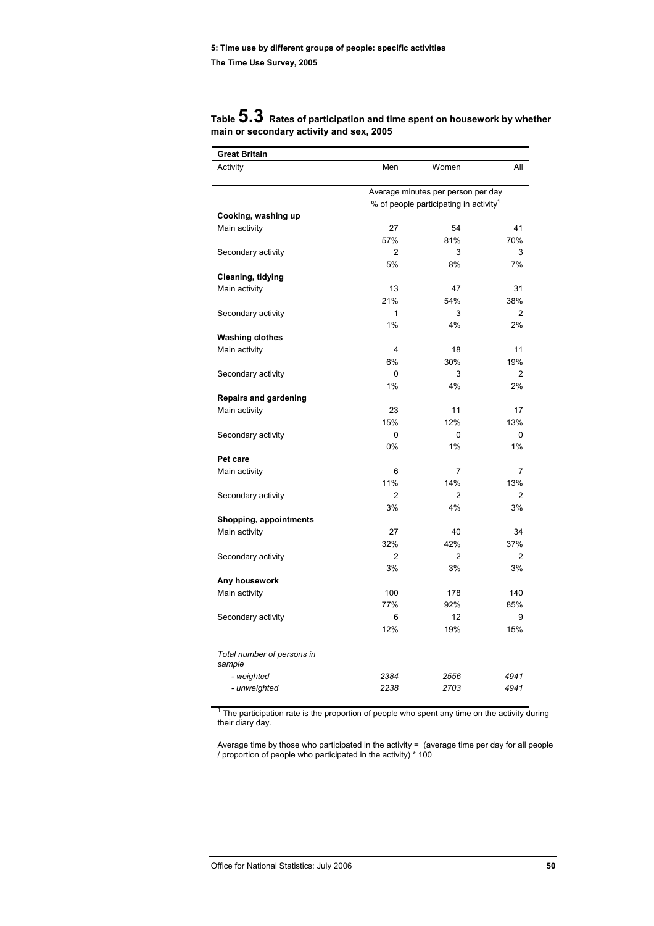| Men<br>Women<br>All<br>Activity<br>Average minutes per person per day<br>% of people participating in activity <sup>1</sup><br>Cooking, washing up<br>Main activity<br>27<br>54<br>41<br>57%<br>81%<br>70%<br>$\overline{2}$<br>3<br>3<br>Secondary activity<br>5%<br>8%<br>7%<br>Cleaning, tidying<br>31<br>Main activity<br>13<br>47<br>21%<br>54%<br>38%<br>1<br>3<br>$\overline{2}$<br>Secondary activity<br>1%<br>4%<br>2%<br><b>Washing clothes</b><br>11<br>Main activity<br>4<br>18<br>6%<br>30%<br>19%<br>Secondary activity<br>0<br>3<br>2<br>4%<br>1%<br>2%<br><b>Repairs and gardening</b><br>Main activity<br>23<br>11<br>17<br>15%<br>12%<br>13%<br>0<br>Secondary activity<br>0<br>0<br>0%<br>1%<br>1%<br>Pet care<br>7<br>Main activity<br>6<br>7<br>11%<br>14%<br>13%<br>$\overline{2}$<br>Secondary activity<br>$\overline{2}$<br>$\overline{2}$<br>3%<br>4%<br>3%<br>Shopping, appointments<br>27<br>40<br>34<br>Main activity<br>32%<br>42%<br>37%<br>$\overline{2}$<br>$\overline{2}$<br>Secondary activity<br>2<br>3%<br>3%<br>3%<br>Any housework<br>Main activity<br>100<br>178<br>140<br>77%<br>92%<br>85%<br>6<br>12<br>9<br>Secondary activity<br>12%<br>19%<br>15%<br>Total number of persons in<br>sample<br>- weighted<br>2384<br>2556<br>4941<br>2238<br>2703<br>4941<br>- unweighted | <b>Great Britain</b> |  |  |  |  |
|----------------------------------------------------------------------------------------------------------------------------------------------------------------------------------------------------------------------------------------------------------------------------------------------------------------------------------------------------------------------------------------------------------------------------------------------------------------------------------------------------------------------------------------------------------------------------------------------------------------------------------------------------------------------------------------------------------------------------------------------------------------------------------------------------------------------------------------------------------------------------------------------------------------------------------------------------------------------------------------------------------------------------------------------------------------------------------------------------------------------------------------------------------------------------------------------------------------------------------------------------------------------------------------------------------------------|----------------------|--|--|--|--|
|                                                                                                                                                                                                                                                                                                                                                                                                                                                                                                                                                                                                                                                                                                                                                                                                                                                                                                                                                                                                                                                                                                                                                                                                                                                                                                                      |                      |  |  |  |  |
|                                                                                                                                                                                                                                                                                                                                                                                                                                                                                                                                                                                                                                                                                                                                                                                                                                                                                                                                                                                                                                                                                                                                                                                                                                                                                                                      |                      |  |  |  |  |
|                                                                                                                                                                                                                                                                                                                                                                                                                                                                                                                                                                                                                                                                                                                                                                                                                                                                                                                                                                                                                                                                                                                                                                                                                                                                                                                      |                      |  |  |  |  |
|                                                                                                                                                                                                                                                                                                                                                                                                                                                                                                                                                                                                                                                                                                                                                                                                                                                                                                                                                                                                                                                                                                                                                                                                                                                                                                                      |                      |  |  |  |  |
|                                                                                                                                                                                                                                                                                                                                                                                                                                                                                                                                                                                                                                                                                                                                                                                                                                                                                                                                                                                                                                                                                                                                                                                                                                                                                                                      |                      |  |  |  |  |
|                                                                                                                                                                                                                                                                                                                                                                                                                                                                                                                                                                                                                                                                                                                                                                                                                                                                                                                                                                                                                                                                                                                                                                                                                                                                                                                      |                      |  |  |  |  |
|                                                                                                                                                                                                                                                                                                                                                                                                                                                                                                                                                                                                                                                                                                                                                                                                                                                                                                                                                                                                                                                                                                                                                                                                                                                                                                                      |                      |  |  |  |  |
|                                                                                                                                                                                                                                                                                                                                                                                                                                                                                                                                                                                                                                                                                                                                                                                                                                                                                                                                                                                                                                                                                                                                                                                                                                                                                                                      |                      |  |  |  |  |
|                                                                                                                                                                                                                                                                                                                                                                                                                                                                                                                                                                                                                                                                                                                                                                                                                                                                                                                                                                                                                                                                                                                                                                                                                                                                                                                      |                      |  |  |  |  |
|                                                                                                                                                                                                                                                                                                                                                                                                                                                                                                                                                                                                                                                                                                                                                                                                                                                                                                                                                                                                                                                                                                                                                                                                                                                                                                                      |                      |  |  |  |  |
|                                                                                                                                                                                                                                                                                                                                                                                                                                                                                                                                                                                                                                                                                                                                                                                                                                                                                                                                                                                                                                                                                                                                                                                                                                                                                                                      |                      |  |  |  |  |
|                                                                                                                                                                                                                                                                                                                                                                                                                                                                                                                                                                                                                                                                                                                                                                                                                                                                                                                                                                                                                                                                                                                                                                                                                                                                                                                      |                      |  |  |  |  |
|                                                                                                                                                                                                                                                                                                                                                                                                                                                                                                                                                                                                                                                                                                                                                                                                                                                                                                                                                                                                                                                                                                                                                                                                                                                                                                                      |                      |  |  |  |  |
|                                                                                                                                                                                                                                                                                                                                                                                                                                                                                                                                                                                                                                                                                                                                                                                                                                                                                                                                                                                                                                                                                                                                                                                                                                                                                                                      |                      |  |  |  |  |
|                                                                                                                                                                                                                                                                                                                                                                                                                                                                                                                                                                                                                                                                                                                                                                                                                                                                                                                                                                                                                                                                                                                                                                                                                                                                                                                      |                      |  |  |  |  |
|                                                                                                                                                                                                                                                                                                                                                                                                                                                                                                                                                                                                                                                                                                                                                                                                                                                                                                                                                                                                                                                                                                                                                                                                                                                                                                                      |                      |  |  |  |  |
|                                                                                                                                                                                                                                                                                                                                                                                                                                                                                                                                                                                                                                                                                                                                                                                                                                                                                                                                                                                                                                                                                                                                                                                                                                                                                                                      |                      |  |  |  |  |
|                                                                                                                                                                                                                                                                                                                                                                                                                                                                                                                                                                                                                                                                                                                                                                                                                                                                                                                                                                                                                                                                                                                                                                                                                                                                                                                      |                      |  |  |  |  |
|                                                                                                                                                                                                                                                                                                                                                                                                                                                                                                                                                                                                                                                                                                                                                                                                                                                                                                                                                                                                                                                                                                                                                                                                                                                                                                                      |                      |  |  |  |  |
|                                                                                                                                                                                                                                                                                                                                                                                                                                                                                                                                                                                                                                                                                                                                                                                                                                                                                                                                                                                                                                                                                                                                                                                                                                                                                                                      |                      |  |  |  |  |
|                                                                                                                                                                                                                                                                                                                                                                                                                                                                                                                                                                                                                                                                                                                                                                                                                                                                                                                                                                                                                                                                                                                                                                                                                                                                                                                      |                      |  |  |  |  |
|                                                                                                                                                                                                                                                                                                                                                                                                                                                                                                                                                                                                                                                                                                                                                                                                                                                                                                                                                                                                                                                                                                                                                                                                                                                                                                                      |                      |  |  |  |  |
|                                                                                                                                                                                                                                                                                                                                                                                                                                                                                                                                                                                                                                                                                                                                                                                                                                                                                                                                                                                                                                                                                                                                                                                                                                                                                                                      |                      |  |  |  |  |
|                                                                                                                                                                                                                                                                                                                                                                                                                                                                                                                                                                                                                                                                                                                                                                                                                                                                                                                                                                                                                                                                                                                                                                                                                                                                                                                      |                      |  |  |  |  |
|                                                                                                                                                                                                                                                                                                                                                                                                                                                                                                                                                                                                                                                                                                                                                                                                                                                                                                                                                                                                                                                                                                                                                                                                                                                                                                                      |                      |  |  |  |  |
|                                                                                                                                                                                                                                                                                                                                                                                                                                                                                                                                                                                                                                                                                                                                                                                                                                                                                                                                                                                                                                                                                                                                                                                                                                                                                                                      |                      |  |  |  |  |
|                                                                                                                                                                                                                                                                                                                                                                                                                                                                                                                                                                                                                                                                                                                                                                                                                                                                                                                                                                                                                                                                                                                                                                                                                                                                                                                      |                      |  |  |  |  |
|                                                                                                                                                                                                                                                                                                                                                                                                                                                                                                                                                                                                                                                                                                                                                                                                                                                                                                                                                                                                                                                                                                                                                                                                                                                                                                                      |                      |  |  |  |  |
|                                                                                                                                                                                                                                                                                                                                                                                                                                                                                                                                                                                                                                                                                                                                                                                                                                                                                                                                                                                                                                                                                                                                                                                                                                                                                                                      |                      |  |  |  |  |
|                                                                                                                                                                                                                                                                                                                                                                                                                                                                                                                                                                                                                                                                                                                                                                                                                                                                                                                                                                                                                                                                                                                                                                                                                                                                                                                      |                      |  |  |  |  |
|                                                                                                                                                                                                                                                                                                                                                                                                                                                                                                                                                                                                                                                                                                                                                                                                                                                                                                                                                                                                                                                                                                                                                                                                                                                                                                                      |                      |  |  |  |  |
|                                                                                                                                                                                                                                                                                                                                                                                                                                                                                                                                                                                                                                                                                                                                                                                                                                                                                                                                                                                                                                                                                                                                                                                                                                                                                                                      |                      |  |  |  |  |
|                                                                                                                                                                                                                                                                                                                                                                                                                                                                                                                                                                                                                                                                                                                                                                                                                                                                                                                                                                                                                                                                                                                                                                                                                                                                                                                      |                      |  |  |  |  |
|                                                                                                                                                                                                                                                                                                                                                                                                                                                                                                                                                                                                                                                                                                                                                                                                                                                                                                                                                                                                                                                                                                                                                                                                                                                                                                                      |                      |  |  |  |  |
|                                                                                                                                                                                                                                                                                                                                                                                                                                                                                                                                                                                                                                                                                                                                                                                                                                                                                                                                                                                                                                                                                                                                                                                                                                                                                                                      |                      |  |  |  |  |
|                                                                                                                                                                                                                                                                                                                                                                                                                                                                                                                                                                                                                                                                                                                                                                                                                                                                                                                                                                                                                                                                                                                                                                                                                                                                                                                      |                      |  |  |  |  |
|                                                                                                                                                                                                                                                                                                                                                                                                                                                                                                                                                                                                                                                                                                                                                                                                                                                                                                                                                                                                                                                                                                                                                                                                                                                                                                                      |                      |  |  |  |  |
|                                                                                                                                                                                                                                                                                                                                                                                                                                                                                                                                                                                                                                                                                                                                                                                                                                                                                                                                                                                                                                                                                                                                                                                                                                                                                                                      |                      |  |  |  |  |
|                                                                                                                                                                                                                                                                                                                                                                                                                                                                                                                                                                                                                                                                                                                                                                                                                                                                                                                                                                                                                                                                                                                                                                                                                                                                                                                      |                      |  |  |  |  |
|                                                                                                                                                                                                                                                                                                                                                                                                                                                                                                                                                                                                                                                                                                                                                                                                                                                                                                                                                                                                                                                                                                                                                                                                                                                                                                                      |                      |  |  |  |  |
|                                                                                                                                                                                                                                                                                                                                                                                                                                                                                                                                                                                                                                                                                                                                                                                                                                                                                                                                                                                                                                                                                                                                                                                                                                                                                                                      |                      |  |  |  |  |

**Table 5.3 Rates of participation and time spent on housework by whether main or secondary activity and sex, 2005** 

 $1$  The participation rate is the proportion of people who spent any time on the activity during their diary day.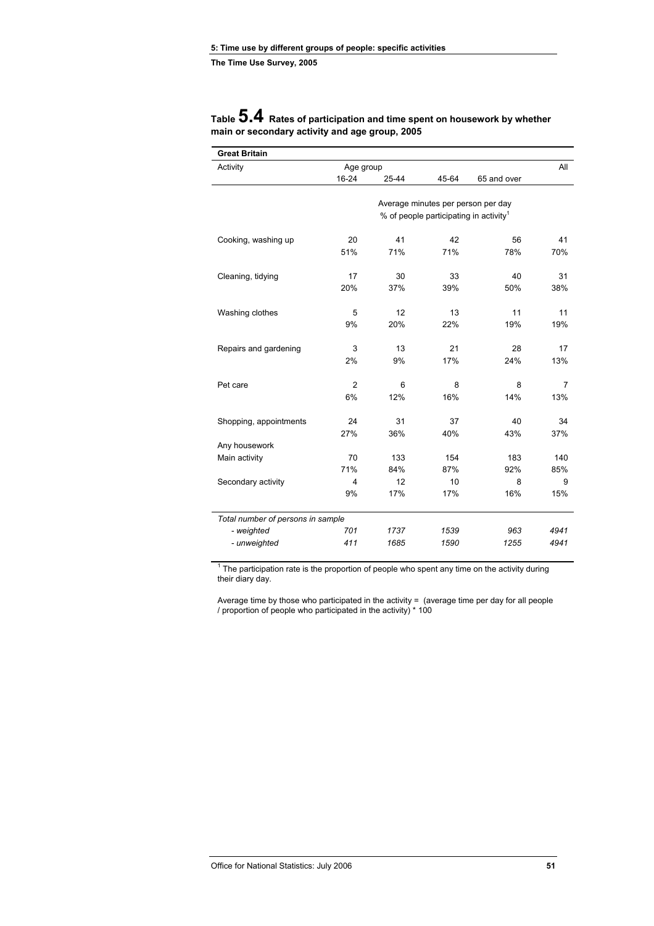| <b>Great Britain</b>              |                |       |                                                    |             |      |
|-----------------------------------|----------------|-------|----------------------------------------------------|-------------|------|
| Activity                          | Age group      |       |                                                    |             | All  |
|                                   | 16-24          | 25-44 | 45-64                                              | 65 and over |      |
|                                   |                |       |                                                    |             |      |
|                                   |                |       | Average minutes per person per day                 |             |      |
|                                   |                |       | % of people participating in activity <sup>1</sup> |             |      |
| Cooking, washing up               | 20             | 41    | 42                                                 | 56          | 41   |
|                                   | 51%            | 71%   | 71%                                                | 78%         | 70%  |
|                                   |                |       |                                                    |             |      |
| Cleaning, tidying                 | 17             | 30    | 33                                                 | 40          | 31   |
|                                   | 20%            | 37%   | 39%                                                | 50%         | 38%  |
|                                   |                |       |                                                    |             |      |
| Washing clothes                   | 5              | 12    | 13                                                 | 11          | 11   |
|                                   | 9%             | 20%   | 22%                                                | 19%         | 19%  |
|                                   |                |       |                                                    |             |      |
| Repairs and gardening             | 3              | 13    | 21                                                 | 28          | 17   |
|                                   | 2%             | 9%    | 17%                                                | 24%         | 13%  |
|                                   |                |       |                                                    |             |      |
| Pet care                          | $\overline{2}$ | 6     | 8                                                  | 8           | 7    |
|                                   | 6%             | 12%   | 16%                                                | 14%         | 13%  |
| Shopping, appointments            | 24             | 31    | 37                                                 | 40          | 34   |
|                                   | 27%            | 36%   | 40%                                                | 43%         | 37%  |
| Any housework                     |                |       |                                                    |             |      |
| Main activity                     | 70             | 133   | 154                                                | 183         | 140  |
|                                   | 71%            | 84%   | 87%                                                | 92%         | 85%  |
| Secondary activity                | $\overline{4}$ | 12    | 10                                                 | 8           | 9    |
|                                   | 9%             | 17%   | 17%                                                | 16%         | 15%  |
|                                   |                |       |                                                    |             |      |
| Total number of persons in sample |                |       |                                                    |             |      |
| - weighted                        | 701            | 1737  | 1539                                               | 963         | 4941 |
| - unweighted                      | 411            | 1685  | 1590                                               | 1255        | 4941 |
|                                   |                |       |                                                    |             |      |

### **Table 5.4 Rates of participation and time spent on housework by whether main or secondary activity and age group, 2005**

 $1$  The participation rate is the proportion of people who spent any time on the activity during their diary day.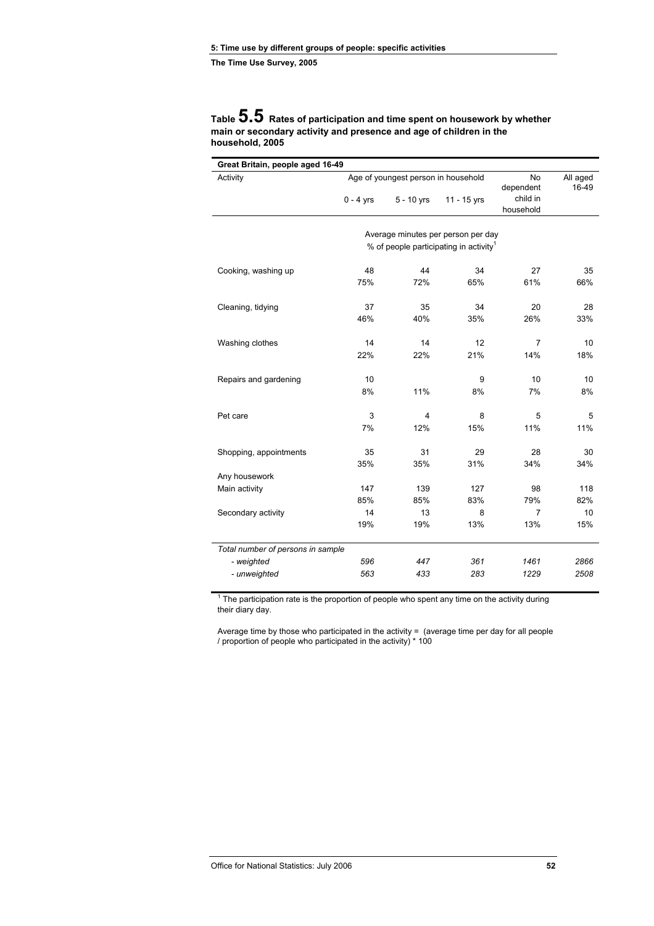### **Table 5.5 Rates of participation and time spent on housework by whether main or secondary activity and presence and age of children in the household, 2005**

| Great Britain, people aged 16-49<br>Age of youngest person in household |             |              |                                                    |                   |      |
|-------------------------------------------------------------------------|-------------|--------------|----------------------------------------------------|-------------------|------|
| Activity                                                                |             |              | No<br>dependent                                    | All aged<br>16-49 |      |
|                                                                         | $0 - 4$ yrs | $5 - 10$ yrs | 11 - 15 yrs                                        | child in          |      |
|                                                                         |             |              |                                                    | household         |      |
|                                                                         |             |              |                                                    |                   |      |
|                                                                         |             |              | Average minutes per person per day                 |                   |      |
|                                                                         |             |              | % of people participating in activity <sup>1</sup> |                   |      |
| Cooking, washing up                                                     | 48          | 44           | 34                                                 | 27                | 35   |
|                                                                         | 75%         | 72%          | 65%                                                | 61%               | 66%  |
| Cleaning, tidying                                                       | 37          | 35           | 34                                                 | 20                | 28   |
|                                                                         | 46%         | 40%          | 35%                                                | 26%               | 33%  |
|                                                                         |             |              |                                                    |                   |      |
| Washing clothes                                                         | 14          | 14           | 12                                                 | $\overline{7}$    | 10   |
|                                                                         | 22%         | 22%          | 21%                                                | 14%               | 18%  |
| Repairs and gardening                                                   | 10          |              | 9                                                  | 10                | 10   |
|                                                                         | 8%          | 11%          | 8%                                                 | 7%                | 8%   |
| Pet care                                                                | 3           | 4            | 8                                                  | 5                 | 5    |
|                                                                         | 7%          | 12%          | 15%                                                | 11%               | 11%  |
| Shopping, appointments                                                  | 35          | 31           | 29                                                 | 28                | 30   |
|                                                                         | 35%         | 35%          | 31%                                                | 34%               | 34%  |
| Any housework                                                           |             |              |                                                    |                   |      |
| Main activity                                                           | 147         | 139          | 127                                                | 98                | 118  |
|                                                                         | 85%         | 85%          | 83%                                                | 79%               | 82%  |
| Secondary activity                                                      | 14          | 13           | 8                                                  | $\overline{7}$    | 10   |
|                                                                         | 19%         | 19%          | 13%                                                | 13%               | 15%  |
| Total number of persons in sample                                       |             |              |                                                    |                   |      |
| - weighted                                                              | 596         | 447          | 361                                                | 1461              | 2866 |
| - unweighted                                                            | 563         | 433          | 283                                                | 1229              | 2508 |

 $1$  The participation rate is the proportion of people who spent any time on the activity during their diary day.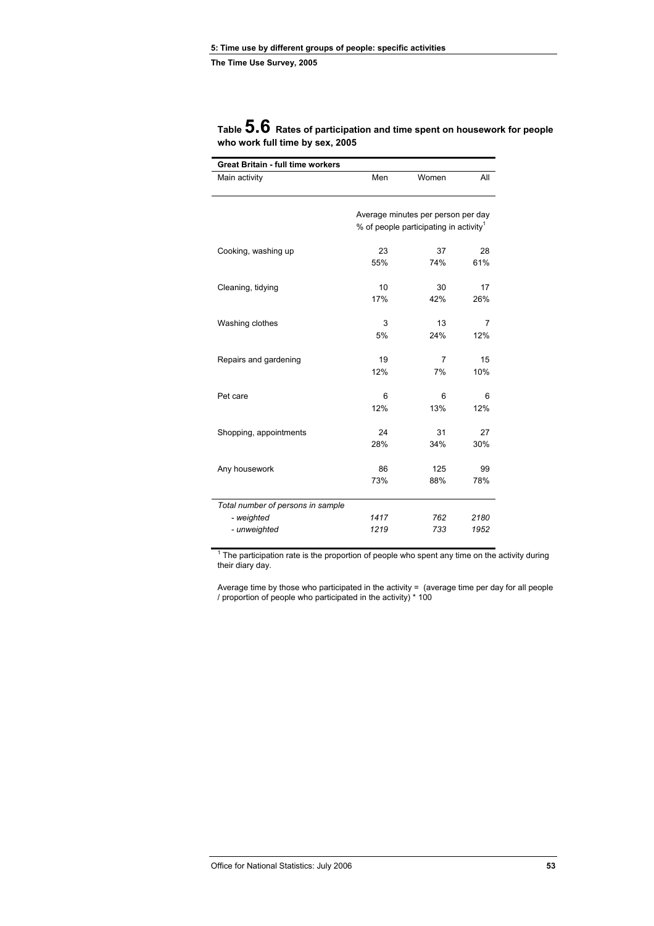| Great Britain - full time workers |          |                                                    |                |
|-----------------------------------|----------|----------------------------------------------------|----------------|
| Main activity                     | Men      | Women                                              | All            |
|                                   |          |                                                    |                |
|                                   |          | Average minutes per person per day                 |                |
|                                   |          | % of people participating in activity <sup>1</sup> |                |
| Cooking, washing up               | 23       | 37                                                 | 28             |
|                                   | 55%      | 74%                                                | 61%            |
| Cleaning, tidying                 | 10       | 30                                                 | 17             |
|                                   | 17%      | 42%                                                | 26%            |
| Washing clothes                   | 3        | 13                                                 | $\overline{7}$ |
|                                   | 5%       | 24%                                                | 12%            |
| Repairs and gardening             | 19       | 7                                                  | 15             |
|                                   | 12%      | 7%                                                 | 10%            |
|                                   |          |                                                    |                |
| Pet care                          | 6<br>12% | 6<br>13%                                           | 6<br>12%       |
|                                   |          |                                                    |                |
| Shopping, appointments            | 24       | 31                                                 | 27             |
|                                   | 28%      | 34%                                                | 30%            |
| Any housework                     | 86       | 125                                                | 99             |
|                                   | 73%      | 88%                                                | 78%            |
| Total number of persons in sample |          |                                                    |                |
| - weighted                        | 1417     | 762                                                | 2180           |
| - unweighted                      | 1219     | 733                                                | 1952           |

### **Table 5.6 Rates of participation and time spent on housework for people who work full time by sex, 2005**

 $1$  The participation rate is the proportion of people who spent any time on the activity during their diary day.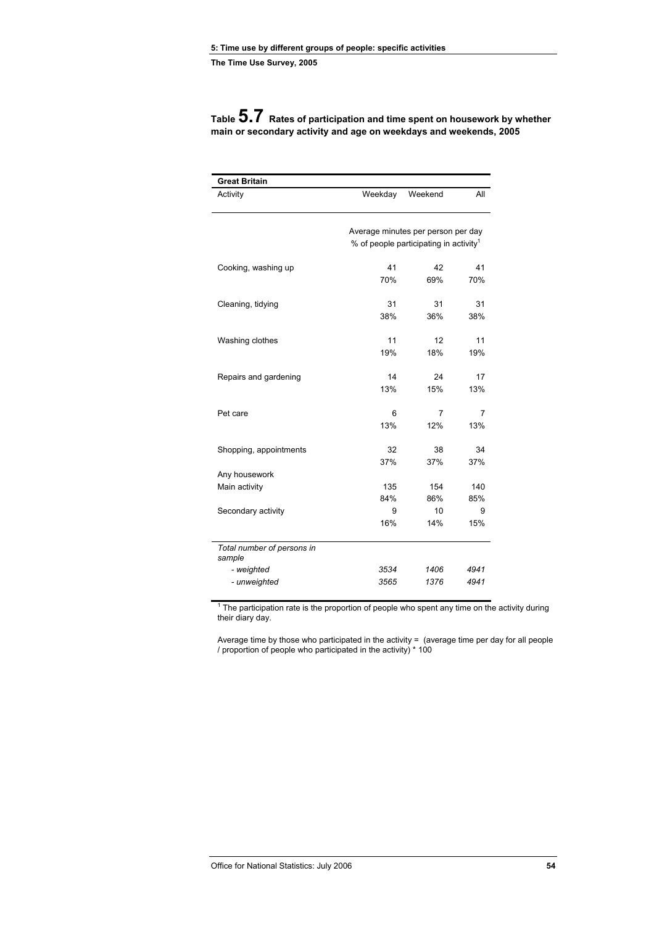| <b>Great Britain</b>                 |                                    |                                                    |      |
|--------------------------------------|------------------------------------|----------------------------------------------------|------|
| Activity                             | Weekday                            | Weekend                                            | All  |
|                                      | Average minutes per person per day | % of people participating in activity <sup>1</sup> |      |
| Cooking, washing up                  | 41                                 | 42                                                 | 41   |
|                                      | 70%                                | 69%                                                | 70%  |
| Cleaning, tidying                    | 31                                 | 31                                                 | 31   |
|                                      | 38%                                | 36%                                                | 38%  |
| Washing clothes                      | 11                                 | 12                                                 | 11   |
|                                      | 19%                                | 18%                                                | 19%  |
| Repairs and gardening                | 14                                 | 24                                                 | 17   |
|                                      | 13%                                | 15%                                                | 13%  |
| Pet care                             | 6                                  | 7                                                  | 7    |
|                                      | 13%                                | 12%                                                | 13%  |
| Shopping, appointments               | 32                                 | 38                                                 | 34   |
|                                      | 37%                                | 37%                                                | 37%  |
| Any housework                        | 135                                | 154                                                | 140  |
| Main activity                        | 84%                                | 86%                                                | 85%  |
| Secondary activity                   | 9                                  | 10                                                 | 9    |
|                                      | 16%                                | 14%                                                | 15%  |
| Total number of persons in<br>sample |                                    |                                                    |      |
| - weighted                           | 3534                               | 1406                                               | 4941 |
| - unweighted                         | 3565                               | 1376                                               | 4941 |

**Table 5.7 Rates of participation and time spent on housework by whether main or secondary activity and age on weekdays and weekends, 2005** 

 $1$  The participation rate is the proportion of people who spent any time on the activity during their diary day.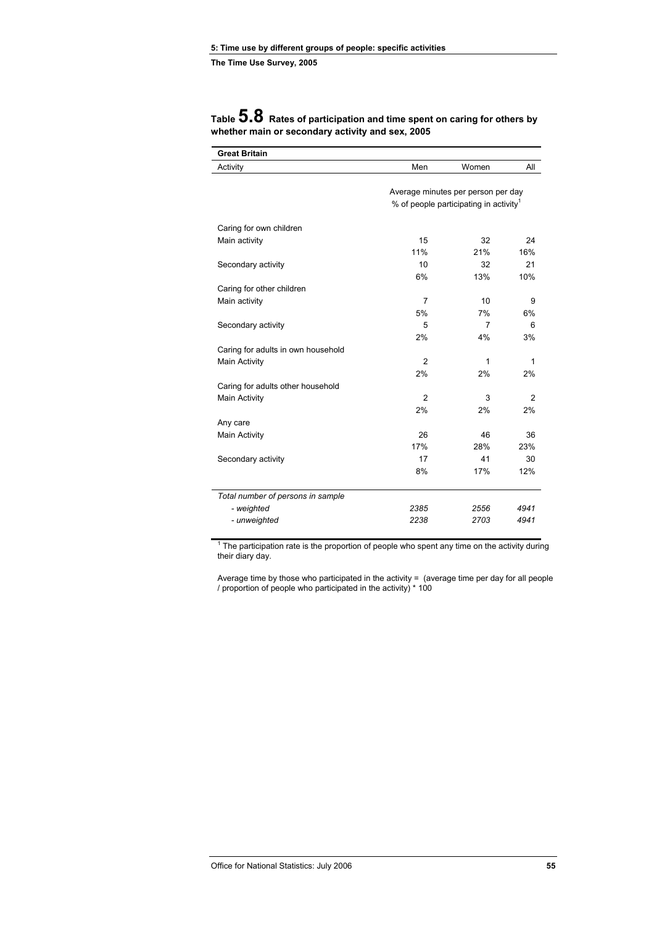| <b>Great Britain</b>               |                |                                                    |                |
|------------------------------------|----------------|----------------------------------------------------|----------------|
| Activity                           | Men            | Women                                              | All            |
|                                    |                |                                                    |                |
|                                    |                | Average minutes per person per day                 |                |
|                                    |                | % of people participating in activity <sup>1</sup> |                |
| Caring for own children            |                |                                                    |                |
| Main activity                      | 15             | 32                                                 | 24             |
|                                    | 11%            | 21%                                                | 16%            |
| Secondary activity                 | 10             | 32                                                 | 21             |
|                                    | 6%             | 13%                                                | 10%            |
| Caring for other children          |                |                                                    |                |
| Main activity                      | $\overline{7}$ | 10                                                 | 9              |
|                                    | 5%             | 7%                                                 | 6%             |
| Secondary activity                 | 5              | 7                                                  | 6              |
|                                    | 2%             | 4%                                                 | 3%             |
| Caring for adults in own household |                |                                                    |                |
| <b>Main Activity</b>               | $\overline{2}$ | 1                                                  | 1              |
|                                    | 2%             | 2%                                                 | 2%             |
|                                    |                |                                                    |                |
| Caring for adults other household  | $\mathfrak{p}$ |                                                    |                |
| <b>Main Activity</b>               |                | 3                                                  | $\overline{2}$ |
|                                    | 2%             | 2%                                                 | 2%             |
| Any care                           |                |                                                    |                |
| Main Activity                      | 26             | 46                                                 | 36             |
|                                    | 17%            | 28%                                                | 23%            |
| Secondary activity                 | 17             | 41                                                 | 30             |
|                                    | 8%             | 17%                                                | 12%            |
| Total number of persons in sample  |                |                                                    |                |
| - weighted                         | 2385           | 2556                                               | 4941           |
| - unweighted                       | 2238           | 2703                                               | 4941           |
|                                    |                |                                                    |                |

# **Table 5.8 Rates of participation and time spent on caring for others by whether main or secondary activity and sex, 2005**

 $1$  The participation rate is the proportion of people who spent any time on the activity during their diary day.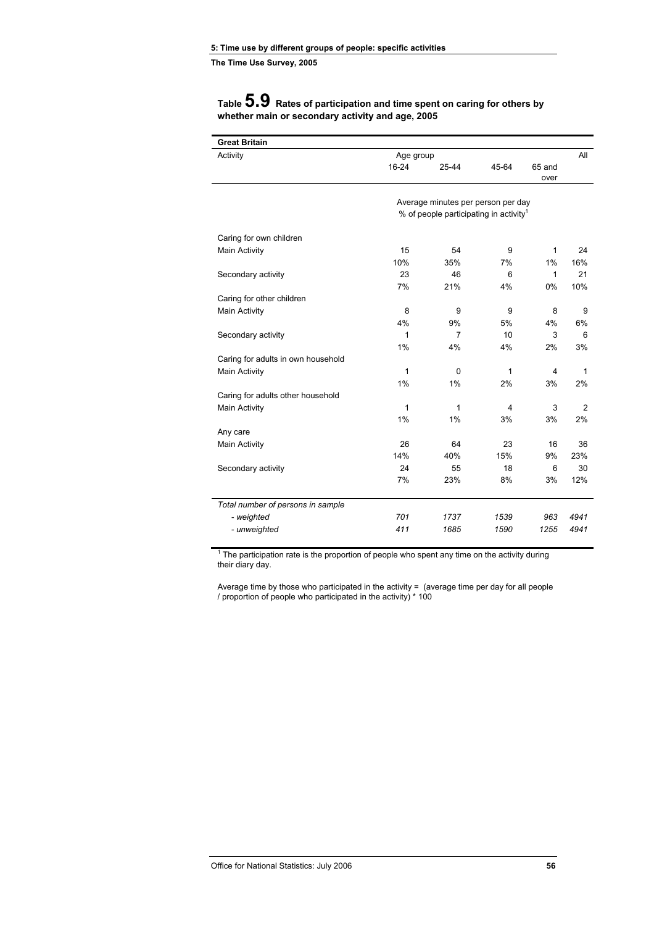**The Time Use Survey, 2005** 

## **Table 5.9 Rates of participation and time spent on caring for others by whether main or secondary activity and age, 2005**

| <b>Great Britain</b>               |              |                                                    |       |              |                |
|------------------------------------|--------------|----------------------------------------------------|-------|--------------|----------------|
| Activity                           | Age group    |                                                    |       |              | All            |
|                                    | 16-24        | 25-44                                              | 45-64 | 65 and       |                |
|                                    |              |                                                    |       | over         |                |
|                                    |              | Average minutes per person per day                 |       |              |                |
|                                    |              | % of people participating in activity <sup>1</sup> |       |              |                |
|                                    |              |                                                    |       |              |                |
| Caring for own children            |              |                                                    |       |              |                |
| Main Activity                      | 15           | 54                                                 | 9     | 1            | 24             |
|                                    | 10%          | 35%                                                | 7%    | 1%           | 16%            |
| Secondary activity                 | 23           | 46                                                 | 6     | $\mathbf{1}$ | 21             |
|                                    | 7%           | 21%                                                | 4%    | $0\%$        | 10%            |
| Caring for other children          |              |                                                    |       |              |                |
| Main Activity                      | 8            | 9                                                  | 9     | 8            | 9              |
|                                    | 4%           | 9%                                                 | 5%    | 4%           | 6%             |
| Secondary activity                 | $\mathbf{1}$ | $\overline{7}$                                     | 10    | 3            | 6              |
|                                    | 1%           | 4%                                                 | 4%    | 2%           | 3%             |
| Caring for adults in own household |              |                                                    |       |              |                |
| Main Activity                      | 1            | 0                                                  | 1     | 4            | 1              |
|                                    | 1%           | 1%                                                 | 2%    | 3%           | 2%             |
| Caring for adults other household  |              |                                                    |       |              |                |
| Main Activity                      | $\mathbf{1}$ | 1                                                  | 4     | 3            | $\overline{2}$ |
|                                    | 1%           | 1%                                                 | 3%    | 3%           | 2%             |
| Any care                           |              |                                                    |       |              |                |
| Main Activity                      | 26           | 64                                                 | 23    | 16           | 36             |
|                                    | 14%          | 40%                                                | 15%   | 9%           | 23%            |
| Secondary activity                 | 24           | 55                                                 | 18    | 6            | 30             |
|                                    | 7%           | 23%                                                | 8%    | 3%           | 12%            |
| Total number of persons in sample  |              |                                                    |       |              |                |
| - weighted                         | 701          | 1737                                               | 1539  | 963          | 4941           |
| - unweighted                       | 411          | 1685                                               | 1590  | 1255         | 4941           |
|                                    |              |                                                    |       |              |                |

 $1$  The participation rate is the proportion of people who spent any time on the activity during their diary day.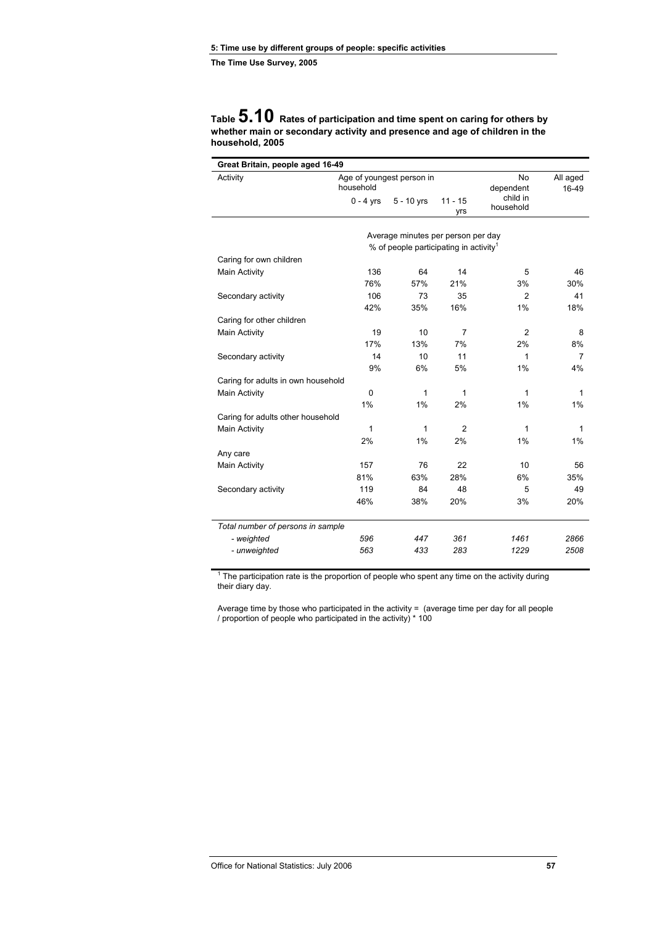### **Table 5.10 Rates of participation and time spent on caring for others by whether main or secondary activity and presence and age of children in the household, 2005**

| Activity                           | Age of youngest person in<br>household |                                                    | No<br>dependent  | All aged<br>16-49     |      |
|------------------------------------|----------------------------------------|----------------------------------------------------|------------------|-----------------------|------|
|                                    | $0 - 4$ yrs                            | $5 - 10$ yrs                                       | $11 - 15$<br>yrs | child in<br>household |      |
|                                    |                                        | Average minutes per person per day                 |                  |                       |      |
|                                    |                                        | % of people participating in activity <sup>1</sup> |                  |                       |      |
| Caring for own children            |                                        |                                                    |                  |                       |      |
| Main Activity                      | 136                                    | 64                                                 | 14               | 5                     | 46   |
|                                    | 76%                                    | 57%                                                | 21%              | 3%                    | 30%  |
| Secondary activity                 | 106                                    | 73                                                 | 35               | $\overline{2}$        | 41   |
|                                    | 42%                                    | 35%                                                | 16%              | 1%                    | 18%  |
| Caring for other children          |                                        |                                                    |                  |                       |      |
| Main Activity                      | 19                                     | 10                                                 | 7                | $\overline{2}$        | 8    |
|                                    | 17%                                    | 13%                                                | 7%               | 2%                    | 8%   |
| Secondary activity                 | 14                                     | 10                                                 | 11               | 1                     | 7    |
|                                    | 9%                                     | 6%                                                 | 5%               | 1%                    | 4%   |
| Caring for adults in own household |                                        |                                                    |                  |                       |      |
| Main Activity                      | 0                                      | 1                                                  | 1                | 1                     | 1    |
|                                    | 1%                                     | 1%                                                 | 2%               | 1%                    | 1%   |
| Caring for adults other household  |                                        |                                                    |                  |                       |      |
| Main Activity                      | $\mathbf 1$                            | 1                                                  | $\overline{2}$   | 1                     | 1    |
|                                    | 2%                                     | 1%                                                 | 2%               | 1%                    | 1%   |
| Any care                           |                                        |                                                    |                  |                       |      |
| Main Activity                      | 157                                    | 76                                                 | 22               | 10                    | 56   |
|                                    | 81%                                    | 63%                                                | 28%              | 6%                    | 35%  |
| Secondary activity                 | 119                                    | 84                                                 | 48               | 5                     | 49   |
|                                    | 46%                                    | 38%                                                | 20%              | 3%                    | 20%  |
| Total number of persons in sample  |                                        |                                                    |                  |                       |      |
| - weighted                         | 596                                    | 447                                                | 361              | 1461                  | 2866 |
| - unweighted                       | 563                                    | 433                                                | 283              | 1229                  | 2508 |

 $1$  The participation rate is the proportion of people who spent any time on the activity during their diary day.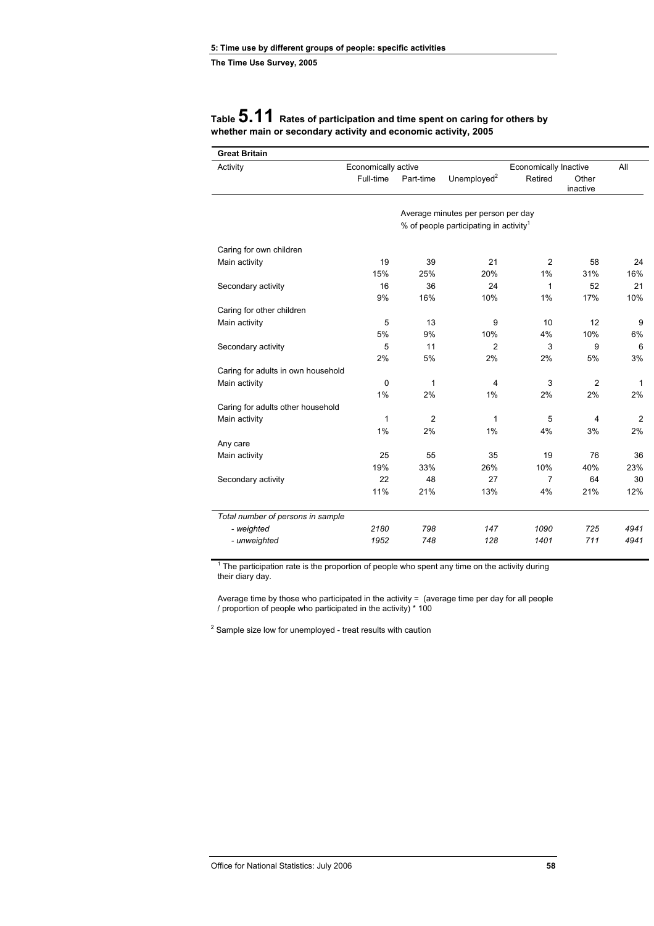| <b>Great Britain</b>               |                     |                |                                                    |                       |                   |              |
|------------------------------------|---------------------|----------------|----------------------------------------------------|-----------------------|-------------------|--------------|
| Activity                           | Economically active |                |                                                    | Economically Inactive |                   | All          |
|                                    | Full-time           | Part-time      | Unemployed <sup>2</sup>                            | Retired               | Other<br>inactive |              |
|                                    |                     |                | Average minutes per person per day                 |                       |                   |              |
|                                    |                     |                | % of people participating in activity <sup>1</sup> |                       |                   |              |
| Caring for own children            |                     |                |                                                    |                       |                   |              |
| Main activity                      | 19                  | 39             | 21                                                 | 2                     | 58                | 24           |
|                                    | 15%                 | 25%            | 20%                                                | 1%                    | 31%               | 16%          |
| Secondary activity                 | 16                  | 36             | 24                                                 | 1                     | 52                | 21           |
|                                    | 9%                  | 16%            | 10%                                                | 1%                    | 17%               | 10%          |
| Caring for other children          |                     |                |                                                    |                       |                   |              |
| Main activity                      | 5                   | 13             | 9                                                  | 10                    | 12                | 9            |
|                                    | 5%                  | 9%             | 10%                                                | 4%                    | 10%               | 6%           |
| Secondary activity                 | 5                   | 11             | $\overline{2}$                                     | 3                     | 9                 | 6            |
|                                    | 2%                  | 5%             | 2%                                                 | 2%                    | 5%                | 3%           |
| Caring for adults in own household |                     |                |                                                    |                       |                   |              |
| Main activity                      | 0                   | 1              | 4                                                  | 3                     | $\overline{2}$    | $\mathbf{1}$ |
|                                    | 1%                  | 2%             | 1%                                                 | 2%                    | 2%                | 2%           |
| Caring for adults other household  |                     |                |                                                    |                       |                   |              |
| Main activity                      | 1                   | $\overline{2}$ | 1                                                  | 5                     | 4                 | 2            |
|                                    | 1%                  | 2%             | 1%                                                 | 4%                    | 3%                | 2%           |
| Any care                           |                     |                |                                                    |                       |                   |              |
| Main activity                      | 25                  | 55             | 35                                                 | 19                    | 76                | 36           |
|                                    | 19%                 | 33%            | 26%                                                | 10%                   | 40%               | 23%          |
| Secondary activity                 | 22                  | 48             | 27                                                 | $\overline{7}$        | 64                | 30           |
|                                    | 11%                 | 21%            | 13%                                                | 4%                    | 21%               | 12%          |
| Total number of persons in sample  |                     |                |                                                    |                       |                   |              |
| - weighted                         | 2180                | 798            | 147                                                | 1090                  | 725               | 4941         |
| - unweighted                       | 1952                | 748            | 128                                                | 1401                  | 711               | 4941         |

## **Table 5.11 Rates of participation and time spent on caring for others by whether main or secondary activity and economic activity, 2005**

 $1$  The participation rate is the proportion of people who spent any time on the activity during their diary day.

Average time by those who participated in the activity  $=$  (average time per day for all people / proportion of people who participated in the activity) \* 100

 $2$  Sample size low for unemployed - treat results with caution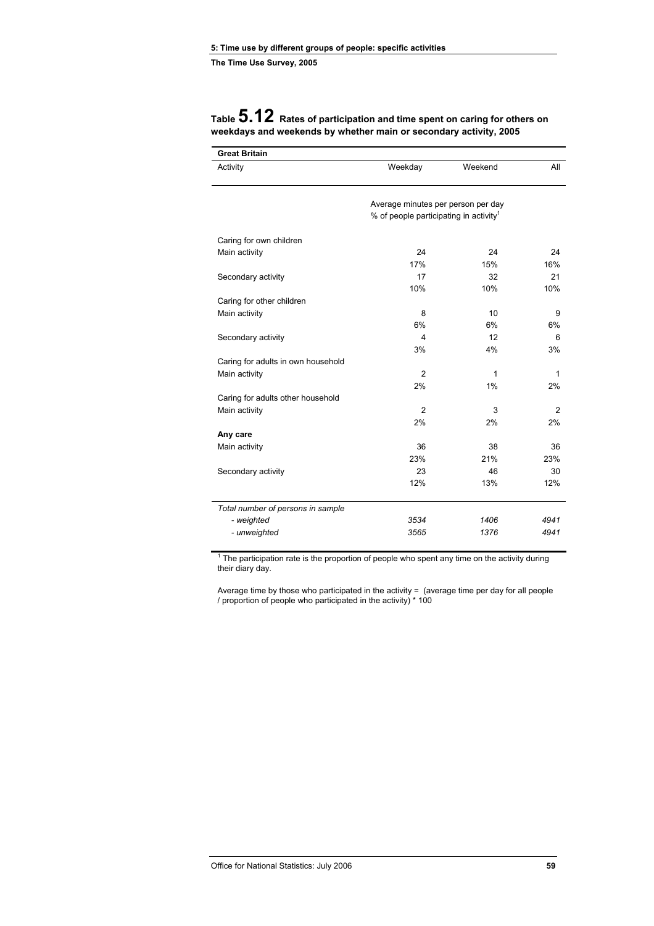| <b>Great Britain</b>               |                                                    |              |              |
|------------------------------------|----------------------------------------------------|--------------|--------------|
| Activity                           | Weekday                                            | Weekend      | All          |
|                                    | Average minutes per person per day                 |              |              |
|                                    | % of people participating in activity <sup>1</sup> |              |              |
| Caring for own children            |                                                    |              |              |
| Main activity                      | 24                                                 | 24           | 24           |
|                                    | 17%                                                | 15%          | 16%          |
| Secondary activity                 | 17                                                 | 32           | 21           |
|                                    | 10%                                                | 10%          | 10%          |
| Caring for other children          |                                                    |              |              |
| Main activity                      | 8                                                  | 10           | 9            |
|                                    | 6%                                                 | 6%           | 6%           |
| Secondary activity                 | 4                                                  | 12           | 6            |
|                                    | 3%                                                 | 4%           | 3%           |
| Caring for adults in own household |                                                    |              |              |
| Main activity                      | $\overline{2}$                                     | $\mathbf{1}$ | $\mathbf{1}$ |
|                                    | 2%                                                 | 1%           | 2%           |
| Caring for adults other household  |                                                    |              |              |
| Main activity                      | $\overline{2}$                                     | 3            | 2            |
|                                    | 2%                                                 | 2%           | 2%           |
| Any care                           |                                                    |              |              |
| Main activity                      | 36                                                 | 38           | 36           |
|                                    | 23%                                                | 21%          | 23%          |
| Secondary activity                 | 23                                                 | 46           | 30           |
|                                    | 12%                                                | 13%          | 12%          |
| Total number of persons in sample  |                                                    |              |              |
| - weighted                         | 3534                                               | 1406         | 4941         |
| - unweighted                       | 3565                                               | 1376         | 4941         |

## **Table 5.12 Rates of participation and time spent on caring for others on weekdays and weekends by whether main or secondary activity, 2005**

 $1$  The participation rate is the proportion of people who spent any time on the activity during their diary day.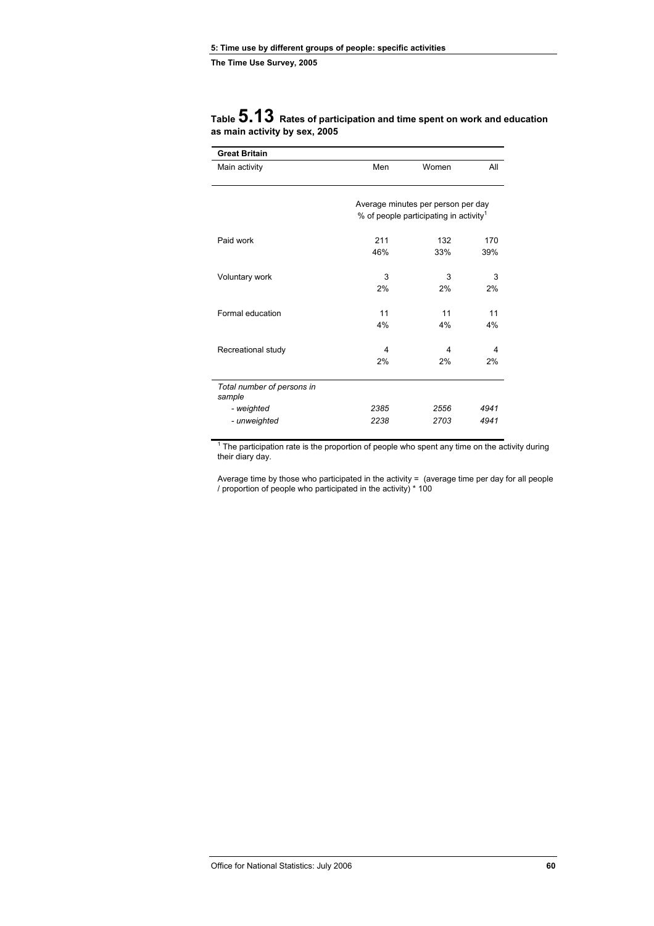| Main activity                        | Men  | Women                                              | All  |
|--------------------------------------|------|----------------------------------------------------|------|
|                                      |      |                                                    |      |
|                                      |      | Average minutes per person per day                 |      |
|                                      |      | % of people participating in activity <sup>1</sup> |      |
| Paid work                            | 211  | 132                                                | 170  |
|                                      | 46%  | 33%                                                | 39%  |
| Voluntary work                       | 3    | 3                                                  | 3    |
|                                      | 2%   | 2%                                                 | 2%   |
| Formal education                     | 11   | 11                                                 | 11   |
|                                      | 4%   | 4%                                                 | 4%   |
| Recreational study                   | 4    | 4                                                  | 4    |
|                                      | 2%   | 2%                                                 | 2%   |
| Total number of persons in<br>sample |      |                                                    |      |
| - weighted                           | 2385 | 2556                                               | 4941 |
| - unweighted                         | 2238 | 2703                                               | 4941 |

# **Table 5.13 Rates of participation and time spent on work and education as main activity by sex, 2005**

 $1$  The participation rate is the proportion of people who spent any time on the activity during their diary day.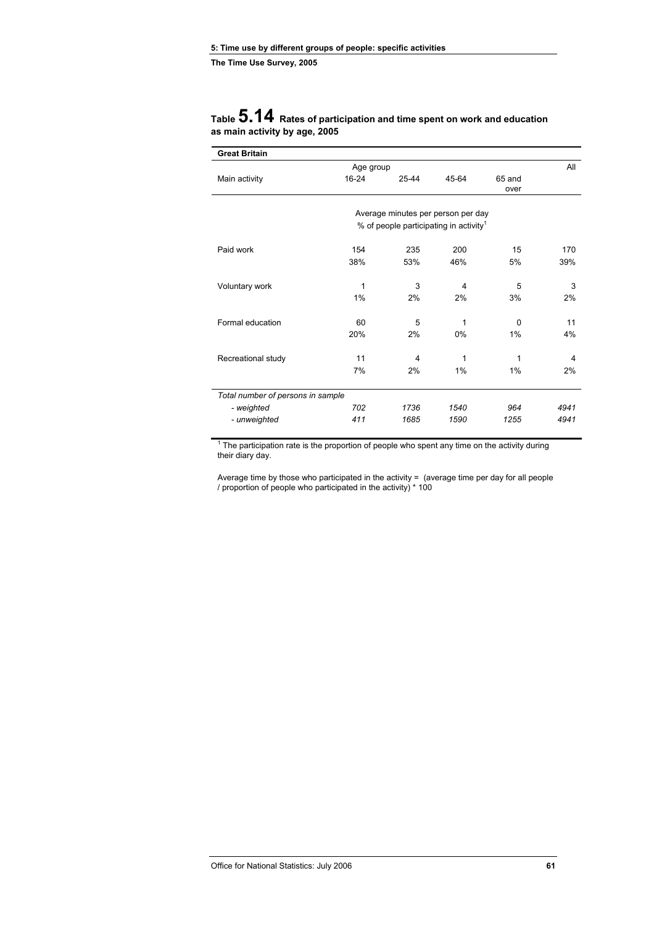| <b>Great Britain</b>              |           |                                                    |       |          |      |
|-----------------------------------|-----------|----------------------------------------------------|-------|----------|------|
|                                   | Age group |                                                    |       |          | All  |
| Main activity                     | 16-24     | 25-44                                              | 45-64 | 65 and   |      |
|                                   |           |                                                    |       | over     |      |
|                                   |           |                                                    |       |          |      |
|                                   |           | Average minutes per person per day                 |       |          |      |
|                                   |           | % of people participating in activity <sup>1</sup> |       |          |      |
| Paid work                         | 154       | 235                                                | 200   | 15       | 170  |
|                                   | 38%       | 53%                                                | 46%   | 5%       | 39%  |
|                                   |           |                                                    |       |          |      |
| Voluntary work                    | 1         | 3                                                  | 4     | 5        | 3    |
|                                   | 1%        | 2%                                                 | 2%    | 3%       | 2%   |
|                                   |           |                                                    |       |          |      |
| Formal education                  | 60        | 5                                                  | 1     | $\Omega$ | 11   |
|                                   | 20%       | 2%                                                 | 0%    | 1%       | 4%   |
|                                   |           |                                                    |       |          |      |
| Recreational study                | 11        | 4                                                  | 1     | 1        | 4    |
|                                   | 7%        | 2%                                                 | $1\%$ | 1%       | 2%   |
|                                   |           |                                                    |       |          |      |
| Total number of persons in sample |           |                                                    |       |          |      |
| - weighted                        | 702       | 1736                                               | 1540  | 964      | 4941 |
| - unweighted                      | 411       | 1685                                               | 1590  | 1255     | 4941 |

### **Table 5.14 Rates of participation and time spent on work and education as main activity by age, 2005**

 $1$  The participation rate is the proportion of people who spent any time on the activity during their diary day.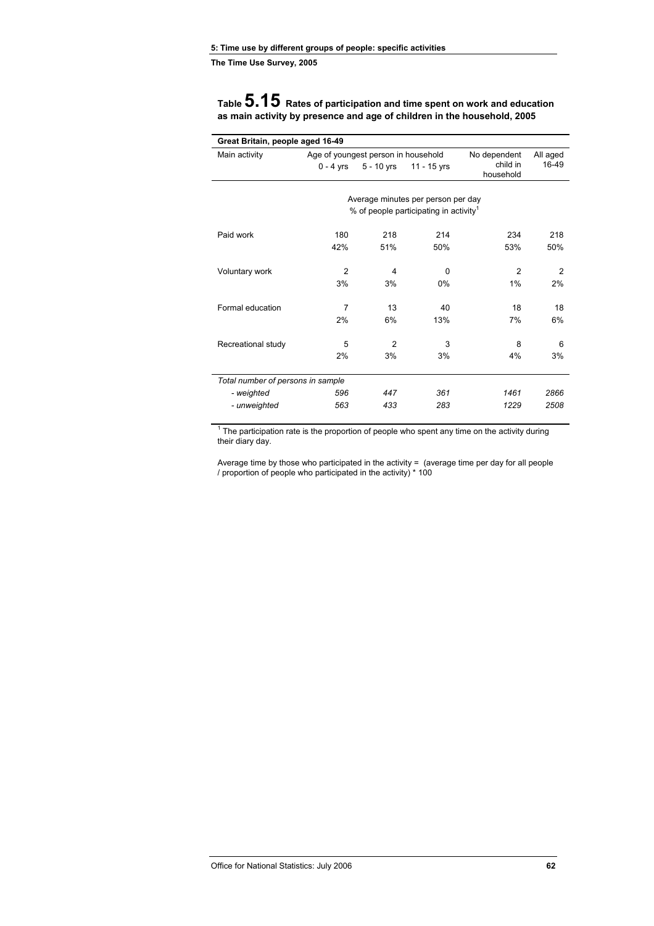**Table 5.15 Rates of participation and time spent on work and education as main activity by presence and age of children in the household, 2005** 

| Great Britain, people aged 16-49  |                |                                     |                                                                                          |                       |                |  |  |
|-----------------------------------|----------------|-------------------------------------|------------------------------------------------------------------------------------------|-----------------------|----------------|--|--|
| Main activity                     |                | Age of youngest person in household |                                                                                          | No dependent          | All aged       |  |  |
|                                   | 0 - 4 yrs      | 5 - 10 yrs                          | 11 - 15 yrs                                                                              | child in<br>household | 16-49          |  |  |
|                                   |                |                                     |                                                                                          |                       |                |  |  |
|                                   |                |                                     | Average minutes per person per day<br>% of people participating in activity <sup>1</sup> |                       |                |  |  |
|                                   |                |                                     |                                                                                          |                       |                |  |  |
| Paid work                         | 180            | 218                                 | 214                                                                                      | 234                   | 218            |  |  |
|                                   | 42%            | 51%                                 | 50%                                                                                      | 53%                   | 50%            |  |  |
| Voluntary work                    | $\overline{2}$ | 4                                   | $\Omega$                                                                                 | $\mathfrak{p}$        | $\overline{2}$ |  |  |
|                                   | 3%             | 3%                                  | $0\%$                                                                                    | 1%                    | 2%             |  |  |
| Formal education                  | 7              | 13                                  | 40                                                                                       | 18                    | 18             |  |  |
|                                   | 2%             | 6%                                  | 13%                                                                                      | 7%                    | 6%             |  |  |
| Recreational study                | 5              | 2                                   | 3                                                                                        | 8                     | 6              |  |  |
|                                   | 2%             | 3%                                  | 3%                                                                                       | 4%                    | 3%             |  |  |
| Total number of persons in sample |                |                                     |                                                                                          |                       |                |  |  |
| - weighted                        | 596            | 447                                 | 361                                                                                      | 1461                  | 2866           |  |  |
| - unweighted                      | 563            | 433                                 | 283                                                                                      | 1229                  | 2508           |  |  |

 $1$  The participation rate is the proportion of people who spent any time on the activity during their diary day.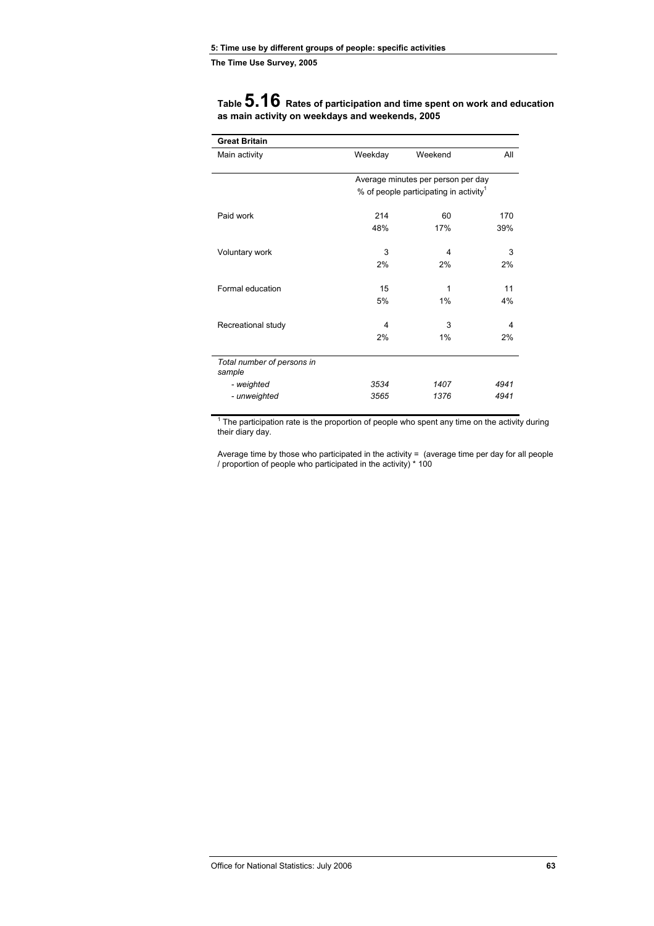| <b>Great Britain</b>                 |         |                                                    |      |
|--------------------------------------|---------|----------------------------------------------------|------|
| Main activity                        | Weekday | Weekend                                            | All  |
|                                      |         |                                                    |      |
|                                      |         | Average minutes per person per day                 |      |
|                                      |         | % of people participating in activity <sup>1</sup> |      |
| Paid work                            | 214     | 60                                                 | 170  |
|                                      | 48%     | 17%                                                | 39%  |
| Voluntary work                       | 3       | 4                                                  | 3    |
|                                      | 2%      | 2%                                                 | 2%   |
| Formal education                     | 15      | 1                                                  | 11   |
|                                      | 5%      | 1%                                                 | 4%   |
| Recreational study                   | 4       | 3                                                  | 4    |
|                                      | 2%      | 1%                                                 | 2%   |
|                                      |         |                                                    |      |
| Total number of persons in<br>sample |         |                                                    |      |
| - weighted                           | 3534    | 1407                                               | 4941 |
| - unweighted                         | 3565    | 1376                                               | 4941 |

**Table 5.16 Rates of participation and time spent on work and education as main activity on weekdays and weekends, 2005**

 $1$  The participation rate is the proportion of people who spent any time on the activity during their diary day.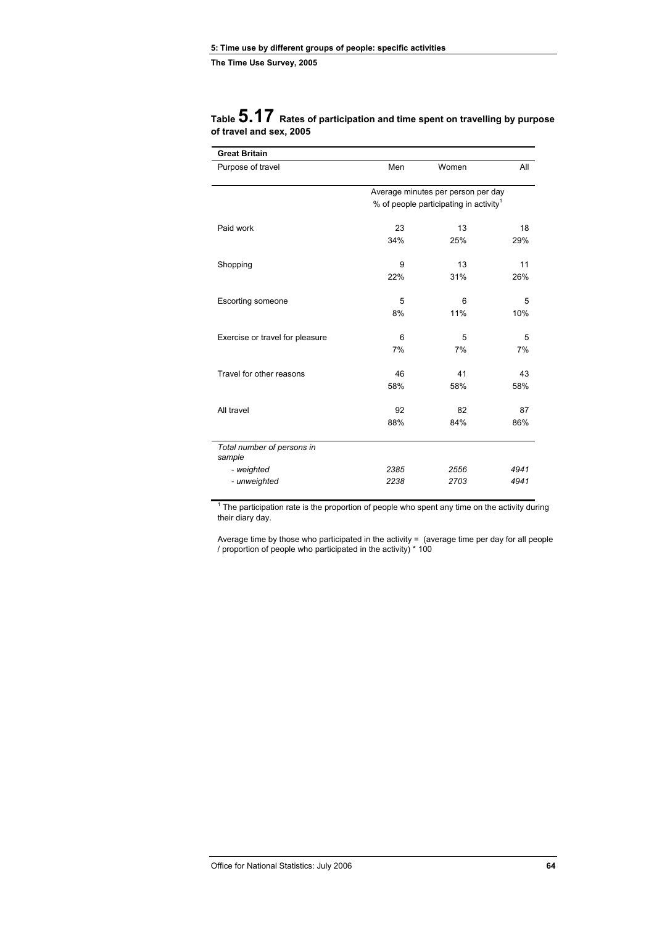| <b>Great Britain</b>                 |                                                    |       |      |  |  |
|--------------------------------------|----------------------------------------------------|-------|------|--|--|
| Purpose of travel                    | Men                                                | Women | All  |  |  |
|                                      | Average minutes per person per day                 |       |      |  |  |
|                                      | % of people participating in activity <sup>1</sup> |       |      |  |  |
| Paid work                            | 23                                                 | 13    | 18   |  |  |
|                                      | 34%                                                | 25%   | 29%  |  |  |
| Shopping                             | 9                                                  | 13    | 11   |  |  |
|                                      | 22%                                                | 31%   | 26%  |  |  |
| <b>Escorting someone</b>             | 5                                                  | 6     | 5    |  |  |
|                                      | 8%                                                 | 11%   | 10%  |  |  |
| Exercise or travel for pleasure      | 6                                                  | 5     | 5    |  |  |
|                                      | 7%                                                 | 7%    | 7%   |  |  |
| Travel for other reasons             | 46                                                 | 41    | 43   |  |  |
|                                      | 58%                                                | 58%   | 58%  |  |  |
| All travel                           | 92                                                 | 82    | 87   |  |  |
|                                      | 88%                                                | 84%   | 86%  |  |  |
| Total number of persons in<br>sample |                                                    |       |      |  |  |
| - weighted                           | 2385                                               | 2556  | 4941 |  |  |
| - unweighted                         | 2238                                               | 2703  | 4941 |  |  |

### **Table 5.17 Rates of participation and time spent on travelling by purpose of travel and sex, 2005**

 $1$  The participation rate is the proportion of people who spent any time on the activity during their diary day.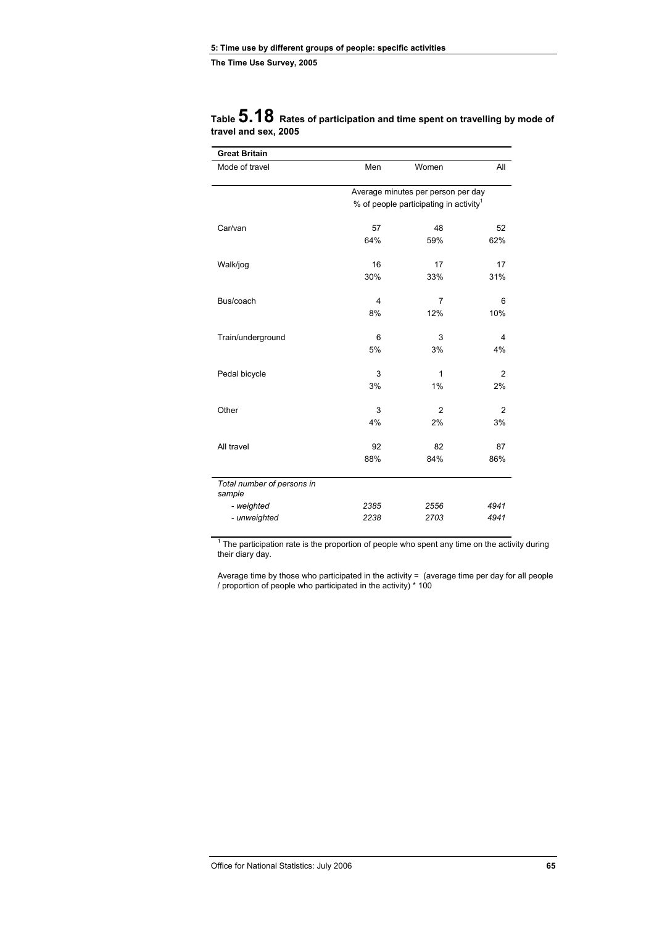| <b>Great Britain</b>                 |      |                                                    |                         |
|--------------------------------------|------|----------------------------------------------------|-------------------------|
| Mode of travel                       | Men  | Women                                              | All                     |
|                                      |      |                                                    |                         |
|                                      |      | Average minutes per person per day                 |                         |
|                                      |      | % of people participating in activity <sup>1</sup> |                         |
| Car/van                              | 57   | 48                                                 | 52                      |
|                                      | 64%  | 59%                                                | 62%                     |
| Walk/jog                             | 16   | 17                                                 | 17                      |
|                                      | 30%  | 33%                                                | 31%                     |
|                                      |      |                                                    |                         |
| Bus/coach                            | 4    | $\overline{7}$                                     | 6                       |
|                                      | 8%   | 12%                                                | 10%                     |
|                                      |      |                                                    |                         |
| Train/underground                    | 6    | 3                                                  | $\overline{\mathbf{4}}$ |
|                                      | 5%   | 3%                                                 | 4%                      |
| Pedal bicycle                        | 3    | $\mathbf{1}$                                       | 2                       |
|                                      | 3%   | 1%                                                 | 2%                      |
|                                      |      |                                                    |                         |
| Other                                | 3    | $\overline{2}$                                     | 2                       |
|                                      | 4%   | 2%                                                 | 3%                      |
| All travel                           | 92   | 82                                                 | 87                      |
|                                      | 88%  | 84%                                                | 86%                     |
|                                      |      |                                                    |                         |
| Total number of persons in<br>sample |      |                                                    |                         |
| - weighted                           | 2385 | 2556                                               | 4941                    |
| - unweighted                         | 2238 | 2703                                               | 4941                    |
|                                      |      |                                                    |                         |

### **Table 5.18 Rates of participation and time spent on travelling by mode of travel and sex, 2005**

 $1$  The participation rate is the proportion of people who spent any time on the activity during their diary day.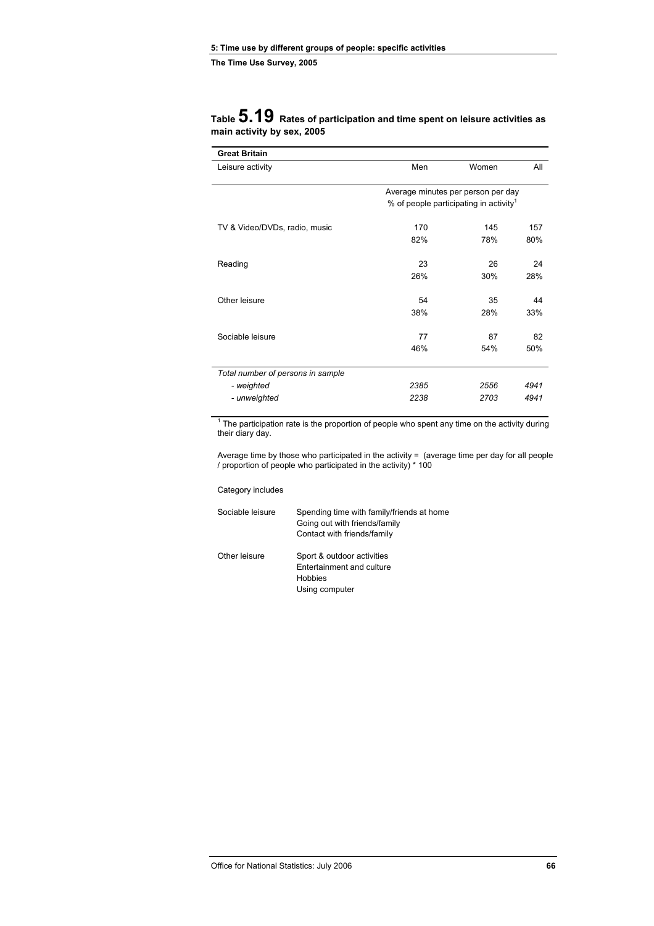|                            | Table $5.19$ Rates of participation and time spent on leisure activities as |
|----------------------------|-----------------------------------------------------------------------------|
| main activity by sex, 2005 |                                                                             |

| <b>Great Britain</b>              |      |                                                    |      |
|-----------------------------------|------|----------------------------------------------------|------|
| Leisure activity                  | Men  | Women                                              | All  |
|                                   |      | Average minutes per person per day                 |      |
|                                   |      | % of people participating in activity <sup>1</sup> |      |
| TV & Video/DVDs, radio, music     | 170  | 145                                                | 157  |
|                                   | 82%  | 78%                                                | 80%  |
| Reading                           | 23   | 26                                                 | 24   |
|                                   | 26%  | 30%                                                | 28%  |
| Other leisure                     | 54   | 35                                                 | 44   |
|                                   | 38%  | 28%                                                | 33%  |
| Sociable leisure                  | 77   | 87                                                 | 82   |
|                                   | 46%  | 54%                                                | 50%  |
| Total number of persons in sample |      |                                                    |      |
| - weighted                        | 2385 | 2556                                               | 4941 |
| - unweighted                      | 2238 | 2703                                               | 4941 |

 $1$  The participation rate is the proportion of people who spent any time on the activity during their diary day.

Average time by those who participated in the activity = (average time per day for all people / proportion of people who participated in the activity) \* 100

Category includes

| Sociable leisure | Spending time with family/friends at home<br>Going out with friends/family<br>Contact with friends/family |
|------------------|-----------------------------------------------------------------------------------------------------------|
| Other leisure    | Sport & outdoor activities<br>Entertainment and culture<br>Hobbies                                        |
|                  | Using computer                                                                                            |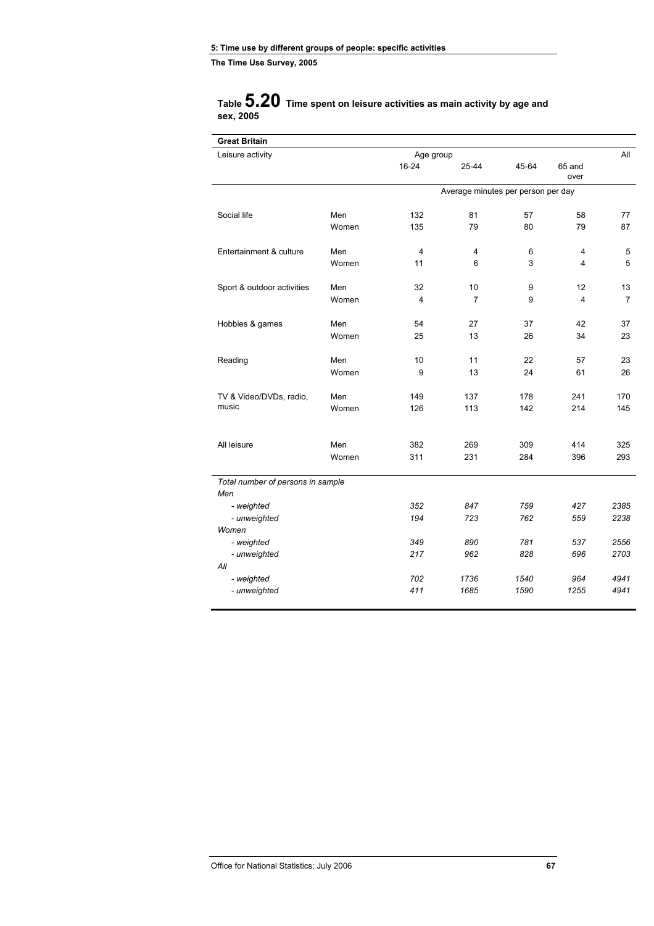### **Table 5.20 Time spent on leisure activities as main activity by age and sex, 2005**

| <b>Great Britain</b>                     |       |           |                                    |       |                |                |
|------------------------------------------|-------|-----------|------------------------------------|-------|----------------|----------------|
| Leisure activity                         |       | Age group |                                    |       |                | All            |
|                                          |       | $16 - 24$ | 25-44                              | 45-64 | 65 and<br>over |                |
|                                          |       |           | Average minutes per person per day |       |                |                |
| Social life                              | Men   | 132       | 81                                 | 57    | 58             | 77             |
|                                          | Women | 135       | 79                                 | 80    | 79             | 87             |
| Entertainment & culture                  | Men   | 4         | 4                                  | 6     | 4              | 5              |
|                                          | Women | 11        | 6                                  | 3     | 4              | 5              |
| Sport & outdoor activities               | Men   | 32        | 10                                 | 9     | 12             | 13             |
|                                          | Women | 4         | $\overline{7}$                     | 9     | 4              | $\overline{7}$ |
| Hobbies & games                          | Men   | 54        | 27                                 | 37    | 42             | 37             |
|                                          | Women | 25        | 13                                 | 26    | 34             | 23             |
| Reading                                  | Men   | 10        | 11                                 | 22    | 57             | 23             |
|                                          | Women | 9         | 13                                 | 24    | 61             | 26             |
| TV & Video/DVDs, radio,                  | Men   | 149       | 137                                | 178   | 241            | 170            |
| music                                    | Women | 126       | 113                                | 142   | 214            | 145            |
| All leisure                              | Men   | 382       | 269                                | 309   | 414            | 325            |
|                                          | Women | 311       | 231                                | 284   | 396            | 293            |
| Total number of persons in sample<br>Men |       |           |                                    |       |                |                |
| - weighted                               |       | 352       | 847                                | 759   | 427            | 2385           |
| - unweighted                             |       | 194       | 723                                | 762   | 559            | 2238           |
| Women                                    |       | 349       | 890                                | 781   | 537            | 2556           |
| - weighted<br>- unweighted               |       | 217       | 962                                | 828   | 696            | 2703           |
| All                                      |       |           |                                    |       |                |                |
| - weighted                               |       | 702       | 1736                               | 1540  | 964            | 4941           |
| - unweighted                             |       | 411       | 1685                               | 1590  | 1255           | 4941           |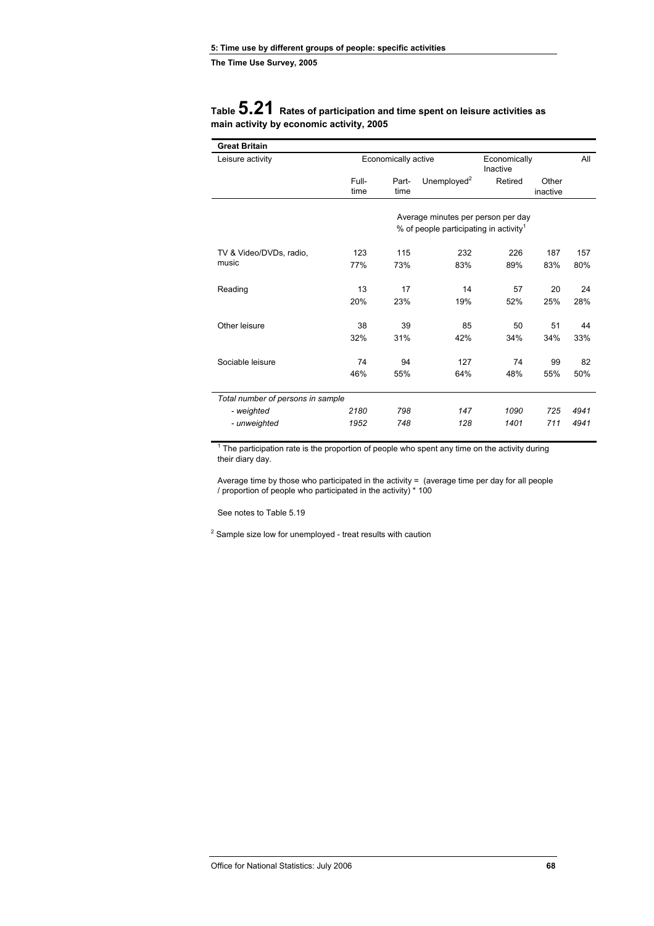### **Table 5.21 Rates of participation and time spent on leisure activities as main activity by economic activity, 2005**

| <b>Great Britain</b>              |               |                     |                                                    |         |                   |      |
|-----------------------------------|---------------|---------------------|----------------------------------------------------|---------|-------------------|------|
| Leisure activity                  |               | Economically active |                                                    |         | Economically      | All  |
|                                   | Full-<br>time | Part-<br>time       | Unemployed $2$                                     | Retired | Other<br>inactive |      |
|                                   |               |                     |                                                    |         |                   |      |
|                                   |               |                     | Average minutes per person per day                 |         |                   |      |
|                                   |               |                     | % of people participating in activity <sup>1</sup> |         |                   |      |
| TV & Video/DVDs, radio,           | 123           | 115                 | 232                                                | 226     | 187               | 157  |
| music                             | 77%           | 73%                 | 83%                                                | 89%     | 83%               | 80%  |
| Reading                           | 13            | 17                  | 14                                                 | 57      | 20                | 24   |
|                                   | 20%           | 23%                 | 19%                                                | 52%     | 25%               | 28%  |
| Other leisure                     | 38            | 39                  | 85                                                 | 50      | 51                | 44   |
|                                   | 32%           | 31%                 | 42%                                                | 34%     | 34%               | 33%  |
| Sociable leisure                  | 74            | 94                  | 127                                                | 74      | 99                | 82   |
|                                   | 46%           | 55%                 | 64%                                                | 48%     | 55%               | 50%  |
| Total number of persons in sample |               |                     |                                                    |         |                   |      |
| - weighted                        | 2180          | 798                 | 147                                                | 1090    | 725               | 4941 |
| - unweighted                      | 1952          | 748                 | 128                                                | 1401    | 711               | 4941 |

 $1$  The participation rate is the proportion of people who spent any time on the activity during their diary day.

Average time by those who participated in the activity = (average time per day for all people / proportion of people who participated in the activity) \* 100

See notes to Table 5.19

 $2$  Sample size low for unemployed - treat results with caution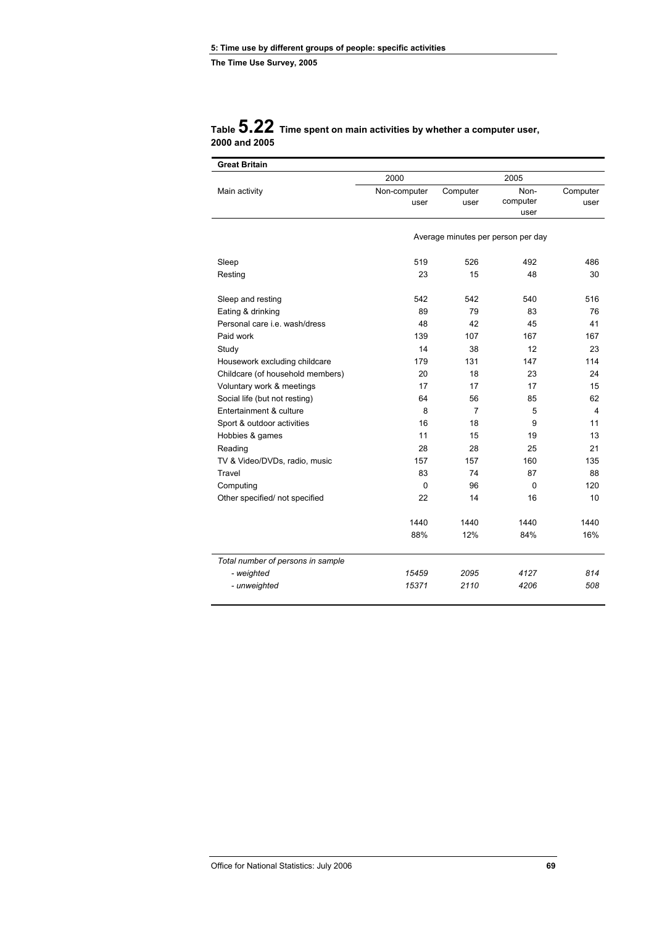| <b>Great Britain</b>                 |              |                |                                    |          |
|--------------------------------------|--------------|----------------|------------------------------------|----------|
|                                      | 2000         |                | 2005                               |          |
| Main activity                        | Non-computer | Computer       | Non-                               | Computer |
|                                      | user         | user           | computer                           | user     |
|                                      |              |                | user                               |          |
|                                      |              |                | Average minutes per person per day |          |
|                                      |              |                |                                    |          |
| Sleep                                | 519          | 526            | 492                                | 486      |
| Resting                              | 23           | 15             | 48                                 | 30       |
| Sleep and resting                    | 542          | 542            | 540                                | 516      |
| Eating & drinking                    | 89           | 79             | 83                                 | 76       |
| Personal care <i>i.e.</i> wash/dress | 48           | 42             | 45                                 | 41       |
| Paid work                            | 139          | 107            | 167                                | 167      |
| Study                                | 14           | 38             | 12                                 | 23       |
| Housework excluding childcare        | 179          | 131            | 147                                | 114      |
| Childcare (of household members)     | 20           | 18             | 23                                 | 24       |
| Voluntary work & meetings            | 17           | 17             | 17                                 | 15       |
| Social life (but not resting)        | 64           | 56             | 85                                 | 62       |
| Entertainment & culture              | 8            | $\overline{7}$ | 5                                  | 4        |
| Sport & outdoor activities           | 16           | 18             | 9                                  | 11       |
| Hobbies & games                      | 11           | 15             | 19                                 | 13       |
| Reading                              | 28           | 28             | 25                                 | 21       |
| TV & Video/DVDs, radio, music        | 157          | 157            | 160                                | 135      |
| Travel                               | 83           | 74             | 87                                 | 88       |
| Computing                            | 0            | 96             | 0                                  | 120      |
| Other specified/ not specified       | 22           | 14             | 16                                 | 10       |
|                                      | 1440         | 1440           | 1440                               | 1440     |
|                                      | 88%          | 12%            | 84%                                | 16%      |
| Total number of persons in sample    |              |                |                                    |          |
| - weighted                           | 15459        | 2095           | 4127                               | 814      |
| - unweighted                         | 15371        | 2110           | 4206                               | 508      |

### **Table 5.22 Time spent on main activities by whether a computer user, 2000 and 2005**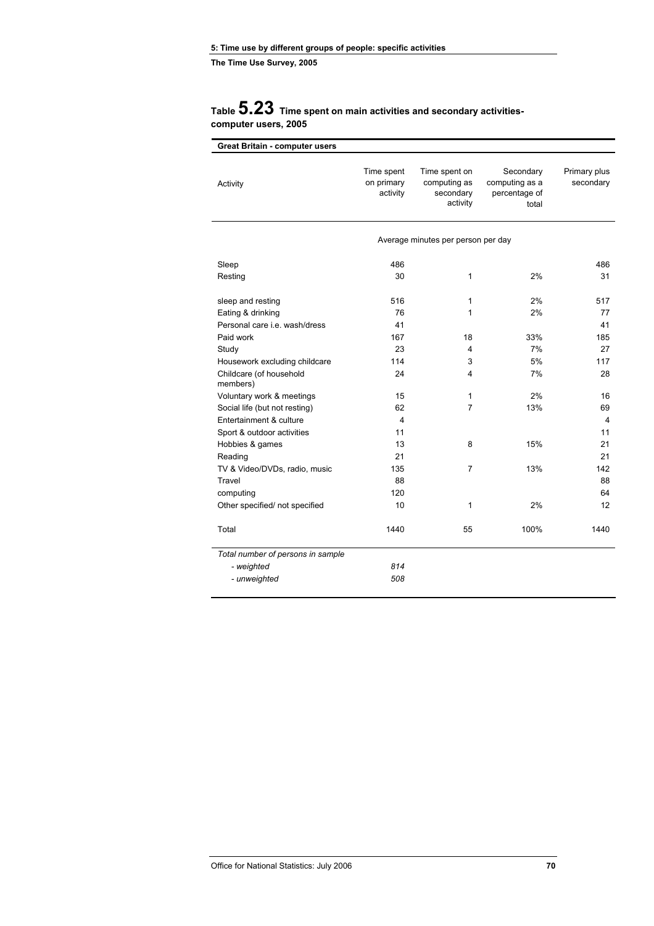### **Table 5.23 Time spent on main activities and secondary activitiescomputer users, 2005**

| <b>Great Britain - computer users</b> |                                      |                                                        |                                                       |                           |
|---------------------------------------|--------------------------------------|--------------------------------------------------------|-------------------------------------------------------|---------------------------|
| Activity                              | Time spent<br>on primary<br>activity | Time spent on<br>computing as<br>secondary<br>activity | Secondary<br>computing as a<br>percentage of<br>total | Primary plus<br>secondary |
|                                       |                                      | Average minutes per person per day                     |                                                       |                           |
| Sleep                                 | 486                                  |                                                        |                                                       | 486                       |
| Resting                               | 30                                   | $\mathbf{1}$                                           | 2%                                                    | 31                        |
| sleep and resting                     | 516                                  | $\mathbf{1}$                                           | 2%                                                    | 517                       |
| Eating & drinking                     | 76                                   | 1                                                      | 2%                                                    | 77                        |
| Personal care i.e. wash/dress         | 41                                   |                                                        |                                                       | 41                        |
| Paid work                             | 167                                  | 18                                                     | 33%                                                   | 185                       |
| Study                                 | 23                                   | 4                                                      | 7%                                                    | 27                        |
| Housework excluding childcare         | 114                                  | 3                                                      | 5%                                                    | 117                       |
| Childcare (of household<br>members)   | 24                                   | 4                                                      | 7%                                                    | 28                        |
| Voluntary work & meetings             | 15                                   | 1                                                      | 2%                                                    | 16                        |
| Social life (but not resting)         | 62                                   | $\overline{7}$                                         | 13%                                                   | 69                        |
| Entertainment & culture               | $\overline{4}$                       |                                                        |                                                       | $\overline{4}$            |
| Sport & outdoor activities            | 11                                   |                                                        |                                                       | 11                        |
| Hobbies & games                       | 13                                   | 8                                                      | 15%                                                   | 21                        |
| Reading                               | 21                                   |                                                        |                                                       | 21                        |
| TV & Video/DVDs, radio, music         | 135                                  | 7                                                      | 13%                                                   | 142                       |
| Travel                                | 88                                   |                                                        |                                                       | 88                        |
| computing                             | 120                                  |                                                        |                                                       | 64                        |
| Other specified/ not specified        | 10                                   | 1                                                      | 2%                                                    | 12                        |
| Total                                 | 1440                                 | 55                                                     | 100%                                                  | 1440                      |
| Total number of persons in sample     |                                      |                                                        |                                                       |                           |
| - weighted                            | 814                                  |                                                        |                                                       |                           |
| - unweighted                          | 508                                  |                                                        |                                                       |                           |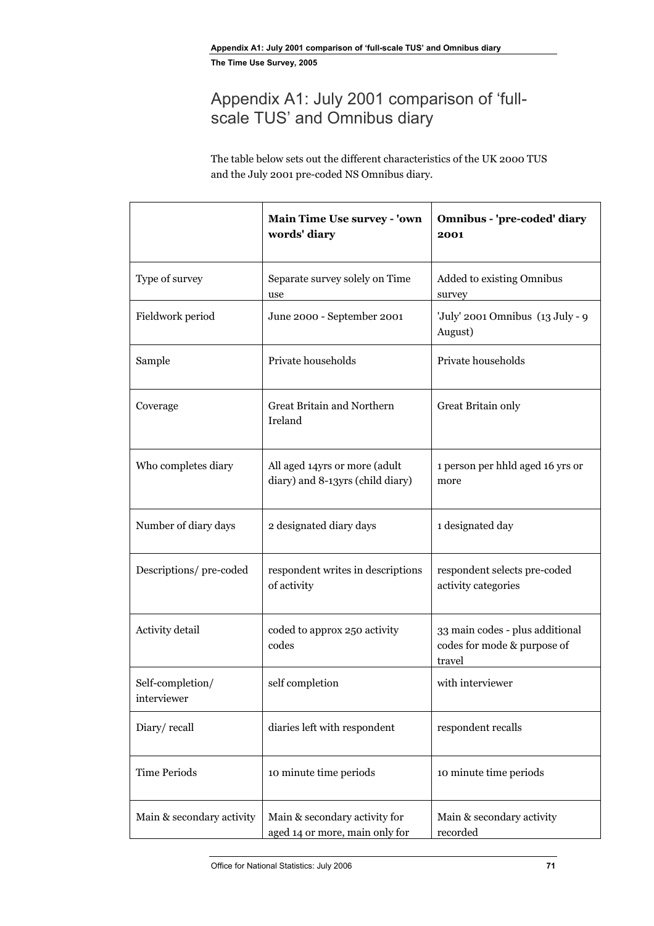# Appendix A1: July 2001 comparison of 'fullscale TUS' and Omnibus diary

The table below sets out the different characteristics of the UK 2000 TUS and the July 2001 pre-coded NS Omnibus diary.

|                                 | Main Time Use survey - 'own<br>words' diary                       | Omnibus - 'pre-coded' diary<br>2001                                      |  |  |
|---------------------------------|-------------------------------------------------------------------|--------------------------------------------------------------------------|--|--|
| Type of survey                  | Separate survey solely on Time<br>use                             | Added to existing Omnibus<br>survey                                      |  |  |
| Fieldwork period                | June 2000 - September 2001                                        | 'July' 2001 Omnibus (13 July - 9<br>August)                              |  |  |
| Sample                          | Private households                                                | Private households                                                       |  |  |
| Coverage                        | Great Britain and Northern<br>Ireland                             | Great Britain only                                                       |  |  |
| Who completes diary             | All aged 14yrs or more (adult<br>diary) and 8-13yrs (child diary) | 1 person per hhld aged 16 yrs or<br>more                                 |  |  |
| Number of diary days            | 2 designated diary days                                           | 1 designated day                                                         |  |  |
| Descriptions/pre-coded          | respondent writes in descriptions<br>of activity                  | respondent selects pre-coded<br>activity categories                      |  |  |
| Activity detail                 | coded to approx 250 activity<br>codes                             | 33 main codes - plus additional<br>codes for mode & purpose of<br>travel |  |  |
| Self-completion/<br>interviewer | self completion                                                   | with interviewer                                                         |  |  |
| Diary/recall                    | diaries left with respondent                                      | respondent recalls                                                       |  |  |
| <b>Time Periods</b>             | 10 minute time periods                                            | 10 minute time periods                                                   |  |  |
| Main & secondary activity       | Main & secondary activity for<br>aged 14 or more, main only for   | Main & secondary activity<br>recorded                                    |  |  |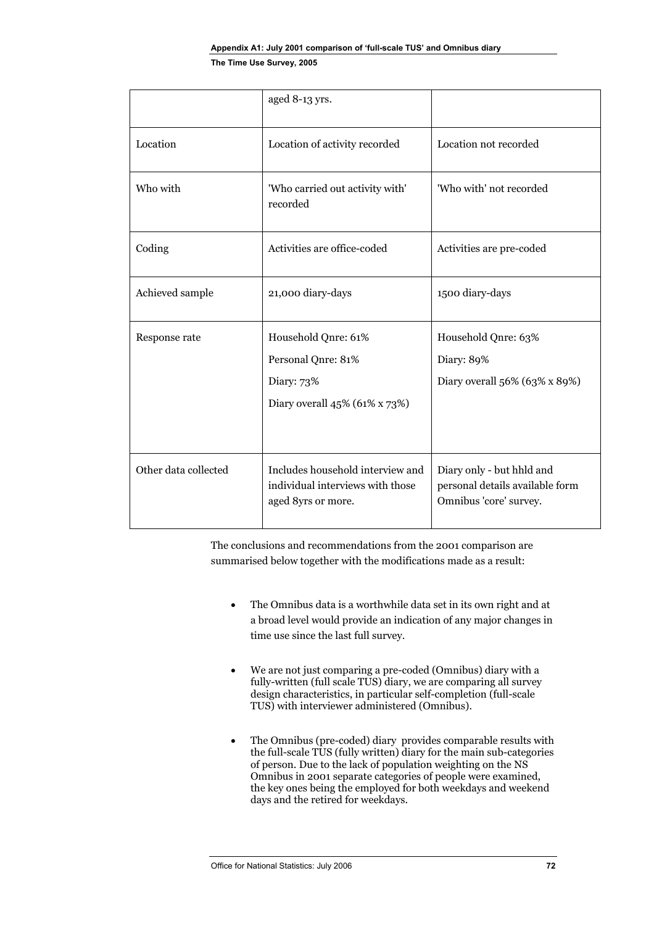|                      | aged 8-13 yrs.                                                                              |                                                                                        |
|----------------------|---------------------------------------------------------------------------------------------|----------------------------------------------------------------------------------------|
| Location             | Location of activity recorded                                                               | Location not recorded                                                                  |
| Who with             | 'Who carried out activity with'<br>recorded                                                 | 'Who with' not recorded                                                                |
| Coding               | Activities are office-coded                                                                 | Activities are pre-coded                                                               |
| Achieved sample      | 21,000 diary-days                                                                           | 1500 diary-days                                                                        |
| Response rate        | Household Qnre: 61%<br>Personal Qnre: 81%<br>Diary: 73%<br>Diary overall $45\%$ (61% x 73%) | Household Qnre: 63%<br>Diary: 89%<br>Diary overall 56% (63% x 89%)                     |
| Other data collected | Includes household interview and<br>individual interviews with those<br>aged 8yrs or more.  | Diary only - but hhld and<br>personal details available form<br>Omnibus 'core' survey. |

The conclusions and recommendations from the 2001 comparison are summarised below together with the modifications made as a result:

- The Omnibus data is a worthwhile data set in its own right and at a broad level would provide an indication of any major changes in time use since the last full survey.
- We are not just comparing a pre-coded (Omnibus) diary with a fully-written (full scale TUS) diary, we are comparing all survey design characteristics, in particular self-completion (full-scale TUS) with interviewer administered (Omnibus).
- The Omnibus (pre-coded) diary provides comparable results with the full-scale TUS (fully written) diary for the main sub-categories of person. Due to the lack of population weighting on the NS Omnibus in 2001 separate categories of people were examined, the key ones being the employed for both weekdays and weekend days and the retired for weekdays.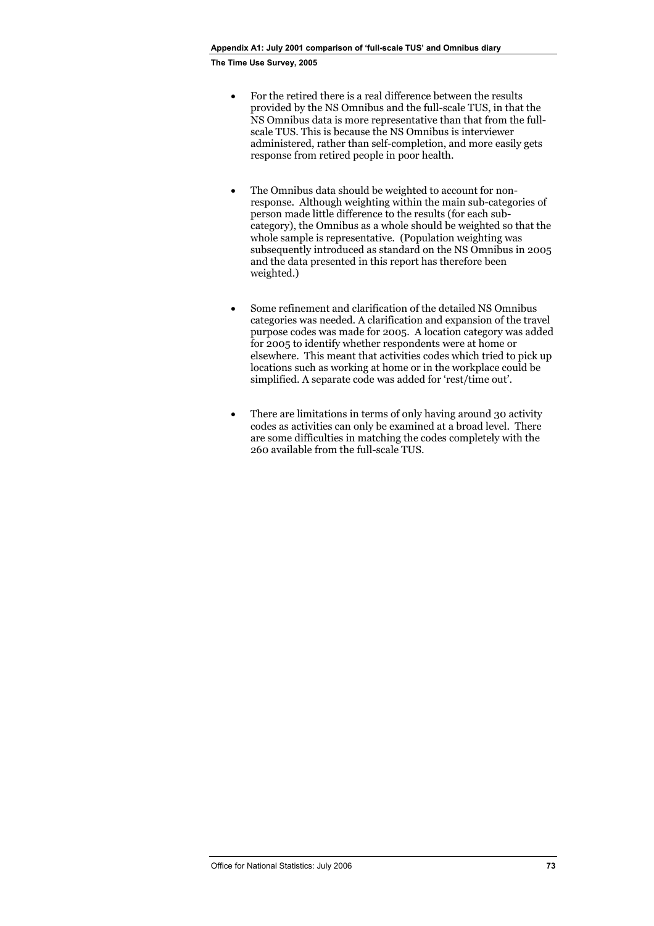- For the retired there is a real difference between the results provided by the NS Omnibus and the full-scale TUS, in that the NS Omnibus data is more representative than that from the fullscale TUS. This is because the NS Omnibus is interviewer administered, rather than self-completion, and more easily gets response from retired people in poor health.
- The Omnibus data should be weighted to account for nonresponse. Although weighting within the main sub-categories of person made little difference to the results (for each subcategory), the Omnibus as a whole should be weighted so that the whole sample is representative. (Population weighting was subsequently introduced as standard on the NS Omnibus in 2005 and the data presented in this report has therefore been weighted.)
- Some refinement and clarification of the detailed NS Omnibus categories was needed. A clarification and expansion of the travel purpose codes was made for 2005. A location category was added for 2005 to identify whether respondents were at home or elsewhere. This meant that activities codes which tried to pick up locations such as working at home or in the workplace could be simplified. A separate code was added for 'rest/time out'.
- There are limitations in terms of only having around 30 activity codes as activities can only be examined at a broad level. There are some difficulties in matching the codes completely with the 260 available from the full-scale TUS.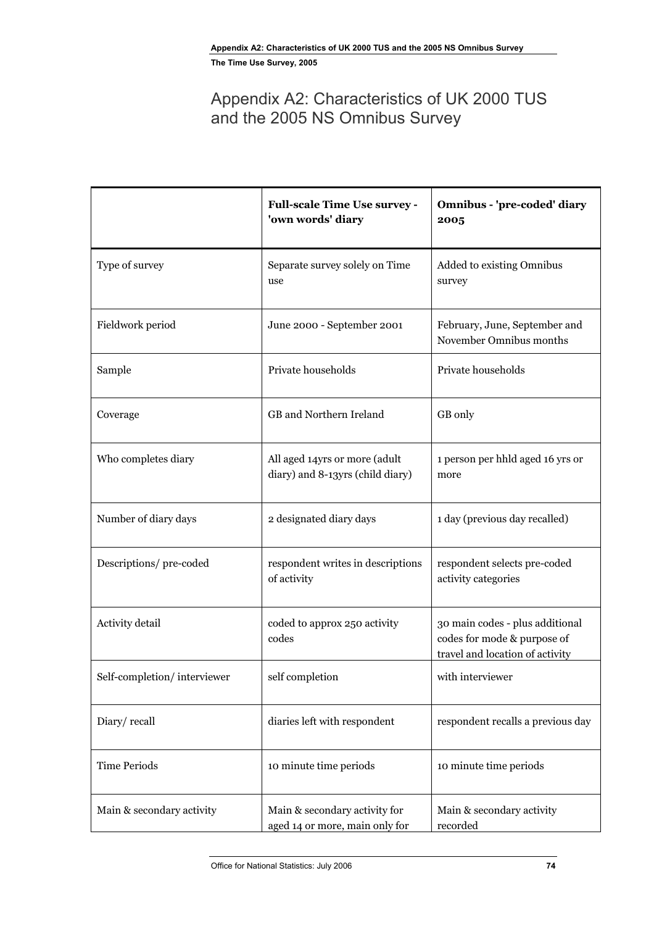# Appendix A2: Characteristics of UK 2000 TUS and the 2005 NS Omnibus Survey

|                             | <b>Full-scale Time Use survey -</b><br>'own words' diary          | Omnibus - 'pre-coded' diary<br>2005                                                               |
|-----------------------------|-------------------------------------------------------------------|---------------------------------------------------------------------------------------------------|
| Type of survey              | Separate survey solely on Time<br>use                             | Added to existing Omnibus<br>survey                                                               |
| Fieldwork period            | June 2000 - September 2001                                        | February, June, September and<br>November Omnibus months                                          |
| Sample                      | Private households                                                | Private households                                                                                |
| Coverage                    | GB and Northern Ireland                                           | GB only                                                                                           |
| Who completes diary         | All aged 14yrs or more (adult<br>diary) and 8-13yrs (child diary) | 1 person per hhld aged 16 yrs or<br>more                                                          |
| Number of diary days        | 2 designated diary days                                           | 1 day (previous day recalled)                                                                     |
| Descriptions/pre-coded      | respondent writes in descriptions<br>of activity                  | respondent selects pre-coded<br>activity categories                                               |
| Activity detail             | coded to approx 250 activity<br>codes                             | 30 main codes - plus additional<br>codes for mode & purpose of<br>travel and location of activity |
| Self-completion/interviewer | self completion                                                   | with interviewer                                                                                  |
| Diary/recall                | diaries left with respondent                                      | respondent recalls a previous day                                                                 |
| <b>Time Periods</b>         | 10 minute time periods                                            | 10 minute time periods                                                                            |
| Main & secondary activity   | Main & secondary activity for<br>aged 14 or more, main only for   | Main & secondary activity<br>recorded                                                             |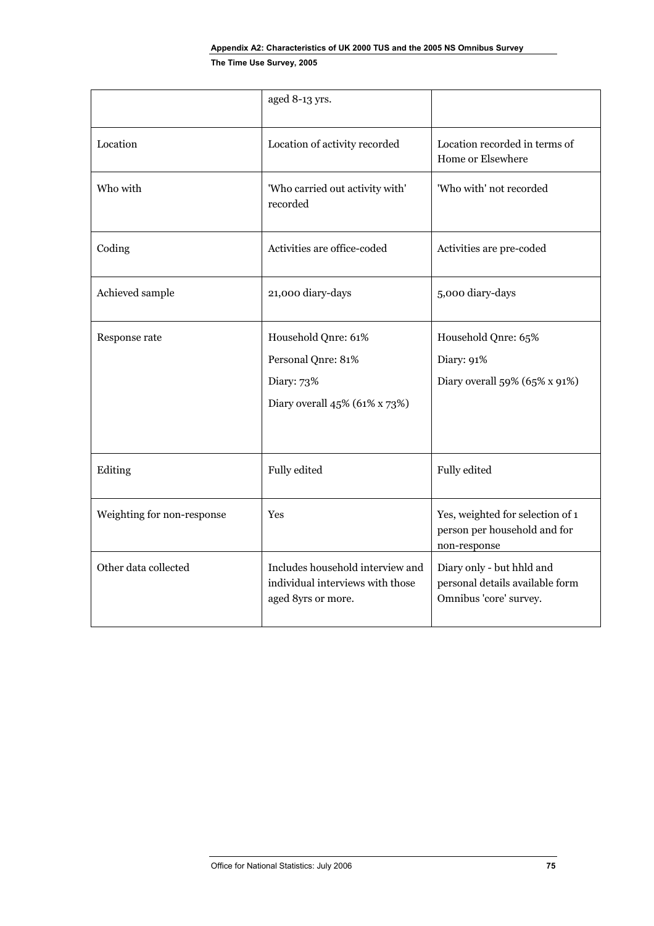|                            | aged 8-13 yrs.                                                                             |                                                                                        |
|----------------------------|--------------------------------------------------------------------------------------------|----------------------------------------------------------------------------------------|
| Location                   | Location of activity recorded                                                              | Location recorded in terms of<br>Home or Elsewhere                                     |
| Who with                   | 'Who carried out activity with'<br>recorded                                                | 'Who with' not recorded                                                                |
| Coding                     | Activities are office-coded                                                                | Activities are pre-coded                                                               |
| Achieved sample            | 21,000 diary-days                                                                          | 5,000 diary-days                                                                       |
| Response rate              | Household Qnre: 61%<br>Personal Qnre: 81%<br>Diary: 73%<br>Diary overall 45% (61% x 73%)   | Household Qnre: 65%<br>Diary: 91%<br>Diary overall 59% (65% x 91%)                     |
| Editing                    | Fully edited                                                                               | Fully edited                                                                           |
| Weighting for non-response | <b>Yes</b>                                                                                 | Yes, weighted for selection of 1<br>person per household and for<br>non-response       |
| Other data collected       | Includes household interview and<br>individual interviews with those<br>aged 8yrs or more. | Diary only - but hhld and<br>personal details available form<br>Omnibus 'core' survey. |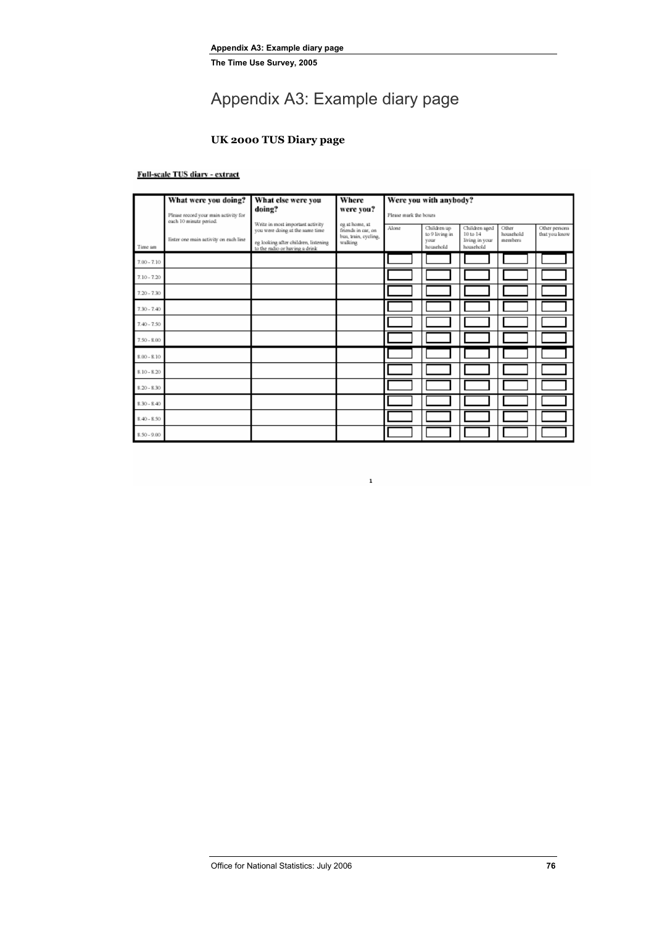# Appendix A3: Example diary page

### **UK 2000 TUS Diary page**

#### Full-scale TUS diary - extract

|               | What were you doing?                                           | What else were you                                                                                                                            | Where                                                                   | Were you with anybody? |                                                    |                                                          |                               |                                |  |
|---------------|----------------------------------------------------------------|-----------------------------------------------------------------------------------------------------------------------------------------------|-------------------------------------------------------------------------|------------------------|----------------------------------------------------|----------------------------------------------------------|-------------------------------|--------------------------------|--|
|               | Please record your main activity for<br>each 10 minute period. | doing?                                                                                                                                        | were you?                                                               | Please mark the boxes  |                                                    |                                                          |                               |                                |  |
| Time an       | Enter one main activity on each line                           | Write in most important activity<br>you were doing at the same time<br>eg looking after children, listening<br>to the radio or having a drink | eg at home, at<br>friends in car, on<br>bus, train, cycling,<br>walking | Alone                  | Children up<br>to 9 living in<br>vour<br>household | Children aged<br>10 to 14<br>living in your<br>household | Other<br>household<br>members | Other persons<br>that you know |  |
| $7.00 - 7.10$ |                                                                |                                                                                                                                               |                                                                         |                        |                                                    |                                                          |                               |                                |  |
| $7.10 - 7.20$ |                                                                |                                                                                                                                               |                                                                         |                        |                                                    |                                                          |                               |                                |  |
| $7.20 - 7.30$ |                                                                |                                                                                                                                               |                                                                         |                        |                                                    |                                                          |                               |                                |  |
| $7.30 - 7.40$ |                                                                |                                                                                                                                               |                                                                         |                        |                                                    |                                                          |                               |                                |  |
| $7.40 - 7.50$ |                                                                |                                                                                                                                               |                                                                         |                        |                                                    |                                                          |                               |                                |  |
| $7.50 - 8.00$ |                                                                |                                                                                                                                               |                                                                         |                        |                                                    |                                                          |                               |                                |  |
| $8.00 - 8.10$ |                                                                |                                                                                                                                               |                                                                         |                        |                                                    |                                                          |                               |                                |  |
| $$.10 - $.20$ |                                                                |                                                                                                                                               |                                                                         |                        |                                                    |                                                          |                               |                                |  |
| $8.20 - 8.30$ |                                                                |                                                                                                                                               |                                                                         |                        |                                                    |                                                          |                               |                                |  |
| $8.30 - 8.40$ |                                                                |                                                                                                                                               |                                                                         |                        |                                                    |                                                          |                               |                                |  |
| $8,40 - 8,50$ |                                                                |                                                                                                                                               |                                                                         |                        |                                                    |                                                          |                               |                                |  |
| $$.50 - 9.00$ |                                                                |                                                                                                                                               |                                                                         |                        |                                                    |                                                          |                               |                                |  |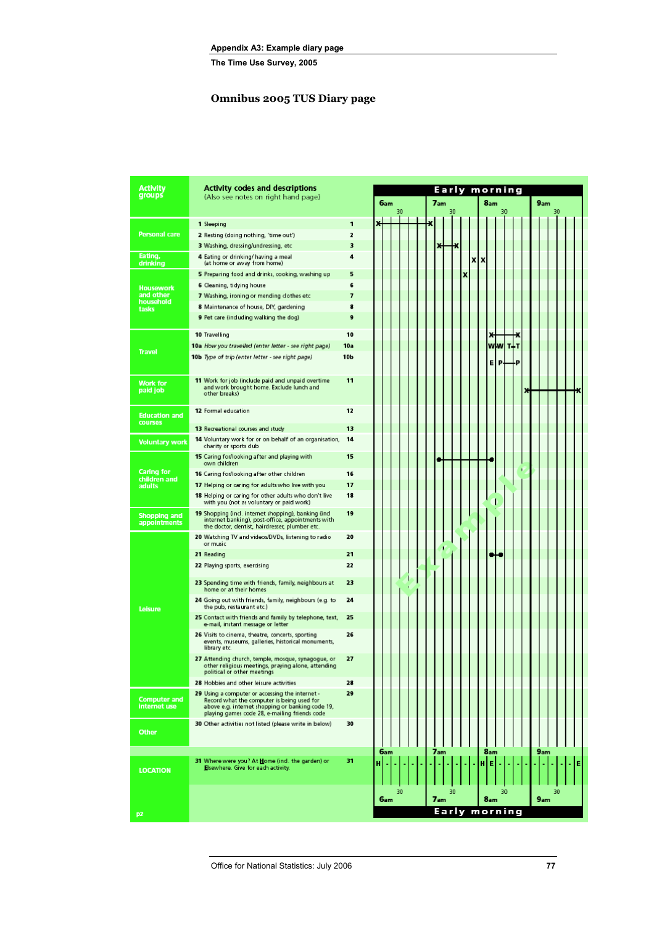### **Omnibus 2005 TUS Diary page**

| Activity                               | <b>Activity codes and descriptions</b>                                                                                                                                                             |                 |   |     |                                                       |    |  |  |  |     |       |   |   |   |          |    |         |  |     |    |  |  |
|----------------------------------------|----------------------------------------------------------------------------------------------------------------------------------------------------------------------------------------------------|-----------------|---|-----|-------------------------------------------------------|----|--|--|--|-----|-------|---|---|---|----------|----|---------|--|-----|----|--|--|
| groups                                 | (Also see notes on right hand page)                                                                                                                                                                |                 |   |     | Early morning<br>7am<br>8 <sub>am</sub><br>6am<br>9am |    |  |  |  |     |       |   |   |   |          |    |         |  |     |    |  |  |
|                                        |                                                                                                                                                                                                    |                 |   |     |                                                       | 30 |  |  |  |     | 30    |   |   |   |          | 30 |         |  |     | 30 |  |  |
|                                        | 1 Sleeping                                                                                                                                                                                         | 1               |   |     |                                                       |    |  |  |  |     |       |   |   |   |          |    |         |  |     |    |  |  |
| Personal care                          | 2 Resting (doing nothing, 'time out')                                                                                                                                                              | 2               |   |     |                                                       |    |  |  |  |     |       |   |   |   |          |    |         |  |     |    |  |  |
|                                        | 3 Washing, dressing/undressing, etc.                                                                                                                                                               | 3               |   |     |                                                       |    |  |  |  |     |       |   |   |   |          |    |         |  |     |    |  |  |
| Eating,<br>drinking                    | 4 Eating or drinking/ having a meal<br>(at home or away from home)                                                                                                                                 | 4               |   |     |                                                       |    |  |  |  |     |       |   | x | x |          |    |         |  |     |    |  |  |
|                                        | 5 Preparing food and drinks, cooking, washing up                                                                                                                                                   | 5               |   |     |                                                       |    |  |  |  |     |       | X |   |   |          |    |         |  |     |    |  |  |
| <b>Housework</b>                       | 6 Cleaning, tidying house                                                                                                                                                                          | 6               |   |     |                                                       |    |  |  |  |     |       |   |   |   |          |    |         |  |     |    |  |  |
| and other                              | 7 Washing, ironing or mending dothes etc                                                                                                                                                           | 7               |   |     |                                                       |    |  |  |  |     |       |   |   |   |          |    |         |  |     |    |  |  |
| household<br>tasks                     | 8 Maintenance of house, DIY, gardening                                                                                                                                                             | 8               |   |     |                                                       |    |  |  |  |     |       |   |   |   |          |    |         |  |     |    |  |  |
|                                        | 9 Pet care (including walking the dog)                                                                                                                                                             | 9               |   |     |                                                       |    |  |  |  |     |       |   |   |   |          |    |         |  |     |    |  |  |
|                                        | 10 Travelling                                                                                                                                                                                      | 10              |   |     |                                                       |    |  |  |  |     |       |   |   |   |          |    |         |  |     |    |  |  |
| <b>Travel</b>                          | 10a How you travelled (enter letter - see right page)                                                                                                                                              | 10a             |   |     |                                                       |    |  |  |  |     |       |   |   |   | ww       |    | T I T   |  |     |    |  |  |
|                                        | 10b Type of trip (enter letter - see right page)                                                                                                                                                   | 10 <sub>b</sub> |   |     |                                                       |    |  |  |  |     |       |   |   |   | Е        | P. | .p      |  |     |    |  |  |
| <b>Work for</b><br>paid job            | 11 Work for job (include paid and unpaid overtime<br>and work brought home. Exclude lunch and<br>other breaks)                                                                                     | 11              |   |     |                                                       |    |  |  |  |     |       |   |   |   |          |    |         |  |     |    |  |  |
| <b>Education and</b><br><b>courses</b> | 12 Formal education                                                                                                                                                                                | 12              |   |     |                                                       |    |  |  |  |     |       |   |   |   |          |    |         |  |     |    |  |  |
|                                        | 13 Recreational courses and study                                                                                                                                                                  | 13              |   |     |                                                       |    |  |  |  |     |       |   |   |   |          |    |         |  |     |    |  |  |
| <b>Voluntary work</b>                  | 14 Voluntary work for or on behalf of an organisation,<br>charity or sports dub                                                                                                                    | 14              |   |     |                                                       |    |  |  |  |     |       |   |   |   |          |    |         |  |     |    |  |  |
|                                        | <b>15</b> Caring for/looking after and playing with<br>own children                                                                                                                                | 15              |   |     |                                                       |    |  |  |  |     |       |   |   |   |          |    |         |  |     |    |  |  |
| <b>Caring for</b><br>children and      | 16 Caring for/looking after other children                                                                                                                                                         | 16              |   |     |                                                       |    |  |  |  |     |       |   |   |   |          |    |         |  |     |    |  |  |
| adults                                 | 17 Helping or caring for adults who live with you                                                                                                                                                  | 17              |   |     |                                                       |    |  |  |  |     |       |   |   |   |          |    |         |  |     |    |  |  |
|                                        | 18 Helping or caring for other adults who don't live<br>with you (not as voluntary or paid work)                                                                                                   | 18              |   |     |                                                       |    |  |  |  |     |       |   |   |   |          |    |         |  |     |    |  |  |
| <b>Shopping and</b><br>appointments    | 19 Shopping (ind. internet shopping), banking (ind.<br>internet banking), post-office, appointments with<br>the doctor, dentist, hairdresser, plumber etc.                                         | 19              |   |     |                                                       |    |  |  |  |     |       |   |   |   |          |    |         |  |     |    |  |  |
|                                        | 20 Watching TV and videos/DVDs, listening to radio<br>or music                                                                                                                                     | 20              |   |     |                                                       |    |  |  |  |     |       |   |   |   |          |    |         |  |     |    |  |  |
|                                        | 21 Reading                                                                                                                                                                                         | 21              |   |     |                                                       |    |  |  |  |     |       |   |   |   |          |    |         |  |     |    |  |  |
|                                        | 22 Playing sports, exercising                                                                                                                                                                      | 22              |   |     |                                                       |    |  |  |  |     |       |   |   |   |          |    |         |  |     |    |  |  |
|                                        | 23 Spending time with friends, family, neighbours at<br>home or at their homes                                                                                                                     | 23              |   |     |                                                       |    |  |  |  |     |       |   |   |   |          |    |         |  |     |    |  |  |
| Leisure                                | 24 Going out with friends, family, neighbours (e.g. to<br>the pub, restaurant etc.)                                                                                                                | 24              |   |     |                                                       |    |  |  |  |     |       |   |   |   |          |    |         |  |     |    |  |  |
|                                        | 25 Contact with friends and family by telephone, text,<br>e-mail, instant message or letter                                                                                                        | 25              |   |     |                                                       |    |  |  |  |     |       |   |   |   |          |    |         |  |     |    |  |  |
|                                        | 26 Visits to cinema, theatre, concerts, sporting<br>events, museums, galleries, historical monuments,<br>library etc.                                                                              | 26              |   |     |                                                       |    |  |  |  |     |       |   |   |   |          |    |         |  |     |    |  |  |
|                                        | 27 Attending church, temple, mosque, synagogue, or<br>other religious meetings, praying alone, attending<br>political or other meetings                                                            | 27              |   |     |                                                       |    |  |  |  |     |       |   |   |   |          |    |         |  |     |    |  |  |
|                                        | 28 Hobbies and other leisure activities                                                                                                                                                            | 28              |   |     |                                                       |    |  |  |  |     |       |   |   |   |          |    |         |  |     |    |  |  |
| <b>Computer and</b><br>internet use    | 29 Using a computer or accessing the internet -<br>Record what the computer is being used for<br>above e.g. internet shopping or banking code 19,<br>playing games code 28, e-mailing friends code | 29              |   |     |                                                       |    |  |  |  |     |       |   |   |   |          |    |         |  |     |    |  |  |
| <b>Other</b>                           | 30 Other activities not listed (please write in below)                                                                                                                                             | 30              |   |     |                                                       |    |  |  |  |     |       |   |   |   |          |    |         |  |     |    |  |  |
| <b>LOCATION</b>                        | 31 Where were you? At Home (ind. the garden) or<br>Elsewhere. Give for each activity.                                                                                                              | 31              | н | 6am |                                                       |    |  |  |  | 7am |       |   |   |   | 8am<br>Е |    |         |  | 9am |    |  |  |
|                                        |                                                                                                                                                                                                    |                 |   |     |                                                       |    |  |  |  |     |       |   |   |   |          |    |         |  |     |    |  |  |
|                                        |                                                                                                                                                                                                    |                 |   | 6am |                                                       | 30 |  |  |  | 7am | 30    |   |   |   | 8am      | 30 |         |  | 9am | 30 |  |  |
| p <sub>2</sub>                         |                                                                                                                                                                                                    |                 |   |     |                                                       |    |  |  |  |     | Early |   |   |   |          |    | morning |  |     |    |  |  |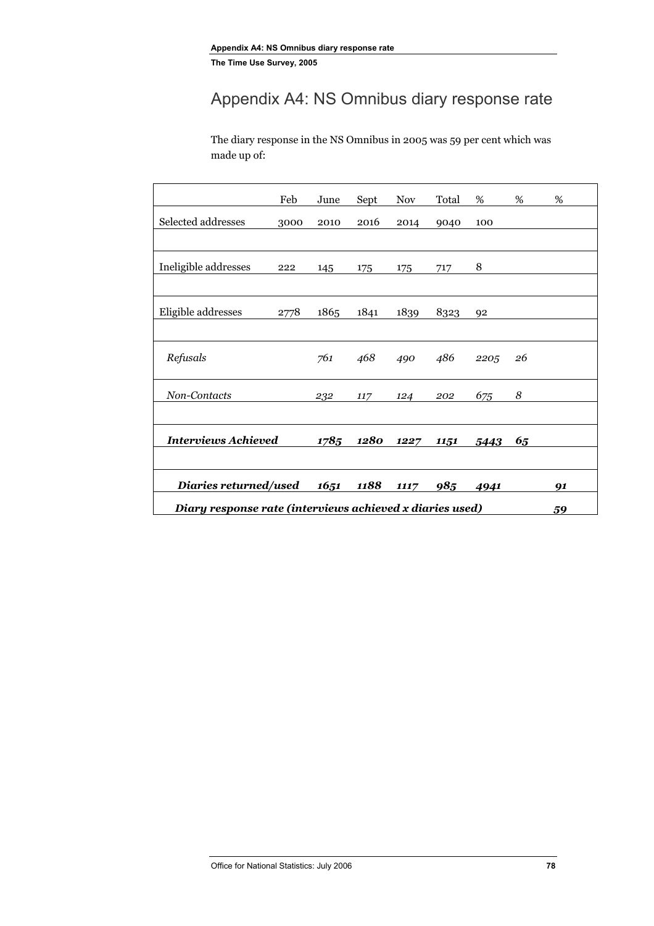# Appendix A4: NS Omnibus diary response rate

The diary response in the NS Omnibus in 2005 was 59 per cent which was made up of:

|                                                          | Feb  | June | Sept | <b>Nov</b> | Total | %    | %  | %  |
|----------------------------------------------------------|------|------|------|------------|-------|------|----|----|
| Selected addresses                                       | 3000 | 2010 | 2016 | 2014       | 9040  | 100  |    |    |
|                                                          |      |      |      |            |       |      |    |    |
| Ineligible addresses                                     | 222  | 145  | 175  | 175        | 717   | 8    |    |    |
|                                                          |      |      |      |            |       |      |    |    |
| Eligible addresses                                       | 2778 | 1865 | 1841 | 1839       | 8323  | 92   |    |    |
|                                                          |      |      |      |            |       |      |    |    |
| Refusals                                                 |      | 761  | 468  | 490        | 486   | 2205 | 26 |    |
| Non-Contacts                                             |      | 232  | 117  | 124        | 202   | 675  | 8  |    |
|                                                          |      |      |      |            |       |      |    |    |
| <b>Interviews Achieved</b>                               |      | 1785 | 1280 | 1227       | 1151  | 5443 | 65 |    |
|                                                          |      |      |      |            |       |      |    |    |
| Diaries returned/used                                    |      | 1651 | 1188 | 1117       | 985   | 4941 |    | 91 |
| Diary response rate (interviews achieved x diaries used) |      |      |      |            |       |      |    |    |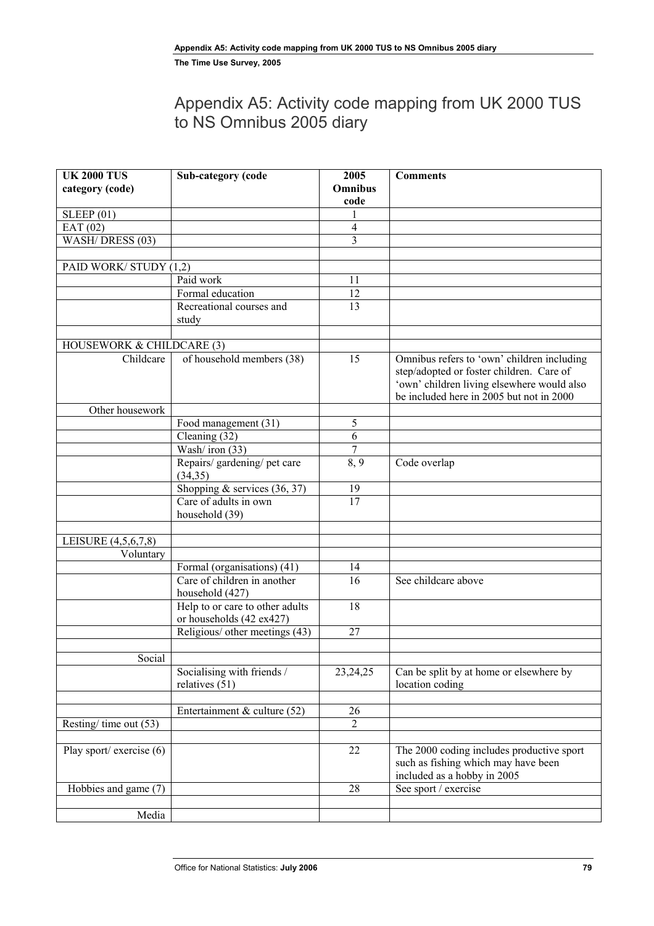# Appendix A5: Activity code mapping from UK 2000 TUS to NS Omnibus 2005 diary

| <b>UK 2000 TUS</b>                    | Sub-category (code                                          | 2005                   | <b>Comments</b>                                                                                                 |
|---------------------------------------|-------------------------------------------------------------|------------------------|-----------------------------------------------------------------------------------------------------------------|
| category (code)                       |                                                             | <b>Omnibus</b><br>code |                                                                                                                 |
| SLEEP(01)                             |                                                             |                        |                                                                                                                 |
| EAT(02)                               |                                                             | 4                      |                                                                                                                 |
| WASH/DRESS (03)                       |                                                             | 3                      |                                                                                                                 |
|                                       |                                                             |                        |                                                                                                                 |
| PAID WORK/STUDY (1,2)                 |                                                             |                        |                                                                                                                 |
|                                       | Paid work                                                   | 11                     |                                                                                                                 |
|                                       | Formal education                                            | 12                     |                                                                                                                 |
|                                       | Recreational courses and                                    | 13                     |                                                                                                                 |
|                                       | study                                                       |                        |                                                                                                                 |
| HOUSEWORK & CHILDCARE (3)             |                                                             |                        |                                                                                                                 |
| Childcare                             | of household members (38)                                   | 15                     | Omnibus refers to 'own' children including                                                                      |
|                                       |                                                             |                        | step/adopted or foster children. Care of                                                                        |
|                                       |                                                             |                        | 'own' children living elsewhere would also                                                                      |
|                                       |                                                             |                        | be included here in 2005 but not in 2000                                                                        |
| Other housework                       |                                                             |                        |                                                                                                                 |
|                                       | Food management (31)                                        | 5                      |                                                                                                                 |
|                                       | Cleaning (32)                                               | 6                      |                                                                                                                 |
|                                       | Wash/iron (33)                                              | $\overline{7}$         |                                                                                                                 |
|                                       | Repairs/ gardening/ pet care<br>(34,35)                     | 8,9                    | Code overlap                                                                                                    |
|                                       | Shopping & services $(36, 37)$                              | 19                     |                                                                                                                 |
|                                       | Care of adults in own<br>household (39)                     | $\overline{17}$        |                                                                                                                 |
|                                       |                                                             |                        |                                                                                                                 |
| LEISURE (4,5,6,7,8)                   |                                                             |                        |                                                                                                                 |
| Voluntary                             |                                                             |                        |                                                                                                                 |
|                                       | Formal (organisations) (41)<br>Care of children in another  | 14<br>16               | See childcare above                                                                                             |
|                                       | household (427)                                             |                        |                                                                                                                 |
|                                       | Help to or care to other adults<br>or households (42 ex427) | 18                     |                                                                                                                 |
|                                       | Religious/ other meetings (43)                              | 27                     |                                                                                                                 |
|                                       |                                                             |                        |                                                                                                                 |
| Social                                |                                                             |                        |                                                                                                                 |
|                                       | Socialising with friends /<br>relatives $(51)$              | 23, 24, 25             | Can be split by at home or elsewhere by<br>location coding                                                      |
|                                       |                                                             |                        |                                                                                                                 |
|                                       | Entertainment & culture $(52)$                              | 26                     |                                                                                                                 |
| Resting/time out (53)                 |                                                             | $\overline{c}$         |                                                                                                                 |
| Play sport/ exercise $\overline{(6)}$ |                                                             | 22                     |                                                                                                                 |
|                                       |                                                             |                        | The 2000 coding includes productive sport<br>such as fishing which may have been<br>included as a hobby in 2005 |
| Hobbies and game (7)                  |                                                             | 28                     | See sport / exercise                                                                                            |
|                                       |                                                             |                        |                                                                                                                 |
| Media                                 |                                                             |                        |                                                                                                                 |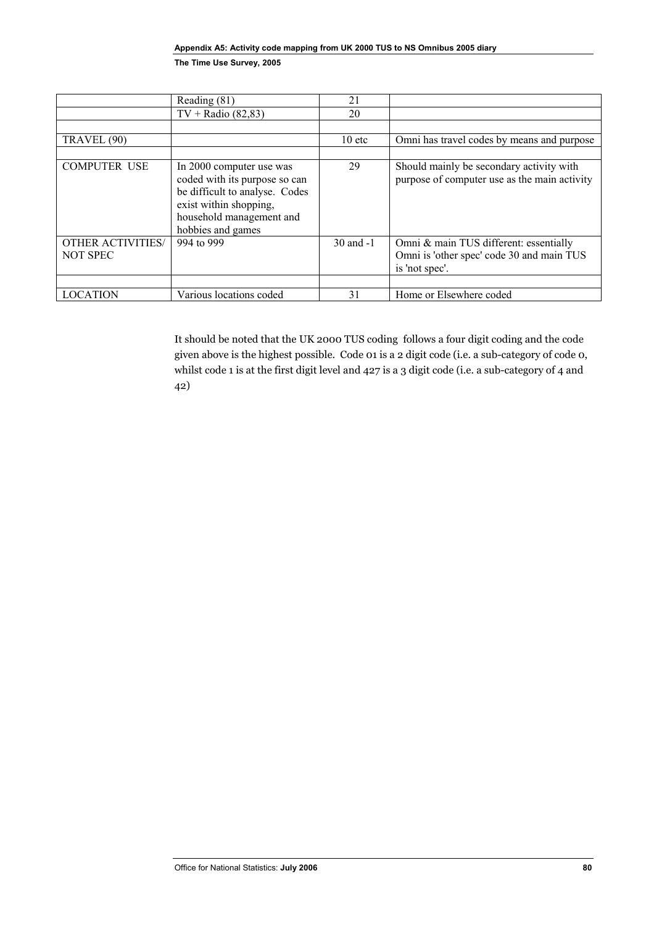|                          | Reading (81)                                                                                                                                                           | 21            |                                                                                          |
|--------------------------|------------------------------------------------------------------------------------------------------------------------------------------------------------------------|---------------|------------------------------------------------------------------------------------------|
|                          | $TV + Radio (82,83)$                                                                                                                                                   | 20            |                                                                                          |
|                          |                                                                                                                                                                        |               |                                                                                          |
| TRAVEL (90)              |                                                                                                                                                                        | $10$ etc      | Omni has travel codes by means and purpose                                               |
|                          |                                                                                                                                                                        |               |                                                                                          |
| <b>COMPUTER USE</b>      | In 2000 computer use was<br>coded with its purpose so can<br>be difficult to analyse. Codes<br>exist within shopping,<br>household management and<br>hobbies and games | 29            | Should mainly be secondary activity with<br>purpose of computer use as the main activity |
| <b>OTHER ACTIVITIES/</b> | 994 to 999                                                                                                                                                             | $30$ and $-1$ | Omni & main TUS different: essentially                                                   |
| NOT SPEC                 |                                                                                                                                                                        |               | Omni is 'other spec' code 30 and main TUS                                                |
|                          |                                                                                                                                                                        |               | is 'not spec'.                                                                           |
|                          |                                                                                                                                                                        |               |                                                                                          |
| <b>LOCATION</b>          | Various locations coded                                                                                                                                                | 31            | Home or Elsewhere coded                                                                  |

It should be noted that the UK 2000 TUS coding follows a four digit coding and the code given above is the highest possible. Code 01 is a 2 digit code (i.e. a sub-category of code 0, whilst code 1 is at the first digit level and 427 is a 3 digit code (i.e. a sub-category of 4 and 42)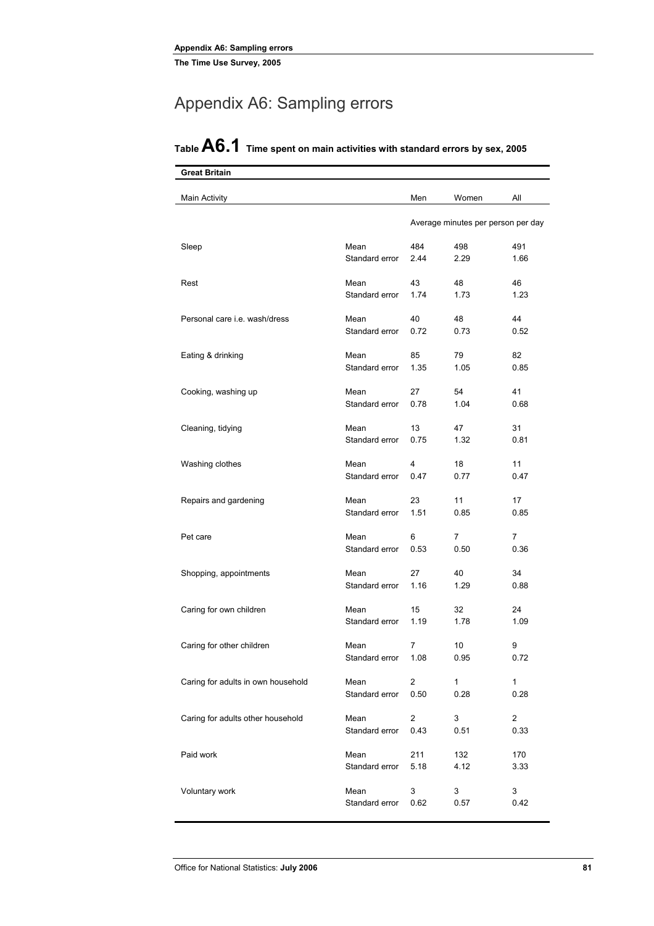# Appendix A6: Sampling errors

| Great Britain                        |                |                |                                    |                |
|--------------------------------------|----------------|----------------|------------------------------------|----------------|
| Main Activity                        |                | Men            | Women                              | All            |
|                                      |                |                | Average minutes per person per day |                |
| Sleep                                | Mean           | 484            | 498                                | 491            |
|                                      | Standard error | 2.44           | 2.29                               | 1.66           |
| Rest                                 | Mean           | 43             | 48                                 | 46             |
|                                      | Standard error | 1.74           | 1.73                               | 1.23           |
| Personal care <i>i.e.</i> wash/dress | Mean           | 40             | 48                                 | 44             |
|                                      | Standard error | 0.72           | 0.73                               | 0.52           |
| Eating & drinking                    | Mean           | 85             | 79                                 | 82             |
|                                      | Standard error | 1.35           | 1.05                               | 0.85           |
| Cooking, washing up                  | Mean           | 27             | 54                                 | 41             |
|                                      | Standard error | 0.78           | 1.04                               | 0.68           |
| Cleaning, tidying                    | Mean           | 13             | 47                                 | 31             |
|                                      | Standard error | 0.75           | 1.32                               | 0.81           |
| Washing clothes                      | Mean           | 4              | 18                                 | 11             |
| Repairs and gardening                | Standard error | 0.47           | 0.77                               | 0.47           |
|                                      | Mean           | 23             | 11                                 | 17             |
|                                      | Standard error | 1.51           | 0.85                               | 0.85           |
| Pet care                             | Mean           | 6              | 7                                  | $\overline{7}$ |
|                                      | Standard error | 0.53           | 0.50                               | 0.36           |
| Shopping, appointments               | Mean           | 27             | 40                                 | 34             |
|                                      | Standard error | 1.16           | 1.29                               | 0.88           |
| Caring for own children              | Mean           | 15             | 32                                 | 24             |
|                                      | Standard error | 1.19           | 1.78                               | 1.09           |
| Caring for other children            | Mean           | 7              | 10                                 | 9              |
|                                      | Standard error | 1.08           | 0.95                               | 0.72           |
| Caring for adults in own household   | Mean           | $\overline{2}$ | 1                                  | $\mathbf{1}$   |
|                                      | Standard error | 0.50           | 0.28                               | 0.28           |
| Caring for adults other household    | Mean           | $\overline{2}$ | 3                                  | $\overline{2}$ |
|                                      | Standard error | 0.43           | 0.51                               | 0.33           |
| Paid work                            | Mean           | 211            | 132                                | 170            |
|                                      | Standard error | 5.18           | 4.12                               | 3.33           |
| Voluntary work                       | Mean           | 3              | 3                                  | 3              |
|                                      | Standard error | 0.62           | 0.57                               | 0.42           |

# **Table A6.1 Time spent on main activities with standard errors by sex, 2005**